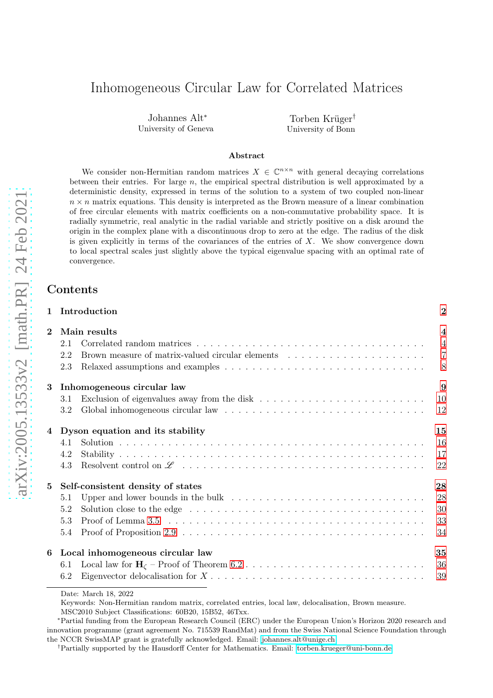# Inhomogeneous Circular Law for Correlated Matrices

Johannes Alt<sup>∗</sup> University of Geneva

Torben Krüger† University of Bonn

#### Abstract

We consider non-Hermitian random matrices  $X \in \mathbb{C}^{n \times n}$  with general decaying correlations between their entries. For large  $n$ , the empirical spectral distribution is well approximated by a deterministic density, expressed in terms of the solution to a system of two coupled non-linear  $n \times n$  matrix equations. This density is interpreted as the Brown measure of a linear combination of free circular elements with matrix coefficients on a non-commutative probability space. It is radially symmetric, real analytic in the radial variable and strictly positive on a disk around the origin in the complex plane with a discontinuous drop to zero at the edge. The radius of the disk is given explicitly in terms of the covariances of the entries of  $X$ . We show convergence down to local spectral scales just slightly above the typical eigenvalue spacing with an optimal rate of convergence.

### Contents

|                |              | 1 Introduction                                                                                                                                                                                                                 | $\bf{2}$       |  |
|----------------|--------------|--------------------------------------------------------------------------------------------------------------------------------------------------------------------------------------------------------------------------------|----------------|--|
| $\overline{2}$ | Main results |                                                                                                                                                                                                                                |                |  |
|                | 2.1          |                                                                                                                                                                                                                                | $\overline{4}$ |  |
|                | 2.2          | Brown measure of matrix-valued circular elements                                                                                                                                                                               | $\overline{7}$ |  |
|                | 2.3          |                                                                                                                                                                                                                                | 8              |  |
| 3              |              | Inhomogeneous circular law                                                                                                                                                                                                     | 9              |  |
|                | 3.1          |                                                                                                                                                                                                                                | 10             |  |
|                | 3.2          |                                                                                                                                                                                                                                | -12            |  |
|                |              | 4 Dyson equation and its stability                                                                                                                                                                                             | 15             |  |
|                | 4.1          |                                                                                                                                                                                                                                | <sup>16</sup>  |  |
|                | 4.2          |                                                                                                                                                                                                                                | 17             |  |
|                | 4.3          |                                                                                                                                                                                                                                | 22             |  |
| 5              |              | Self-consistent density of states                                                                                                                                                                                              | 28             |  |
|                | 5.1          |                                                                                                                                                                                                                                | 28             |  |
|                | 5.2          | Solution close to the edge enterprise in the set of the edge of the set of the edge of the set of the set of the set of the set of the set of the set of the set of the set of the set of the set of the set of the set of the | 30             |  |
|                | 5.3          |                                                                                                                                                                                                                                | 33             |  |
|                | 5.4          |                                                                                                                                                                                                                                | 34             |  |
| 6              |              | Local inhomogeneous circular law                                                                                                                                                                                               | 35             |  |
|                | 6.1          |                                                                                                                                                                                                                                | 36             |  |
|                | 6.2          |                                                                                                                                                                                                                                | 39             |  |

Date: March 18, 2022

Keywords: Non-Hermitian random matrix, correlated entries, local law, delocalisation, Brown measure.

MSC2010 Subject Classifications: 60B20, 15B52, 46Txx.

<sup>∗</sup>Partial funding from the European Research Council (ERC) under the European Union's Horizon 2020 research and innovation programme (grant agreement No. 715539 RandMat) and from the Swiss National Science Foundation through the NCCR SwissMAP grant is gratefully acknowledged. Email: [johannes.alt@unige.ch](mailto:johannes.alt@unige.ch)

†Partially supported by the Hausdorff Center for Mathematics. Email: [torben.krueger@uni-bonn.de](mailto:torben.krueger@uni-bonn.de)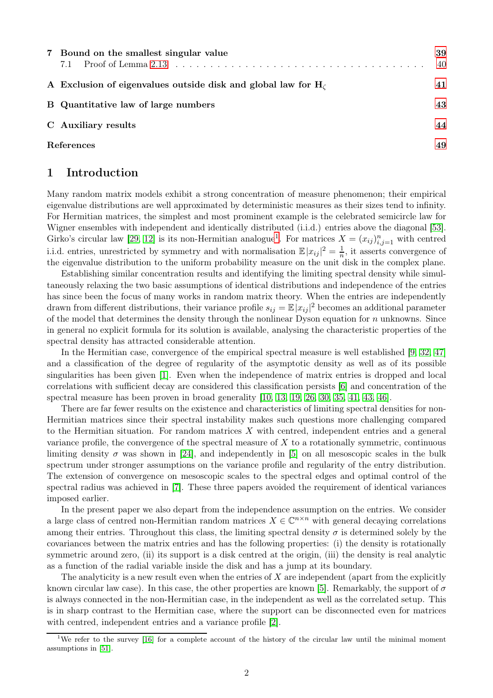| 7 Bound on the smallest singular value<br>Proof of Lemma 2.13 $\dots \dots \dots \dots \dots \dots \dots \dots \dots \dots \dots \dots \dots \dots \dots \dots$<br>7.1 | 39<br>40 |
|------------------------------------------------------------------------------------------------------------------------------------------------------------------------|----------|
| A Exclusion of eigenvalues outside disk and global law for $H_c$                                                                                                       | 41       |
| B Quantitative law of large numbers                                                                                                                                    | 43       |
| C Auxiliary results                                                                                                                                                    | 44       |
| References                                                                                                                                                             |          |

### <span id="page-1-0"></span>1 Introduction

Many random matrix models exhibit a strong concentration of measure phenomenon; their empirical eigenvalue distributions are well approximated by deterministic measures as their sizes tend to infinity. For Hermitian matrices, the simplest and most prominent example is the celebrated semicircle law for Wigner ensembles with independent and identically distributed (i.i.d.) entries above the diagonal [\[53\]](#page-50-0). Girko's circular law [\[29,](#page-49-0) [12\]](#page-48-1) is its non-Hermitian analogue<sup>[1](#page-1-1)</sup>. For matrices  $X = (x_{ij})_{i,j=1}^n$  with centred i.i.d. entries, unrestricted by symmetry and with normalisation  $\mathbb{E}|x_{ij}|^2 = \frac{1}{n}$  $\frac{1}{n}$ , it asserts convergence of the eigenvalue distribution to the uniform probability measure on the unit disk in the complex plane.

Establishing similar concentration results and identifying the limiting spectral density while simultaneously relaxing the two basic assumptions of identical distributions and independence of the entries has since been the focus of many works in random matrix theory. When the entries are independently drawn from different distributions, their variance profile  $s_{ij} = \mathbb{E} |x_{ij}|^2$  becomes an additional parameter of the model that determines the density through the nonlinear Dyson equation for  $n$  unknowns. Since in general no explicit formula for its solution is available, analysing the characteristic properties of the spectral density has attracted considerable attention.

In the Hermitian case, convergence of the empirical spectral measure is well established [\[9,](#page-48-2) [32,](#page-49-1) [47\]](#page-50-1) and a classification of the degree of regularity of the asymptotic density as well as of its possible singularities has been given [\[1\]](#page-48-3). Even when the independence of matrix entries is dropped and local correlations with sufficient decay are considered this classification persists [\[6\]](#page-48-4) and concentration of the spectral measure has been proven in broad generality [\[10,](#page-48-5) [13,](#page-48-6) [19,](#page-48-7) [26,](#page-49-2) [30,](#page-49-3) [35,](#page-49-4) [41,](#page-49-5) [43,](#page-49-6) [46\]](#page-50-2).

There are far fewer results on the existence and characteristics of limiting spectral densities for non-Hermitian matrices since their spectral instability makes such questions more challenging compared to the Hermitian situation. For random matrices  $X$  with centred, independent entries and a general variance profile, the convergence of the spectral measure of  $X$  to a rotationally symmetric, continuous limiting density  $\sigma$  was shown in [\[24\]](#page-49-7), and independently in [\[5\]](#page-48-8) on all mesoscopic scales in the bulk spectrum under stronger assumptions on the variance profile and regularity of the entry distribution. The extension of convergence on mesoscopic scales to the spectral edges and optimal control of the spectral radius was achieved in [\[7\]](#page-48-9). These three papers avoided the requirement of identical variances imposed earlier.

In the present paper we also depart from the independence assumption on the entries. We consider a large class of centred non-Hermitian random matrices  $X \in \mathbb{C}^{n \times n}$  with general decaying correlations among their entries. Throughout this class, the limiting spectral density  $\sigma$  is determined solely by the covariances between the matrix entries and has the following properties: (i) the density is rotationally symmetric around zero, (ii) its support is a disk centred at the origin, (iii) the density is real analytic as a function of the radial variable inside the disk and has a jump at its boundary.

The analyticity is a new result even when the entries of  $X$  are independent (apart from the explicitly known circular law case). In this case, the other properties are known [\[5\]](#page-48-8). Remarkably, the support of  $\sigma$ is always connected in the non-Hermitian case, in the independent as well as the correlated setup. This is in sharp contrast to the Hermitian case, where the support can be disconnected even for matrices with centred, independent entries and a variance profile [\[2\]](#page-48-10).

<span id="page-1-1"></span><sup>&</sup>lt;sup>1</sup>We refer to the survey [\[16\]](#page-48-11) for a complete account of the history of the circular law until the minimal moment assumptions in [\[51\]](#page-50-3).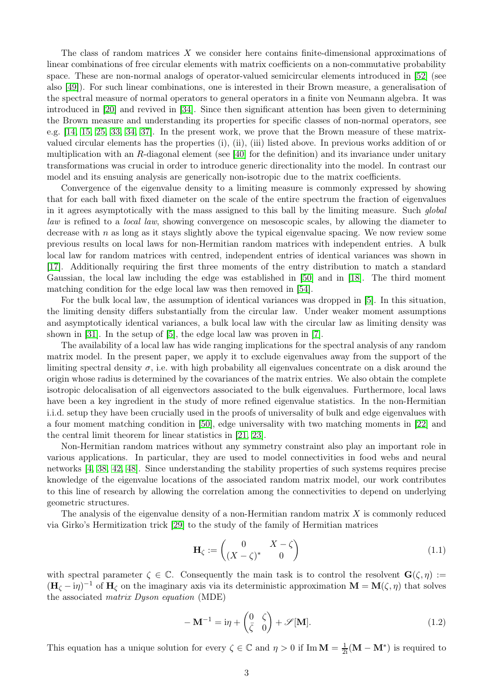The class of random matrices X we consider here contains finite-dimensional approximations of linear combinations of free circular elements with matrix coefficients on a non-commutative probability space. These are non-normal analogs of operator-valued semicircular elements introduced in [\[52\]](#page-50-4) (see also [\[49\]](#page-50-5)). For such linear combinations, one is interested in their Brown measure, a generalisation of the spectral measure of normal operators to general operators in a finite von Neumann algebra. It was introduced in [\[20\]](#page-49-8) and revived in [\[34\]](#page-49-9). Since then significant attention has been given to determining the Brown measure and understanding its properties for specific classes of non-normal operators, see e.g. [\[14,](#page-48-12) [15,](#page-48-13) [25,](#page-49-10) [33,](#page-49-11) [34,](#page-49-9) [37\]](#page-49-12). In the present work, we prove that the Brown measure of these matrixvalued circular elements has the properties (i), (ii), (iii) listed above. In previous works addition of or multiplication with an R-diagonal element (see [\[40\]](#page-49-13) for the definition) and its invariance under unitary transformations was crucial in order to introduce generic directionality into the model. In contrast our model and its ensuing analysis are generically non-isotropic due to the matrix coefficients.

Convergence of the eigenvalue density to a limiting measure is commonly expressed by showing that for each ball with fixed diameter on the scale of the entire spectrum the fraction of eigenvalues in it agrees asymptotically with the mass assigned to this ball by the limiting measure. Such global law is refined to a *local law*, showing convergence on mesoscopic scales, by allowing the diameter to decrease with  $n$  as long as it stays slightly above the typical eigenvalue spacing. We now review some previous results on local laws for non-Hermitian random matrices with independent entries. A bulk local law for random matrices with centred, independent entries of identical variances was shown in [\[17\]](#page-48-14). Additionally requiring the first three moments of the entry distribution to match a standard Gaussian, the local law including the edge was established in [\[50\]](#page-50-6) and in [\[18\]](#page-48-15). The third moment matching condition for the edge local law was then removed in [\[54\]](#page-50-7).

For the bulk local law, the assumption of identical variances was dropped in [\[5\]](#page-48-8). In this situation, the limiting density differs substantially from the circular law. Under weaker moment assumptions and asymptotically identical variances, a bulk local law with the circular law as limiting density was shown in [\[31\]](#page-49-14). In the setup of [\[5\]](#page-48-8), the edge local law was proven in [\[7\]](#page-48-9).

The availability of a local law has wide ranging implications for the spectral analysis of any random matrix model. In the present paper, we apply it to exclude eigenvalues away from the support of the limiting spectral density  $\sigma$ , i.e. with high probability all eigenvalues concentrate on a disk around the origin whose radius is determined by the covariances of the matrix entries. We also obtain the complete isotropic delocalisation of all eigenvectors associated to the bulk eigenvalues. Furthermore, local laws have been a key ingredient in the study of more refined eigenvalue statistics. In the non-Hermitian i.i.d. setup they have been crucially used in the proofs of universality of bulk and edge eigenvalues with a four moment matching condition in [\[50\]](#page-50-6), edge universality with two matching moments in [\[22\]](#page-49-15) and the central limit theorem for linear statistics in [\[21,](#page-49-16) [23\]](#page-49-17).

Non-Hermitian random matrices without any symmetry constraint also play an important role in various applications. In particular, they are used to model connectivities in food webs and neural networks [\[4,](#page-48-16) [38,](#page-49-18) [42,](#page-49-19) [48\]](#page-50-8). Since understanding the stability properties of such systems requires precise knowledge of the eigenvalue locations of the associated random matrix model, our work contributes to this line of research by allowing the correlation among the connectivities to depend on underlying geometric structures.

The analysis of the eigenvalue density of a non-Hermitian random matrix  $X$  is commonly reduced via Girko's Hermitization trick [\[29\]](#page-49-0) to the study of the family of Hermitian matrices

$$
\mathbf{H}_{\zeta} := \begin{pmatrix} 0 & X - \zeta \\ (X - \zeta)^* & 0 \end{pmatrix} \tag{1.1}
$$

<span id="page-2-1"></span>with spectral parameter  $\zeta \in \mathbb{C}$ . Consequently the main task is to control the resolvent  $\mathbf{G}(\zeta, \eta) :=$  $(\mathbf{H}_{\zeta} - i\eta)^{-1}$  of  $\mathbf{H}_{\zeta}$  on the imaginary axis via its deterministic approximation  $\mathbf{M} = \mathbf{M}(\zeta, \eta)$  that solves the associated matrix Dyson equation (MDE)

<span id="page-2-0"></span>
$$
-\mathbf{M}^{-1} = i\eta + \begin{pmatrix} 0 & \zeta \\ \bar{\zeta} & 0 \end{pmatrix} + \mathscr{S}[\mathbf{M}].
$$
 (1.2)

This equation has a unique solution for every  $\zeta \in \mathbb{C}$  and  $\eta > 0$  if Im  $\mathbf{M} = \frac{1}{2i}(\mathbf{M} - \mathbf{M}^*)$  is required to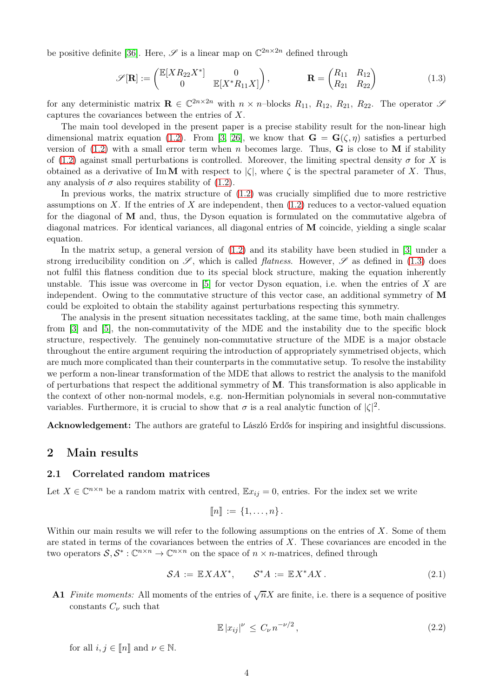be positive definite [\[36\]](#page-49-20). Here,  $\mathscr S$  is a linear map on  $\mathbb C^{2n \times 2n}$  defined through

<span id="page-3-2"></span>
$$
\mathscr{S}[\mathbf{R}] := \begin{pmatrix} \mathbb{E}[XR_{22}X^*] & 0 \\ 0 & \mathbb{E}[X^*R_{11}X] \end{pmatrix}, \qquad \mathbf{R} = \begin{pmatrix} R_{11} & R_{12} \\ R_{21} & R_{22} \end{pmatrix}
$$
(1.3)

for any deterministic matrix  $\mathbf{R} \in \mathbb{C}^{2n \times 2n}$  with  $n \times n$ -blocks  $R_{11}$ ,  $R_{12}$ ,  $R_{21}$ ,  $R_{22}$ . The operator  $\mathscr{S}$ captures the covariances between the entries of X.

The main tool developed in the present paper is a precise stability result for the non-linear high dimensional matrix equation [\(1.2\)](#page-2-0). From [\[3,](#page-48-17) [26\]](#page-49-2), we know that  $\mathbf{G} = \mathbf{G}(\zeta, \eta)$  satisfies a perturbed version of  $(1.2)$  with a small error term when n becomes large. Thus, **G** is close to **M** if stability of [\(1.2\)](#page-2-0) against small perturbations is controlled. Moreover, the limiting spectral density  $\sigma$  for X is obtained as a derivative of ImM with respect to  $|\zeta|$ , where  $\zeta$  is the spectral parameter of X. Thus, any analysis of  $\sigma$  also requires stability of [\(1.2\)](#page-2-0).

In previous works, the matrix structure of [\(1.2\)](#page-2-0) was crucially simplified due to more restrictive assumptions on  $X$ . If the entries of  $X$  are independent, then  $(1.2)$  reduces to a vector-valued equation for the diagonal of M and, thus, the Dyson equation is formulated on the commutative algebra of diagonal matrices. For identical variances, all diagonal entries of M coincide, yielding a single scalar equation.

In the matrix setup, a general version of [\(1.2\)](#page-2-0) and its stability have been studied in [\[3\]](#page-48-17) under a strong irreducibility condition on  $\mathscr{S}$ , which is called *flatness*. However,  $\mathscr{S}$  as defined in [\(1.3\)](#page-3-2) does not fulfil this flatness condition due to its special block structure, making the equation inherently unstable. This issue was overcome in  $[5]$  for vector Dyson equation, i.e. when the entries of X are independent. Owing to the commutative structure of this vector case, an additional symmetry of M could be exploited to obtain the stability against perturbations respecting this symmetry.

The analysis in the present situation necessitates tackling, at the same time, both main challenges from [\[3\]](#page-48-17) and [\[5\]](#page-48-8), the non-commutativity of the MDE and the instability due to the specific block structure, respectively. The genuinely non-commutative structure of the MDE is a major obstacle throughout the entire argument requiring the introduction of appropriately symmetrised objects, which are much more complicated than their counterparts in the commutative setup. To resolve the instability we perform a non-linear transformation of the MDE that allows to restrict the analysis to the manifold of perturbations that respect the additional symmetry of M. This transformation is also applicable in the context of other non-normal models, e.g. non-Hermitian polynomials in several non-commutative variables. Furthermore, it is crucial to show that  $\sigma$  is a real analytic function of  $|\zeta|^2$ .

<span id="page-3-0"></span>Acknowledgement: The authors are grateful to László Erdős for inspiring and insightful discussions.

### <span id="page-3-1"></span>2 Main results

#### 2.1 Correlated random matrices

Let  $X \in \mathbb{C}^{n \times n}$  be a random matrix with centred,  $\mathbb{E}x_{ij} = 0$ , entries. For the index set we write

$$
\llbracket n \rrbracket := \{1,\ldots,n\}.
$$

Within our main results we will refer to the following assumptions on the entries of  $X$ . Some of them are stated in terms of the covariances between the entries of  $X$ . These covariances are encoded in the two operators  $S, S^* : \mathbb{C}^{n \times n} \to \mathbb{C}^{n \times n}$  on the space of  $n \times n$ -matrices, defined through

$$
\mathcal{S}A := \mathbb{E}XAX^*, \qquad \mathcal{S}^*A := \mathbb{E}X^*AX. \tag{2.1}
$$

<span id="page-3-4"></span><span id="page-3-3"></span>**A1** Finite moments: All moments of the entries of  $\sqrt{n}X$  are finite, i.e. there is a sequence of positive constants  $C_{\nu}$  such that

$$
\mathbb{E}|x_{ij}|^{\nu} \le C_{\nu} n^{-\nu/2},\tag{2.2}
$$

for all  $i, j \in \llbracket n \rrbracket$  and  $\nu \in \mathbb{N}$ .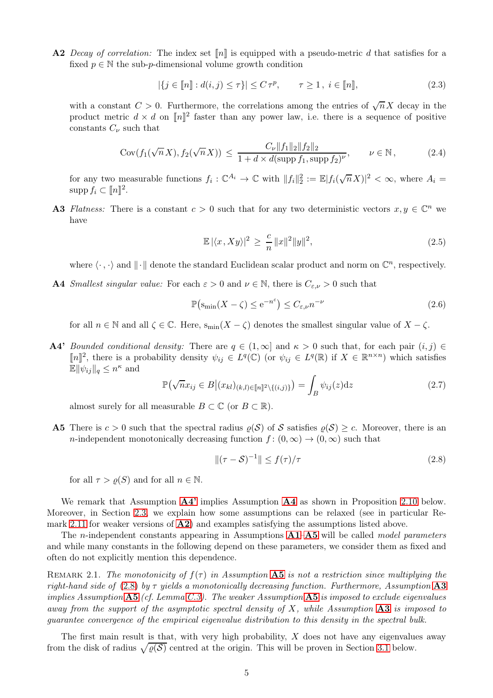<span id="page-4-2"></span>A2 Decay of correlation: The index set  $\llbracket n \rrbracket$  is equipped with a pseudo-metric d that satisfies for a fixed  $p \in \mathbb{N}$  the sub-p-dimensional volume growth condition

<span id="page-4-7"></span>
$$
|\{j \in [\![n]\!]: d(i,j) \le \tau\}| \le C\,\tau^p, \qquad \tau \ge 1, \ i \in [\![n]\!],\tag{2.3}
$$

with a constant  $C > 0$ . Furthermore, the correlations among the entries of  $\sqrt{n} X$  decay in the product metric  $d \times d$  on  $[\![n]\!]^2$  faster than any power law, i.e. there is a sequence of positive constants  $C_{\nu}$  such that

$$
Cov(f_1(\sqrt{n}X), f_2(\sqrt{n}X)) \le \frac{C_{\nu} \|f_1\|_2 \|f_2\|_2}{1 + d \times d(\text{supp } f_1, \text{supp } f_2)^{\nu}}, \qquad \nu \in \mathbb{N},
$$
 (2.4)

<span id="page-4-6"></span>for any two measurable functions  $f_i: \mathbb{C}^{A_i} \to \mathbb{C}$  with  $||f_i||_2^2 := \mathbb{E}|f_i(\sqrt{n}X)|^2 < \infty$ , where  $A_i =$  $\text{supp}\, f_i \subset [ \![ n ] \!]^2.$ 

<span id="page-4-5"></span>**A3** Flatness: There is a constant  $c > 0$  such that for any two deterministic vectors  $x, y \in \mathbb{C}^n$  we have

$$
\mathbb{E}|\langle x, Xy \rangle|^2 \ge \frac{c}{n} \|x\|^2 \|y\|^2,\tag{2.5}
$$

where  $\langle \cdot , \cdot \rangle$  and  $\|\cdot\|$  denote the standard Euclidean scalar product and norm on  $\mathbb{C}^n$ , respectively.

<span id="page-4-1"></span>**A4** Smallest singular value: For each  $\varepsilon > 0$  and  $\nu \in \mathbb{N}$ , there is  $C_{\varepsilon,\nu} > 0$  such that

$$
\mathbb{P}\left(\mathbf{s}_{\min}(X-\zeta)\leq e^{-n^{\varepsilon}}\right)\leq C_{\varepsilon,\nu}n^{-\nu}\tag{2.6}
$$

for all  $n \in \mathbb{N}$  and all  $\zeta \in \mathbb{C}$ . Here,  $s_{\min}(X - \zeta)$  denotes the smallest singular value of  $X - \zeta$ .

<span id="page-4-0"></span>A4' Bounded conditional density: There are  $q \in (1,\infty]$  and  $\kappa > 0$  such that, for each pair  $(i, j) \in$ [n]<sup>2</sup>, there is a probability density  $ψ_{ij} ∈ L<sup>q</sup>(\mathbb{C})$  (or  $ψ_{ij} ∈ L<sup>q</sup>(\mathbb{R})$  if  $X ∈ \mathbb{R}^{n\times n}$ ) which satisfies  $\mathbb{E} \Vert \psi_{ij} \Vert_q \leq n^{\kappa}$  and

<span id="page-4-8"></span>
$$
\mathbb{P}\left(\sqrt{n}x_{ij} \in B \middle| (x_{kl})_{(k,l)\in[\![n]\!]^2 \setminus \{(i,j)\}}\right) = \int_B \psi_{ij}(z) \mathrm{d}z \tag{2.7}
$$

almost surely for all measurable  $B \subset \mathbb{C}$  (or  $B \subset \mathbb{R}$ ).

<span id="page-4-3"></span>**A5** There is  $c > 0$  such that the spectral radius  $\rho(S)$  of S satisfies  $\rho(S) \geq c$ . Moreover, there is an n-independent monotonically decreasing function  $f : (0, \infty) \to (0, \infty)$  such that

<span id="page-4-4"></span>
$$
\| (\tau - S)^{-1} \| \le f(\tau) / \tau \tag{2.8}
$$

for all  $\tau > \rho(S)$  and for all  $n \in \mathbb{N}$ .

We remark that Assumption  $\mathbf{A}^T$  implies Assumption  $\mathbf{A}^T$  as shown in Proposition [2.10](#page-7-2) below. Moreover, in Section [2.3,](#page-7-0) we explain how some assumptions can be relaxed (see in particular Remark [2.11](#page-7-3) for weaker versions of [A2](#page-4-2)) and examples satisfying the assumptions listed above.

The *n*-independent constants appearing in Assumptions  $A1-A5$  $A1-A5$  $A1-A5$  will be called model parameters and while many constants in the following depend on these parameters, we consider them as fixed and often do not explicitly mention this dependence.

REMARK 2.1. The monotonicity of  $f(\tau)$  in Assumption [A5](#page-4-3) is not a restriction since multiplying the right-hand side of [\(2.8\)](#page-4-4) by  $\tau$  yields a monotonically decreasing function. Furthermore, Assumption [A3](#page-4-5) implies Assumption  $\mathbf{A5}$  $\mathbf{A5}$  $\mathbf{A5}$  (cf. Lemma [C.3\)](#page-46-0). The weaker Assumption  $\mathbf{A5}$  is imposed to exclude eigenvalues away from the support of the asymptotic spectral density of  $X$ , while Assumption  $\mathbf{A3}$  $\mathbf{A3}$  $\mathbf{A3}$  is imposed to guarantee convergence of the empirical eigenvalue distribution to this density in the spectral bulk.

The first main result is that, with very high probability,  $X$  does not have any eigenvalues away from the disk of radius  $\sqrt{\varrho(\mathcal{S})}$  centred at the origin. This will be proven in Section [3.1](#page-9-0) below.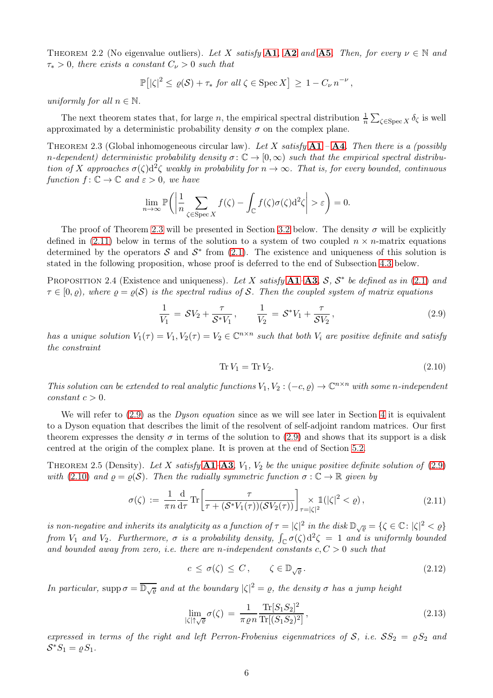<span id="page-5-5"></span>THEOREM 2.2 (No eigenvalue outliers). Let X satisfy [A1](#page-3-3), [A2](#page-4-2) and [A5](#page-4-3). Then, for every  $\nu \in \mathbb{N}$  and  $\tau_* > 0$ , there exists a constant  $C_{\nu} > 0$  such that

$$
\mathbb{P}\big[ |\zeta|^2 \leq \varrho(\mathcal{S}) + \tau_* \text{ for all } \zeta \in \operatorname{Spec} X \big] \geq 1 - C_{\nu} n^{-\nu},
$$

uniformly for all  $n \in \mathbb{N}$ .

The next theorem states that, for large n, the empirical spectral distribution  $\frac{1}{n} \sum_{\zeta \in \text{Spec } X} \delta_{\zeta}$  is well approximated by a deterministic probability density  $\sigma$  on the complex plane.

<span id="page-5-0"></span>THEOREM 2.3 (Global inhomogeneous circular law). Let X satisfy  $A1 - A4$  $A1 - A4$  $A1 - A4$ . Then there is a (possibly n-dependent) deterministic probability density  $\sigma: \mathbb{C} \to [0,\infty)$  such that the empirical spectral distribution of X approaches  $\sigma(\zeta) d^2 \zeta$  weakly in probability for  $n \to \infty$ . That is, for every bounded, continuous function  $f: \mathbb{C} \to \mathbb{C}$  and  $\varepsilon > 0$ , we have

$$
\lim_{n \to \infty} \mathbb{P}\bigg( \bigg| \frac{1}{n} \sum_{\zeta \in \text{Spec } X} f(\zeta) - \int_{\mathbb{C}} f(\zeta) \sigma(\zeta) d^2 \zeta \bigg| > \varepsilon \bigg) = 0.
$$

The proof of Theorem [2.3](#page-5-0) will be presented in Section [3.2](#page-11-0) below. The density  $\sigma$  will be explicitly defined in [\(2.11\)](#page-5-1) below in terms of the solution to a system of two coupled  $n \times n$ -matrix equations determined by the operators  $S$  and  $S^*$  from [\(2.1\)](#page-3-4). The existence and uniqueness of this solution is stated in the following proposition, whose proof is deferred to the end of Subsection [4.3](#page-21-0) below.

<span id="page-5-6"></span>PROPOSITION 2.4 (Existence and uniqueness). Let X satisfy  $A1-A3$  $A1-A3$  $A1-A3$ , S,  $S^*$  be defined as in [\(2.1\)](#page-3-4) and  $\tau \in [0, \rho)$ , where  $\rho = \rho(\mathcal{S})$  is the spectral radius of S. Then the coupled system of matrix equations

$$
\frac{1}{V_1} = SV_2 + \frac{\tau}{S^*V_1}, \qquad \frac{1}{V_2} = S^*V_1 + \frac{\tau}{SV_2}, \qquad (2.9)
$$

<span id="page-5-2"></span>has a unique solution  $V_1(\tau) = V_1, V_2(\tau) = V_2 \in \mathbb{C}^{n \times n}$  such that both  $V_i$  are positive definite and satisfy the constraint

$$
\operatorname{Tr} V_1 = \operatorname{Tr} V_2. \tag{2.10}
$$

<span id="page-5-3"></span>This solution can be extended to real analytic functions  $V_1, V_2: (-c, \rho) \to \mathbb{C}^{n \times n}$  with some n-independent  $constant \ c > 0.$ 

We will refer to  $(2.9)$  as the *Dyson equation* since as we will see later in Section [4](#page-14-0) it is equivalent to a Dyson equation that describes the limit of the resolvent of self-adjoint random matrices. Our first theorem expresses the density  $\sigma$  in terms of the solution to [\(2.9\)](#page-5-2) and shows that its support is a disk centred at the origin of the complex plane. It is proven at the end of Section [5.2.](#page-29-0)

<span id="page-5-4"></span>THEOREM 2.5 (Density). Let X satisfy  $A1-A3$  $A1-A3$  $A1-A3$ ,  $V_1$ ,  $V_2$  be the unique positive definite solution of [\(2.9\)](#page-5-2) with [\(2.10\)](#page-5-3) and  $\rho = \rho(\mathcal{S})$ . Then the radially symmetric function  $\sigma : \mathbb{C} \to \mathbb{R}$  given by

$$
\sigma(\zeta) := \frac{1}{\pi n} \frac{\mathrm{d}}{\mathrm{d}\tau} \mathrm{Tr} \left[ \frac{\tau}{\tau + (\mathcal{S}^* V_1(\tau)) (\mathcal{S} V_2(\tau))} \right]_{\tau = |\zeta|^2} \times \mathbb{1}(|\zeta|^2 < \varrho), \tag{2.11}
$$

<span id="page-5-1"></span>is non-negative and inherits its analyticity as a function of  $\tau = |\zeta|^2$  in the disk  $\mathbb{D}_{\sqrt{\varrho}} = \{\zeta \in \mathbb{C} : |\zeta|^2 < \varrho\}$ from  $V_1$  and  $V_2$ . Furthermore,  $\sigma$  is a probability density,  $\int_{\mathbb{C}} \sigma(\zeta) d^2 \zeta = 1$  and is uniformly bounded and bounded away from zero, i.e. there are n-independent constants  $c, C > 0$  such that

$$
c \le \sigma(\zeta) \le C, \qquad \zeta \in \mathbb{D}_{\sqrt{\varrho}}.\tag{2.12}
$$

<span id="page-5-7"></span>In particular, supp  $\sigma = \overline{\mathbb{D}_{\sqrt{\varrho}}}$  and at the boundary  $|\zeta|^2 = \varrho$ , the density  $\sigma$  has a jump height

$$
\lim_{|\zeta| \uparrow \sqrt{\varrho}} \sigma(\zeta) = \frac{1}{\pi \varrho n} \frac{\operatorname{Tr}[S_1 S_2]^2}{\operatorname{Tr}[(S_1 S_2)^2]},
$$
\n(2.13)

<span id="page-5-8"></span>expressed in terms of the right and left Perron-Frobenius eigenmatrices of S, i.e.  $SS_2 = \varrho S_2$  and  $S^*S_1 = \varrho S_1.$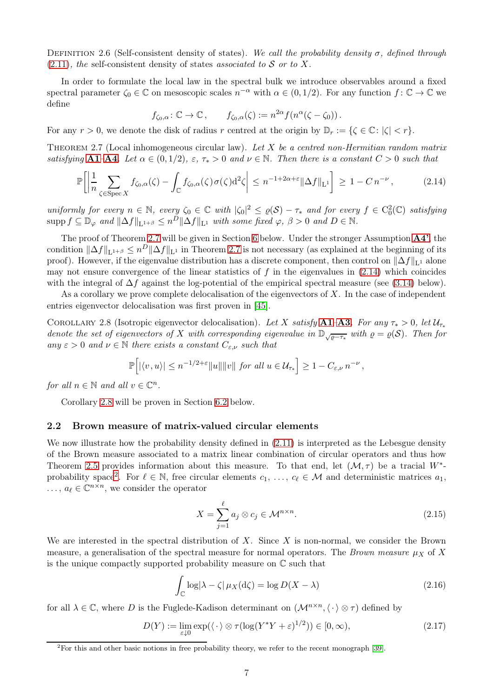Definition 2.6 (Self-consistent density of states). We call the probability density σ, defined through  $(2.11)$ , the self-consistent density of states associated to S or to X.

In order to formulate the local law in the spectral bulk we introduce observables around a fixed spectral parameter  $\zeta_0 \in \mathbb{C}$  on mesoscopic scales  $n^{-\alpha}$  with  $\alpha \in (0, 1/2)$ . For any function  $f: \mathbb{C} \to \mathbb{C}$  we define

$$
f_{\zeta_0,\alpha}\colon \mathbb{C}\to \mathbb{C}\,,\qquad f_{\zeta_0,\alpha}(\zeta):=n^{2\alpha}f(n^{\alpha}(\zeta-\zeta_0))\,.
$$

For any  $r > 0$ , we denote the disk of radius r centred at the origin by  $\mathbb{D}_r := \{ \zeta \in \mathbb{C} : |\zeta| < r \}.$ 

<span id="page-6-1"></span>THEOREM 2.7 (Local inhomogeneous circular law). Let  $X$  be a centred non-Hermitian random matrix satisfying [A1](#page-3-3)–[A4](#page-4-1). Let  $\alpha \in (0, 1/2)$ ,  $\varepsilon$ ,  $\tau_* > 0$  and  $\nu \in \mathbb{N}$ . Then there is a constant  $C > 0$  such that

<span id="page-6-2"></span>
$$
\mathbb{P}\bigg[\bigg|\frac{1}{n}\sum_{\zeta \in \operatorname{Spec} X} f_{\zeta_0,\alpha}(\zeta) - \int_{\mathbb{C}} f_{\zeta_0,\alpha}(\zeta)\sigma(\zeta) \mathrm{d}^2\zeta\bigg| \le n^{-1+2\alpha+\varepsilon} \|\Delta f\|_{\mathcal{L}^1}\bigg] \ge 1 - C\,n^{-\nu}\,,\tag{2.14}
$$

uniformly for every  $n \in \mathbb{N}$ , every  $\zeta_0 \in \mathbb{C}$  with  $|\zeta_0|^2 \leq \varrho(\mathcal{S}) - \tau_*$  and for every  $f \in C_0^2(\mathbb{C})$  satisfying  $\text{supp}\, f \subseteq \mathbb{D}_{\varphi}$  and  $\|\Delta f\|_{\mathbf{L}^{1+\beta}} \leq n^D \|\Delta f\|_{\mathbf{L}^{1}}$  with some fixed  $\varphi, \beta > 0$  and  $D \in \mathbb{N}$ .

The proof of Theorem [2.7](#page-6-1) will be given in Section [6](#page-34-0) below. Under the stronger Assumption [A4'](#page-4-0), the condition  $\|\Delta f\|_{\mathbf{L}^{1+\beta}} \leq n^D \|\Delta f\|_{\mathbf{L}^{1}}$  in Theorem [2.7](#page-6-1) is not necessary (as explained at the beginning of its proof). However, if the eigenvalue distribution has a discrete component, then control on  $\|\Delta f\|_{\mathbf{L}^1}$  alone may not ensure convergence of the linear statistics of f in the eigenvalues in  $(2.14)$  which coincides with the integral of  $\Delta f$  against the log-potential of the empirical spectral measure (see [\(3.14\)](#page-11-2) below).

As a corollary we prove complete delocalisation of the eigenvectors of  $X$ . In the case of independent entries eigenvector delocalisation was first proven in [\[45\]](#page-50-9).

<span id="page-6-3"></span>COROLLARY 2.8 (Isotropic eigenvector delocalisation). Let X satisfy [A1](#page-3-3)–[A3](#page-4-5). For any  $\tau_* > 0$ , let  $\mathcal{U}_{\tau_*}$ denote the set of eigenvectors of X with corresponding eigenvalue in  $\mathbb{D}_{\sqrt{\varrho-\tau_*}}$  with  $\varrho=\varrho(\mathcal{S})$ . Then for any  $\varepsilon > 0$  and  $\nu \in \mathbb{N}$  there exists a constant  $C_{\varepsilon,\nu}$  such that

$$
\mathbb{P}\Big[|\langle v,u\rangle| \leq n^{-1/2+\varepsilon} \|u\| \|v\| \text{ for all } u \in \mathcal{U}_{\tau_*}\Big] \geq 1-C_{\varepsilon,\nu} \, n^{-\nu} \,,
$$

for all  $n \in \mathbb{N}$  and all  $v \in \mathbb{C}^n$ .

Corollary [2.8](#page-6-3) will be proven in Section [6.2](#page-38-0) below.

#### <span id="page-6-0"></span>2.2 Brown measure of matrix-valued circular elements

We now illustrate how the probability density defined in  $(2.11)$  is interpreted as the Lebesgue density of the Brown measure associated to a matrix linear combination of circular operators and thus how Theorem [2.5](#page-5-4) provides information about this measure. To that end, let  $(\mathcal{M}, \tau)$  be a tracial  $W^*$ -probability space<sup>[2](#page-6-4)</sup>. For  $\ell \in \mathbb{N}$ , free circular elements  $c_1, \ldots, c_{\ell} \in \mathcal{M}$  and deterministic matrices  $a_1$ ,  $\dots, a_{\ell} \in \mathbb{C}^{n \times n}$ , we consider the operator

<span id="page-6-5"></span>
$$
X = \sum_{j=1}^{\ell} a_j \otimes c_j \in \mathcal{M}^{n \times n}.
$$
\n(2.15)

We are interested in the spectral distribution of  $X$ . Since  $X$  is non-normal, we consider the Brown measure, a generalisation of the spectral measure for normal operators. The Brown measure  $\mu_X$  of X is the unique compactly supported probability measure on  $\mathbb C$  such that

<span id="page-6-6"></span>
$$
\int_{\mathbb{C}} \log|\lambda - \zeta| \,\mu_X(\mathrm{d}\zeta) = \log D(X - \lambda) \tag{2.16}
$$

for all  $\lambda \in \mathbb{C}$ , where D is the Fuglede-Kadison determinant on  $(\mathcal{M}^{n \times n}, \langle \cdot \rangle \otimes \tau)$  defined by

<span id="page-6-7"></span>
$$
D(Y) := \lim_{\varepsilon \downarrow 0} \exp(\langle \cdot \rangle \otimes \tau(\log(Y^*Y + \varepsilon)^{1/2})) \in [0, \infty), \tag{2.17}
$$

<span id="page-6-4"></span><sup>2</sup>For this and other basic notions in free probability theory, we refer to the recent monograph [\[39\]](#page-49-21).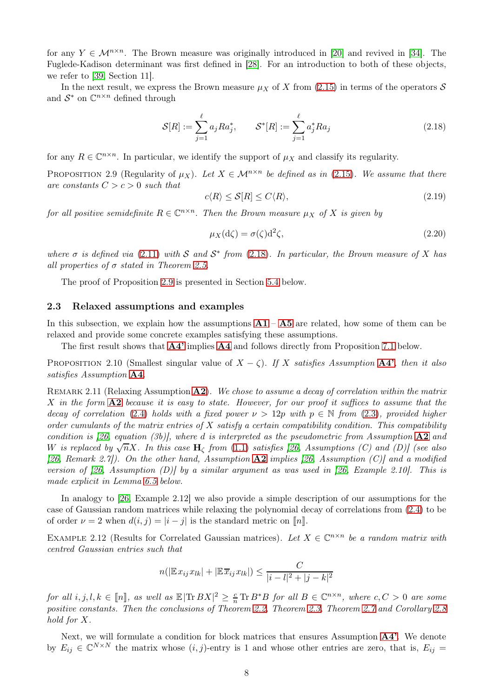for any  $Y \in \mathcal{M}^{n \times n}$ . The Brown measure was originally introduced in [\[20\]](#page-49-8) and revived in [\[34\]](#page-49-9). The Fuglede-Kadison determinant was first defined in [\[28\]](#page-49-22). For an introduction to both of these objects, we refer to [\[39,](#page-49-21) Section 11].

In the next result, we express the Brown measure  $\mu_X$  of X from [\(2.15\)](#page-6-5) in terms of the operators S and  $S^*$  on  $\mathbb{C}^{n \times n}$  defined through

<span id="page-7-4"></span>
$$
S[R] := \sum_{j=1}^{\ell} a_j R a_j^*, \qquad S^*[R] := \sum_{j=1}^{\ell} a_j^* R a_j \tag{2.18}
$$

for any  $R \in \mathbb{C}^{n \times n}$ . In particular, we identify the support of  $\mu_X$  and classify its regularity.

<span id="page-7-1"></span>PROPOSITION 2.9 (Regularity of  $\mu_X$ ). Let  $X \in \mathcal{M}^{n \times n}$  be defined as in [\(2.15\)](#page-6-5). We assume that there are constants  $C > c > 0$  such that

$$
c\langle R \rangle \le \mathcal{S}[R] \le C\langle R \rangle,\tag{2.19}
$$

for all positive semidefinite  $R \in \mathbb{C}^{n \times n}$ . Then the Brown measure  $\mu_X$  of X is given by

<span id="page-7-5"></span>
$$
\mu_X(\mathrm{d}\zeta) = \sigma(\zeta)\mathrm{d}^2\zeta,\tag{2.20}
$$

where  $\sigma$  is defined via [\(2.11\)](#page-5-1) with  $S$  and  $S^*$  from [\(2.18\)](#page-7-4). In particular, the Brown measure of X has all properties of  $\sigma$  stated in Theorem [2.5.](#page-5-4)

The proof of Proposition [2.9](#page-7-1) is presented in Section [5.4](#page-33-0) below.

#### <span id="page-7-0"></span>2.3 Relaxed assumptions and examples

In this subsection, we explain how the assumptions  $A1 - A5$  $A1 - A5$  $A1 - A5$  are related, how some of them can be relaxed and provide some concrete examples satisfying these assumptions.

The first result shows that [A4'](#page-4-0) implies [A4](#page-4-1) and follows directly from Proposition [7.1](#page-38-2) below.

<span id="page-7-2"></span>PROPOSITION 2.10 (Smallest singular value of  $X - \zeta$ ). If X satisfies Assumption [A4'](#page-4-0), then it also satisfies Assumption [A4](#page-4-1).

<span id="page-7-3"></span>REMARK 2.11 (Relaxing Assumption  $\mathbf{A2}$  $\mathbf{A2}$  $\mathbf{A2}$ ). We chose to assume a decay of correlation within the matrix X in the form  $\mathbf{A2}$  $\mathbf{A2}$  $\mathbf{A2}$  because it is easy to state. However, for our proof it suffices to assume that the decay of correlation [\(2.4\)](#page-4-6) holds with a fixed power  $\nu > 12p$  with  $p \in \mathbb{N}$  from [\(2.3\)](#page-4-7), provided higher order cumulants of the matrix entries of X satisfy a certain compatibility condition. This compatibility condition is [\[26,](#page-49-2) equation (3b)], where d is interpreted as the pseudometric from Assumption  $\mathbf{A2}$  $\mathbf{A2}$  $\mathbf{A2}$  and W is replaced by  $\sqrt{n}X$ . In this case  $H_{\zeta}$  from [\(1.1\)](#page-2-1) satisfies [\[26,](#page-49-2) Assumptions (C) and (D)] (see also [\[26,](#page-49-2) Remark 2.7]). On the other hand, Assumption  $\mathbf{A2}$  $\mathbf{A2}$  $\mathbf{A2}$  implies [\[26,](#page-49-2) Assumption (C)] and a modified version of [\[26,](#page-49-2) Assumption (D)] by a similar argument as was used in [26, Example 2.10]. This is made explicit in Lemma [6.5](#page-36-0) below.

In analogy to [\[26,](#page-49-2) Example 2.12] we also provide a simple description of our assumptions for the case of Gaussian random matrices while relaxing the polynomial decay of correlations from [\(2.4\)](#page-4-6) to be of order  $\nu = 2$  when  $d(i, j) = |i - j|$  is the standard metric on  $\lceil n \rceil$ .

EXAMPLE 2.12 (Results for Correlated Gaussian matrices). Let  $X \in \mathbb{C}^{n \times n}$  be a random matrix with centred Gaussian entries such that

$$
n(|\mathbb{E} x_{ij} x_{lk}| + |\mathbb{E} \overline{x}_{ij} x_{lk}|) \leq \frac{C}{|i-l|^2 + |j-k|^2}
$$

for all  $i, j, l, k \in [n]$ , as well as  $\mathbb{E}|\text{Tr } BX|^2 \geq \frac{c}{n} \text{Tr }B^*B$  for all  $B \in \mathbb{C}^{n \times n}$ , where  $c, C > 0$  are some positive constants. Then the conclusions of Theorem [2.2,](#page-5-5) Theorem [2.3,](#page-5-0) Theorem [2.7](#page-6-1) and Corollary [2.8](#page-6-3) hold for X.

Next, we will formulate a condition for block matrices that ensures Assumption [A4'](#page-4-0). We denote by  $E_{ij} \in \mathbb{C}^{N \times N}$  the matrix whose  $(i, j)$ -entry is 1 and whose other entries are zero, that is,  $E_{ij} =$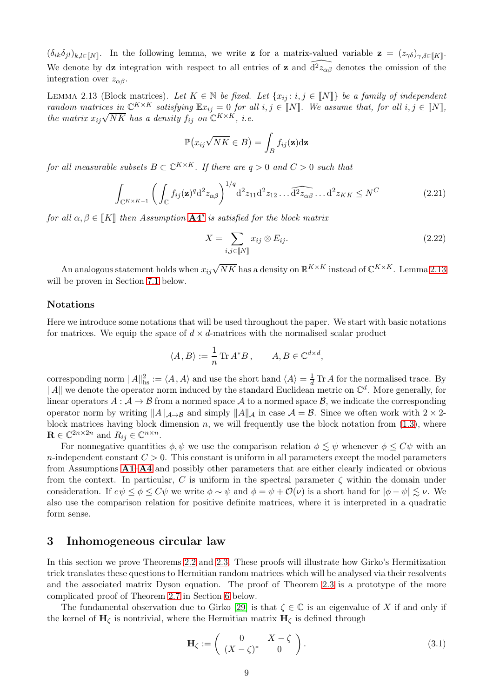$(\delta_{ik}\delta_{jl})_{k,l\in\llbracket N\rrbracket}$ . In the following lemma, we write **z** for a matrix-valued variable **z** =  $(z_{\gamma\delta})_{\gamma,\delta\in\llbracket K\rrbracket}$ . We denote by dz integration with respect to all entries of z and  $\widehat{d^2z_{\alpha\beta}}$  denotes the omission of the integration over  $z_{\alpha\beta}$ .

<span id="page-8-1"></span>LEMMA 2.13 (Block matrices). Let  $K \in \mathbb{N}$  be fixed. Let  $\{x_{ij}: i,j \in \llbracket N \rrbracket\}$  be a family of independent random matrices in  $\mathbb{C}^{K\times K}$  satisfying  $\mathbb{E}x_{ij} = 0$  for all  $i, j \in \llbracket N \rrbracket$ . We assume that, for all  $i, j \in \llbracket N \rrbracket$ , the matrix  $x_{ij}\sqrt{NK}$  has a density  $f_{ij}$  on  $\mathbb{C}^{K\times K}$ , i.e.

$$
\mathbb{P}(x_{ij}\sqrt{NK} \in B) = \int_B f_{ij}(\mathbf{z}) \mathrm{d}\mathbf{z}
$$

for all measurable subsets  $B \subset \mathbb{C}^{K \times K}$ . If there are  $q > 0$  and  $C > 0$  such that

<span id="page-8-4"></span>
$$
\int_{\mathbb{C}^{K\times K-1}}\left(\int_{\mathbb{C}}f_{ij}(\mathbf{z})^q\mathrm{d}^2z_{\alpha\beta}\right)^{1/q}\mathrm{d}^2z_{11}\mathrm{d}^2z_{12}\dots\widehat{\mathrm{d}^2z_{\alpha\beta}}\dots\mathrm{d}^2z_{KK}\leq N^C\tag{2.21}
$$

for all  $\alpha, \beta \in \llbracket K \rrbracket$  then Assumption  $A4'$  is satisfied for the block matrix

<span id="page-8-3"></span>
$$
X = \sum_{i,j \in [\![N]\!]} x_{ij} \otimes E_{ij}.
$$
\n(2.22)

An analogous statement holds when  $x_{ij}\sqrt{NK}$  has a density on  $\mathbb{R}^{K\times K}$  instead of  $\mathbb{C}^{K\times K}$ . Lemma [2.13](#page-8-1) will be proven in Section [7.1](#page-39-0) below.

#### Notations

Here we introduce some notations that will be used throughout the paper. We start with basic notations for matrices. We equip the space of  $d \times d$ -matrices with the normalised scalar product

$$
\langle A, B \rangle := \frac{1}{n} \operatorname{Tr} A^* B, \qquad A, B \in \mathbb{C}^{d \times d},
$$

corresponding norm  $||A||_{\text{hs}}^2 := \langle A, A \rangle$  and use the short hand  $\langle A \rangle = \frac{1}{d} \text{Tr } A$  for the normalised trace. By  $||A||$  we denote the operator norm induced by the standard Euclidean metric on  $\mathbb{C}^d$ . More generally, for linear operators  $A: \mathcal{A} \to \mathcal{B}$  from a normed space  $\mathcal{A}$  to a normed space  $\mathcal{B}$ , we indicate the corresponding operator norm by writing  $||A||_{\mathcal{A}\to\mathcal{B}}$  and simply  $||A||_{\mathcal{A}}$  in case  $\mathcal{A} = \mathcal{B}$ . Since we often work with  $2 \times 2$ block matrices having block dimension  $n$ , we will frequently use the block notation from  $(1.3)$ , where  $\mathbf{R} \in \mathbb{C}^{2n \times 2n}$  and  $R_{ij} \in \mathbb{C}^{n \times n}$ .

For nonnegative quantities  $\phi, \psi$  we use the comparison relation  $\phi \lesssim \psi$  whenever  $\phi \leq C\psi$  with an n-independent constant  $C > 0$ . This constant is uniform in all parameters except the model parameters from Assumptions [A1](#page-3-3)–[A4](#page-4-1) and possibly other parameters that are either clearly indicated or obvious from the context. In particular, C is uniform in the spectral parameter  $\zeta$  within the domain under consideration. If  $c\psi \leq \phi \leq C\psi$  we write  $\phi \sim \psi$  and  $\phi = \psi + \mathcal{O}(\nu)$  is a short hand for  $|\phi - \psi| \leq \nu$ . We also use the comparison relation for positive definite matrices, where it is interpreted in a quadratic form sense.

### <span id="page-8-0"></span>3 Inhomogeneous circular law

In this section we prove Theorems [2.2](#page-5-5) and [2.3.](#page-5-0) These proofs will illustrate how Girko's Hermitization trick translates these questions to Hermitian random matrices which will be analysed via their resolvents and the associated matrix Dyson equation. The proof of Theorem [2.3](#page-5-0) is a prototype of the more complicated proof of Theorem [2.7](#page-6-1) in Section [6](#page-34-0) below.

The fundamental observation due to Girko [\[29\]](#page-49-0) is that  $\zeta \in \mathbb{C}$  is an eigenvalue of X if and only if the kernel of  $H_{\zeta}$  is nontrivial, where the Hermitian matrix  $H_{\zeta}$  is defined through

<span id="page-8-2"></span>
$$
\mathbf{H}_{\zeta} := \begin{pmatrix} 0 & X - \zeta \\ (X - \zeta)^* & 0 \end{pmatrix}.
$$
 (3.1)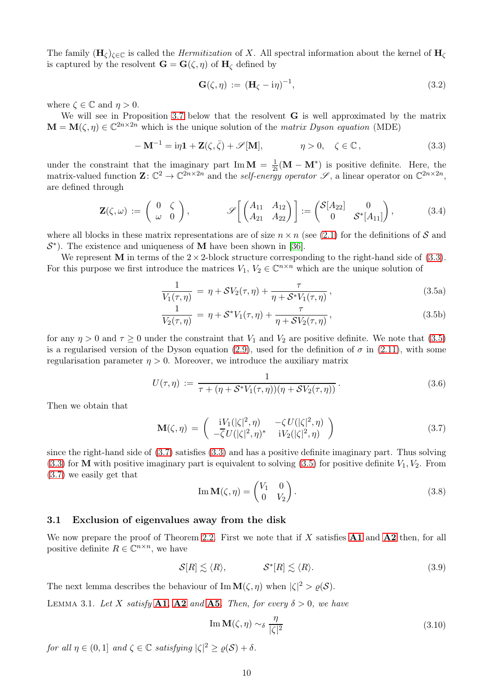The family  $(H_\zeta)_{\zeta \in \mathbb{C}}$  is called the *Hermitization* of X. All spectral information about the kernel of  $H_\zeta$ is captured by the resolvent  $\mathbf{G} = \mathbf{G}(\zeta, \eta)$  of  $\mathbf{H}_{\zeta}$  defined by

$$
\mathbf{G}(\zeta,\eta) := (\mathbf{H}_{\zeta} - i\eta)^{-1},\tag{3.2}
$$

<span id="page-9-11"></span>where  $\zeta \in \mathbb{C}$  and  $\eta > 0$ .

We will see in Proposition [3.7](#page-12-0) below that the resolvent G is well approximated by the matrix  $\mathbf{M} = \mathbf{M}(\zeta, \eta) \in \mathbb{C}^{2n \times 2n}$  which is the unique solution of the *matrix Dyson equation* (MDE)

<span id="page-9-1"></span>
$$
-\mathbf{M}^{-1} = i\eta \mathbf{1} + \mathbf{Z}(\zeta, \bar{\zeta}) + \mathscr{S}[\mathbf{M}], \qquad \eta > 0, \quad \zeta \in \mathbb{C}, \qquad (3.3)
$$

under the constraint that the imaginary part Im  $\mathbf{M} = \frac{1}{2i}(\mathbf{M} - \mathbf{M}^*)$  is positive definite. Here, the matrix-valued function  $\mathbf{Z} \colon \mathbb{C}^2 \to \mathbb{C}^{2n \times 2n}$  and the self-energy operator  $\mathscr{S}$ , a linear operator on  $\mathbb{C}^{2n \times 2n}$ , are defined through

$$
\mathbf{Z}(\zeta,\omega) := \begin{pmatrix} 0 & \zeta \\ \omega & 0 \end{pmatrix}, \qquad \mathscr{S}\left[\begin{pmatrix} A_{11} & A_{12} \\ A_{21} & A_{22} \end{pmatrix}\right] := \begin{pmatrix} \mathcal{S}[A_{22}] & 0 \\ 0 & \mathcal{S}^*[A_{11}] \end{pmatrix}, \qquad (3.4)
$$

<span id="page-9-9"></span>where all blocks in these matrix representations are of size  $n \times n$  (see [\(2.1\)](#page-3-4) for the definitions of S and  $S^*$ ). The existence and uniqueness of **M** have been shown in [\[36\]](#page-49-20).

We represent **M** in terms of the  $2 \times 2$ -block structure corresponding to the right-hand side of  $(3.3)$ . For this purpose we first introduce the matrices  $V_1, V_2 \in \mathbb{C}^{n \times n}$  which are the unique solution of

<span id="page-9-5"></span><span id="page-9-2"></span>
$$
\frac{1}{V_1(\tau,\eta)} = \eta + SV_2(\tau,\eta) + \frac{\tau}{\eta + S^*V_1(\tau,\eta)},
$$
\n(3.5a)

<span id="page-9-6"></span>
$$
\frac{1}{V_2(\tau,\eta)} = \eta + \mathcal{S}^* V_1(\tau,\eta) + \frac{\tau}{\eta + \mathcal{S} V_2(\tau,\eta)},
$$
\n(3.5b)

for any  $\eta > 0$  and  $\tau \ge 0$  under the constraint that  $V_1$  and  $V_2$  are positive definite. We note that [\(3.5\)](#page-9-2) is a regularised version of the Dyson equation [\(2.9\)](#page-5-2), used for the definition of  $\sigma$  in [\(2.11\)](#page-5-1), with some regularisation parameter  $\eta > 0$ . Moreover, we introduce the auxiliary matrix

$$
U(\tau, \eta) := \frac{1}{\tau + (\eta + S^* V_1(\tau, \eta))(\eta + SV_2(\tau, \eta))}.
$$
 (3.6)

<span id="page-9-10"></span><span id="page-9-3"></span>Then we obtain that

$$
\mathbf{M}(\zeta,\eta) = \begin{pmatrix} iV_1(|\zeta|^2,\eta) & -\zeta U(|\zeta|^2,\eta) \\ -\overline{\zeta} U(|\zeta|^2,\eta)^* & iV_2(|\zeta|^2,\eta) \end{pmatrix}
$$
(3.7)

since the right-hand side of [\(3.7\)](#page-9-3) satisfies [\(3.3\)](#page-9-1) and has a positive definite imaginary part. Thus solving  $(3.3)$  for M with positive imaginary part is equivalent to solving  $(3.5)$  for positive definite  $V_1, V_2$ . From [\(3.7\)](#page-9-3) we easily get that

<span id="page-9-8"></span>
$$
\operatorname{Im}\mathbf{M}(\zeta,\eta) = \begin{pmatrix} V_1 & 0 \\ 0 & V_2 \end{pmatrix}.
$$
 (3.8)

#### <span id="page-9-0"></span>3.1 Exclusion of eigenvalues away from the disk

We now prepare the proof of Theorem [2.2.](#page-5-5) First we note that if X satisfies  $\bf{A1}$  $\bf{A1}$  $\bf{A1}$  and  $\bf{A2}$  $\bf{A2}$  $\bf{A2}$  then, for all positive definite  $R \in \mathbb{C}^{n \times n}$ , we have

<span id="page-9-7"></span>
$$
\mathcal{S}[R] \lesssim \langle R \rangle, \qquad \qquad \mathcal{S}^*[R] \lesssim \langle R \rangle. \tag{3.9}
$$

The next lemma describes the behaviour of  $\text{Im}\,\mathbf{M}(\zeta,\eta)$  when  $|\zeta|^2 > \varrho(\mathcal{S})$ .

<span id="page-9-4"></span>LEMMA 3.1. Let X satisfy [A1](#page-3-3), [A2](#page-4-2) and [A5](#page-4-3). Then, for every  $\delta > 0$ , we have

$$
\operatorname{Im}\mathbf{M}(\zeta,\eta) \sim_{\delta} \frac{\eta}{|\zeta|^2} \tag{3.10}
$$

for all  $\eta \in (0,1]$  and  $\zeta \in \mathbb{C}$  satisfying  $|\zeta|^2 \geq \varrho(\mathcal{S}) + \delta$ .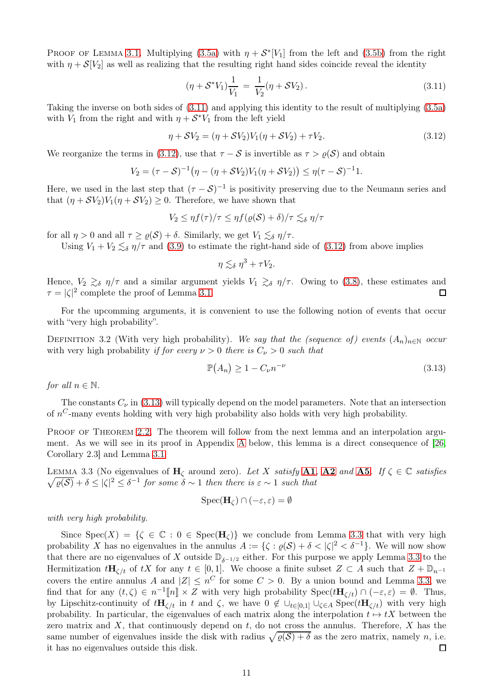PROOF OF LEMMA [3.1.](#page-9-4) Multiplying [\(3.5a\)](#page-9-5) with  $\eta + S^*[V_1]$  from the left and [\(3.5b\)](#page-9-6) from the right with  $\eta + \mathcal{S}[V_2]$  as well as realizing that the resulting right hand sides coincide reveal the identity

$$
(\eta + S^*V_1)\frac{1}{V_1} = \frac{1}{V_2}(\eta + SV_2).
$$
\n(3.11)

<span id="page-10-0"></span>Taking the inverse on both sides of [\(3.11\)](#page-10-0) and applying this identity to the result of multiplying [\(3.5a\)](#page-9-5) with  $V_1$  from the right and with  $\eta + S^*V_1$  from the left yield

<span id="page-10-1"></span>
$$
\eta + SV_2 = (\eta + SV_2)V_1(\eta + SV_2) + \tau V_2.
$$
\n(3.12)

We reorganize the terms in [\(3.12\)](#page-10-1), use that  $\tau - S$  is invertible as  $\tau > \rho(S)$  and obtain

$$
V_2 = (\tau - S)^{-1} (\eta - (\eta + SV_2)V_1(\eta + SV_2)) \leq \eta(\tau - S)^{-1}1.
$$

Here, we used in the last step that  $(\tau - S)^{-1}$  is positivity preserving due to the Neumann series and that  $(\eta + SV_2)V_1(\eta + SV_2) \geq 0$ . Therefore, we have shown that

$$
V_2 \leq \eta f(\tau)/\tau \leq \eta f(\varrho(\mathcal{S}) + \delta)/\tau \lesssim_{\delta} \eta/\tau
$$

for all  $\eta > 0$  and all  $\tau \geq \varrho(\mathcal{S}) + \delta$ . Similarly, we get  $V_1 \lesssim_{\delta} \eta/\tau$ .

Using  $V_1 + V_2 \leq_{\delta} \eta/\tau$  and [\(3.9\)](#page-9-7) to estimate the right-hand side of [\(3.12\)](#page-10-1) from above implies

$$
\eta \lesssim_{\delta} \eta^3 + \tau V_2.
$$

Hence,  $V_2 \gtrsim_{\delta} \eta/\tau$  and a similar argument yields  $V_1 \gtrsim_{\delta} \eta/\tau$ . Owing to [\(3.8\)](#page-9-8), these estimates and  $\tau = |\zeta|^2$  complete the proof of Lemma [3.1.](#page-9-4)  $\Box$ 

For the upcomming arguments, it is convenient to use the following notion of events that occur with "very high probability".

<span id="page-10-4"></span>DEFINITION 3.2 (With very high probability). We say that the (sequence of) events  $(A_n)_{n\in\mathbb{N}}$  occur with very high probability if for every  $\nu > 0$  there is  $C_{\nu} > 0$  such that

<span id="page-10-2"></span>
$$
\mathbb{P}(A_n) \ge 1 - C_{\nu} n^{-\nu} \tag{3.13}
$$

for all  $n \in \mathbb{N}$ .

The constants  $C_{\nu}$  in [\(3.13\)](#page-10-2) will typically depend on the model parameters. Note that an intersection of  $n^C$ -many events holding with very high probability also holds with very high probability.

PROOF OF THEOREM [2.2.](#page-5-5) The theorem will follow from the next lemma and an interpolation argument. As we will see in its proof in Appendix [A](#page-40-0) below, this lemma is a direct consequence of [\[26,](#page-49-2) Corollary 2.3] and Lemma [3.1.](#page-9-4)

<span id="page-10-3"></span> $\sqrt{\varrho(S)} + \delta \leq |\zeta|^2 \leq \delta^{-1}$  for some  $\delta \sim 1$  then there is  $\varepsilon \sim 1$  such that LEMMA 3.3 (No eigenvalues of  $H_{\zeta}$  around zero). Let X satisfy [A1](#page-3-3), [A2](#page-4-2) and [A5](#page-4-3). If  $\zeta \in \mathbb{C}$  satisfies

$$
\mathrm{Spec}(\mathbf{H}_{\zeta}) \cap (-\varepsilon, \varepsilon) = \emptyset
$$

with very high probability.

Since  $Spec(X) = \{ \zeta \in \mathbb{C} : 0 \in Spec(\mathbf{H}_{\zeta}) \}$  we conclude from Lemma [3.3](#page-10-3) that with very high probability X has no eigenvalues in the annulus  $A := \{ \zeta : \varrho(\mathcal{S}) + \delta < |\zeta|^2 < \delta^{-1} \}.$  We will now show that there are no eigenvalues of X outside  $\mathbb{D}_{\delta^{-1/2}}$  either. For this purpose we apply Lemma [3.3](#page-10-3) to the Hermitization  $t\mathbf{H}_{\zeta/t}$  of tX for any  $t \in [0,1]$ . We choose a finite subset  $Z \subset A$  such that  $Z + \mathbb{D}_{n^{-1}}$ covers the entire annulus A and  $|Z| \leq n^C$  for some  $C > 0$ . By a union bound and Lemma [3.3,](#page-10-3) we find that for any  $(t,\zeta) \in n^{-1}[[n] \times Z$  with very high probability  $Spec(t\mathbf{H}_{\zeta/t}) \cap (-\varepsilon,\varepsilon) = \emptyset$ . Thus, by Lipschitz-continuity of  $t\mathbf{H}_{\zeta/t}$  in t and  $\zeta$ , we have  $0 \notin \bigcup_{t\in [0,1]} \bigcup_{\zeta\in A} \text{Spec}(t\mathbf{H}_{\zeta/t})$  with very high probability. In particular, the eigenvalues of each matrix along the interpolation  $t \mapsto tX$  between the zero matrix and  $X$ , that continuously depend on  $t$ , do not cross the annulus. Therefore,  $X$  has the same number of eigenvalues inside the disk with radius  $\sqrt{\varrho(\mathcal{S}) + \delta}$  as the zero matrix, namely n, i.e. it has no eigenvalues outside this disk.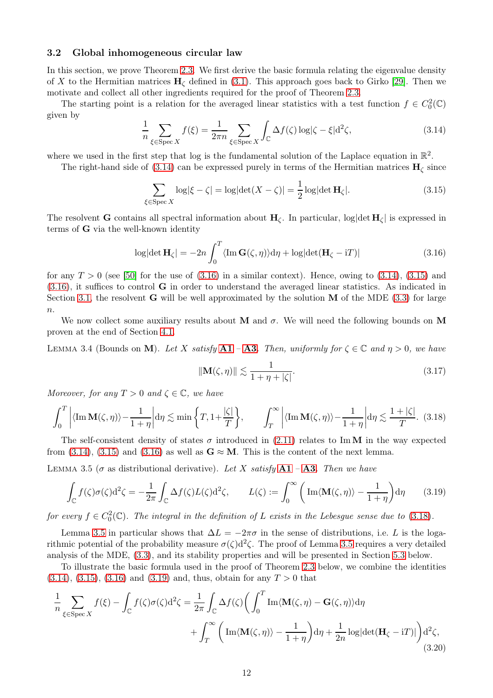#### <span id="page-11-0"></span>3.2 Global inhomogeneous circular law

In this section, we prove Theorem [2.3.](#page-5-0) We first derive the basic formula relating the eigenvalue density of X to the Hermitian matrices  $H_{\zeta}$  defined in [\(3.1\)](#page-8-2). This approach goes back to Girko [\[29\]](#page-49-0). Then we motivate and collect all other ingredients required for the proof of Theorem [2.3.](#page-5-0)

The starting point is a relation for the averaged linear statistics with a test function  $f \in C_0^2(\mathbb{C})$ given by

<span id="page-11-2"></span>
$$
\frac{1}{n} \sum_{\xi \in \text{Spec } X} f(\xi) = \frac{1}{2\pi n} \sum_{\xi \in \text{Spec } X} \int_{\mathbb{C}} \Delta f(\zeta) \log|\zeta - \xi| \, d^2 \zeta,\tag{3.14}
$$

where we used in the first step that log is the fundamental solution of the Laplace equation in  $\mathbb{R}^2$ .

The right-hand side of [\(3.14\)](#page-11-2) can be expressed purely in terms of the Hermitian matrices  $H_c$  since

<span id="page-11-4"></span>
$$
\sum_{\xi \in \text{Spec } X} \log|\xi - \zeta| = \log|\det(X - \zeta)| = \frac{1}{2}\log|\det \mathbf{H}_{\zeta}|. \tag{3.15}
$$

The resolvent **G** contains all spectral information about  $H_{\zeta}$ . In particular, log[det  $H_{\zeta}$ ] is expressed in terms of G via the well-known identity

<span id="page-11-3"></span>
$$
\log|\det \mathbf{H}_{\zeta}| = -2n \int_0^T \langle \text{Im } \mathbf{G}(\zeta, \eta) \rangle d\eta + \log|\det(\mathbf{H}_{\zeta} - iT)| \tag{3.16}
$$

for any  $T > 0$  (see [\[50\]](#page-50-6) for the use of [\(3.16\)](#page-11-3) in a similar context). Hence, owing to [\(3.14\)](#page-11-2), [\(3.15\)](#page-11-4) and [\(3.16\)](#page-11-3), it suffices to control G in order to understand the averaged linear statistics. As indicated in Section [3.1,](#page-9-0) the resolvent **G** will be well approximated by the solution **M** of the MDE [\(3.3\)](#page-9-1) for large  $n$ .

We now collect some auxiliary results about M and  $\sigma$ . We will need the following bounds on M proven at the end of Section [4.1.](#page-15-0)

<span id="page-11-9"></span>LEMMA 3.4 (Bounds on M). Let X satisfy  $A1 - A3$  $A1 - A3$  $A1 - A3$ . Then, uniformly for  $\zeta \in \mathbb{C}$  and  $\eta > 0$ , we have

<span id="page-11-8"></span>
$$
\|\mathbf{M}(\zeta,\eta)\| \lesssim \frac{1}{1+\eta+|\zeta|}.\tag{3.17}
$$

Moreover, for any  $T > 0$  and  $\zeta \in \mathbb{C}$ , we have

<span id="page-11-5"></span>
$$
\int_0^T \left| \langle \text{Im } \mathbf{M}(\zeta, \eta) \rangle - \frac{1}{1 + \eta} \right| d\eta \lesssim \min \left\{ T, 1 + \frac{|\zeta|}{T} \right\}, \qquad \int_T^\infty \left| \langle \text{Im } \mathbf{M}(\zeta, \eta) \rangle - \frac{1}{1 + \eta} \right| d\eta \lesssim \frac{1 + |\zeta|}{T}.
$$
 (3.18)

The self-consistent density of states  $\sigma$  introduced in [\(2.11\)](#page-5-1) relates to ImM in the way expected from [\(3.14\)](#page-11-2), [\(3.15\)](#page-11-4) and [\(3.16\)](#page-11-3) as well as  $G \approx M$ . This is the content of the next lemma.

<span id="page-11-1"></span>LEMMA 3.5 ( $\sigma$  as distributional derivative). Let X satisfy **[A1](#page-3-3)** – **[A3](#page-4-5)**. Then we have

<span id="page-11-6"></span>
$$
\int_{\mathbb{C}} f(\zeta)\sigma(\zeta) d^2 \zeta = -\frac{1}{2\pi} \int_{\mathbb{C}} \Delta f(\zeta) L(\zeta) d^2 \zeta, \qquad L(\zeta) := \int_0^\infty \left( \operatorname{Im}\langle \mathbf{M}(\zeta, \eta) \rangle - \frac{1}{1 + \eta} \right) d\eta \tag{3.19}
$$

for every  $f \in C_0^2(\mathbb{C})$ . The integral in the definition of L exists in the Lebesgue sense due to [\(3.18\)](#page-11-5).

Lemma [3.5](#page-11-1) in particular shows that  $\Delta L = -2\pi\sigma$  in the sense of distributions, i.e. L is the logarithmic potential of the probability measure  $\sigma(\zeta)d^2\zeta$ . The proof of Lemma [3.5](#page-11-1) requires a very detailed analysis of the MDE, [\(3.3\)](#page-9-1), and its stability properties and will be presented in Section [5.3](#page-32-0) below.

To illustrate the basic formula used in the proof of Theorem [2.3](#page-5-0) below, we combine the identities  $(3.14)$ ,  $(3.15)$ ,  $(3.16)$  and  $(3.19)$  and, thus, obtain for any  $T > 0$  that

<span id="page-11-7"></span>
$$
\frac{1}{n} \sum_{\xi \in \text{Spec } X} f(\xi) - \int_{\mathbb{C}} f(\zeta) \sigma(\zeta) d^2 \zeta = \frac{1}{2\pi} \int_{\mathbb{C}} \Delta f(\zeta) \left( \int_0^T \text{Im}\langle \mathbf{M}(\zeta, \eta) - \mathbf{G}(\zeta, \eta) \rangle d\eta + \int_T^\infty \left( \text{Im}\langle \mathbf{M}(\zeta, \eta) \rangle - \frac{1}{1 + \eta} \right) d\eta + \frac{1}{2n} \log|\det(\mathbf{H}_{\zeta} - iT)| \right) d^2 \zeta,
$$
\n(3.20)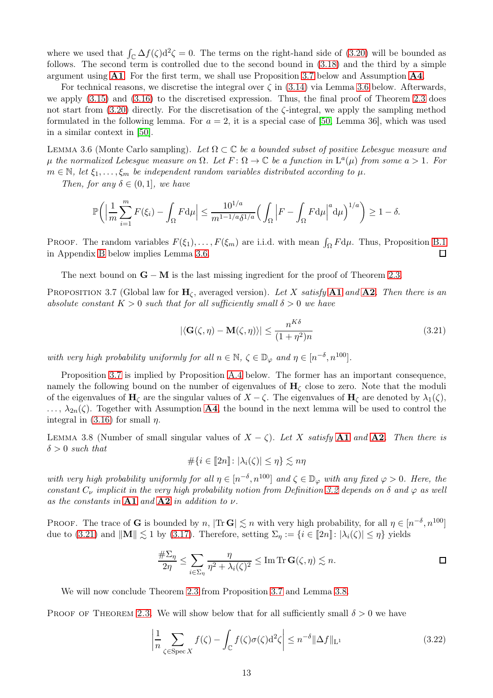where we used that  $\int_{\mathbb{C}} \Delta f(\zeta) d^2 \zeta = 0$ . The terms on the right-hand side of [\(3.20\)](#page-11-7) will be bounded as follows. The second term is controlled due to the second bound in [\(3.18\)](#page-11-5) and the third by a simple argument using [A1](#page-3-3). For the first term, we shall use Proposition [3.7](#page-12-0) below and Assumption [A4](#page-4-1).

For technical reasons, we discretise the integral over  $\zeta$  in [\(3.14\)](#page-11-2) via Lemma [3.6](#page-12-1) below. Afterwards, we apply [\(3.15\)](#page-11-4) and [\(3.16\)](#page-11-3) to the discretised expression. Thus, the final proof of Theorem [2.3](#page-5-0) does not start from  $(3.20)$  directly. For the discretisation of the  $\zeta$ -integral, we apply the sampling method formulated in the following lemma. For  $a = 2$ , it is a special case of [\[50,](#page-50-6) Lemma 36], which was used in a similar context in [\[50\]](#page-50-6).

<span id="page-12-1"></span>LEMMA 3.6 (Monte Carlo sampling). Let  $\Omega \subset \mathbb{C}$  be a bounded subset of positive Lebesque measure and  $\mu$  the normalized Lebesgue measure on  $\Omega$ . Let  $F: \Omega \to \mathbb{C}$  be a function in  $\mathrm{L}^a(\mu)$  from some  $a > 1$ . For  $m \in \mathbb{N}$ , let  $\xi_1, \ldots, \xi_m$  be independent random variables distributed according to  $\mu$ .

Then, for any  $\delta \in (0,1]$ , we have

$$
\mathbb{P}\bigg(\Big|\frac{1}{m}\sum_{i=1}^m F(\xi_i) - \int_{\Omega} F d\mu\Big| \le \frac{10^{1/a}}{m^{1-1/a} \delta^{1/a}} \Big(\int_{\Omega} \Big|F - \int_{\Omega} F d\mu\Big|^a d\mu\Big)^{1/a}\bigg) \ge 1 - \delta.
$$

PROOF. The random variables  $F(\xi_1), \ldots, F(\xi_m)$  are i.i.d. with mean  $\int_{\Omega} F d\mu$ . Thus, Proposition [B.1](#page-42-1) in Appendix [B](#page-42-0) below implies Lemma [3.6.](#page-12-1) 口

The next bound on  $\mathbf{G} - \mathbf{M}$  is the last missing ingredient for the proof of Theorem [2.3.](#page-5-0)

<span id="page-12-0"></span>PROPOSITION 3.7 (Global law for  $H_{\zeta}$ , averaged version). Let X satisfy [A1](#page-3-3) and [A2](#page-4-2). Then there is an absolute constant  $K > 0$  such that for all sufficiently small  $\delta > 0$  we have

<span id="page-12-2"></span>
$$
|\langle \mathbf{G}(\zeta,\eta) - \mathbf{M}(\zeta,\eta) \rangle| \le \frac{n^{K\delta}}{(1+\eta^2)n}
$$
\n(3.21)

with very high probability uniformly for all  $n \in \mathbb{N}$ ,  $\zeta \in \mathbb{D}_{\varphi}$  and  $\eta \in [n^{-\delta}, n^{100}]$ .

Proposition [3.7](#page-12-0) is implied by Proposition [A.4](#page-41-0) below. The former has an important consequence, namely the following bound on the number of eigenvalues of  $H<sub>c</sub>$  close to zero. Note that the moduli of the eigenvalues of  $H_{\zeta}$  are the singular values of  $X - \zeta$ . The eigenvalues of  $H_{\zeta}$  are denoted by  $\lambda_1(\zeta)$ ,  $\ldots$ ,  $\lambda_{2n}(\zeta)$ . Together with Assumption [A4](#page-4-1), the bound in the next lemma will be used to control the integral in [\(3.16\)](#page-11-3) for small  $\eta$ .

<span id="page-12-3"></span>LEMMA 3.8 (Number of small singular values of  $X - \zeta$ ). Let X satisfy **[A1](#page-3-3)** and **[A2](#page-4-2)**. Then there is  $\delta > 0$  such that

$$
\#\{i\in[\hspace{-0.06cm}[ 2n]\hspace{-0.06cm}]:|\lambda_i(\zeta)|\leq\eta\}\lesssim n\eta
$$

with very high probability uniformly for all  $\eta \in [n^{-\delta}, n^{100}]$  and  $\zeta \in \mathbb{D}_{\varphi}$  with any fixed  $\varphi > 0$ . Here, the constant  $C_{\nu}$  implicit in the very high probability notion from Definition [3.2](#page-10-4) depends on  $\delta$  and  $\varphi$  as well as the constants in  $A1$  and  $A2$  in addition to  $\nu$ .

PROOF. The trace of **G** is bounded by n,  $|\text{Tr } G| \lesssim n$  with very high probability, for all  $\eta \in [n^{-\delta}, n^{100}]$ due to [\(3.21\)](#page-12-2) and  $\|\mathbf{M}\| \lesssim 1$  by [\(3.17\)](#page-11-8). Therefore, setting  $\Sigma_{\eta} := \{i \in [\![2n]\!] : |\lambda_i(\zeta)| \leq \eta\}$  yields

$$
\frac{\#\Sigma_{\eta}}{2\eta} \le \sum_{i \in \Sigma_{\eta}} \frac{\eta}{\eta^2 + \lambda_i(\zeta)^2} \le \text{Im Tr } \mathbf{G}(\zeta, \eta) \lesssim n.
$$

We will now conclude Theorem [2.3](#page-5-0) from Proposition [3.7](#page-12-0) and Lemma [3.8.](#page-12-3)

PROOF OF THEOREM [2.3.](#page-5-0) We will show below that for all sufficiently small  $\delta > 0$  we have

<span id="page-12-4"></span>
$$
\left| \frac{1}{n} \sum_{\zeta \in \text{Spec } X} f(\zeta) - \int_{\mathbb{C}} f(\zeta) \sigma(\zeta) d^2 \zeta \right| \le n^{-\delta} ||\Delta f||_{\mathcal{L}^1}
$$
\n(3.22)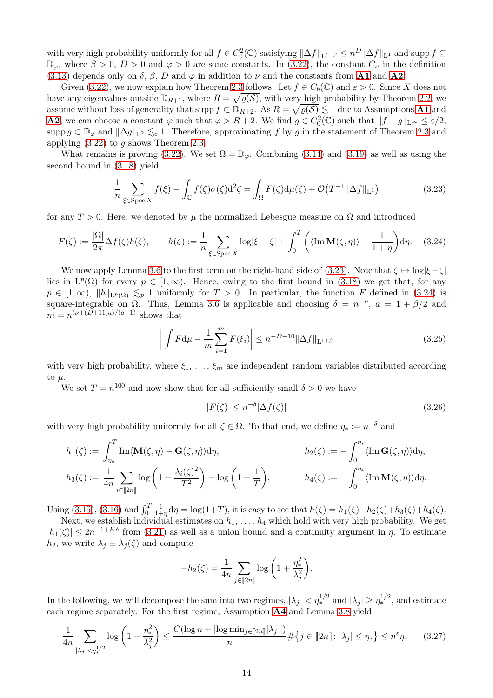with very high probability uniformly for all  $f \in C_0^2(\mathbb{C})$  satisfying  $\|\Delta f\|_{\mathbf{L}^{1+\beta}} \leq n^D \|\Delta f\|_{\mathbf{L}^1}$  and supp  $f \subseteq$  $\mathbb{D}_{\varphi}$ , where  $\beta > 0$ ,  $D > 0$  and  $\varphi > 0$  are some constants. In [\(3.22\)](#page-12-4), the constant  $C_{\nu}$  in the definition [\(3.13\)](#page-10-2) depends only on  $\delta$ ,  $\beta$ , D and  $\varphi$  in addition to  $\nu$  and the constants from **[A1](#page-3-3)** and **[A2](#page-4-2)**.

Given [\(3.22\)](#page-12-4), we now explain how Theorem [2.3](#page-5-0) follows. Let  $f \in C_b(\mathbb{C})$  and  $\varepsilon > 0$ . Since X does not have any eigenvalues outside  $\mathbb{D}_{R+1}$ , where  $R = \sqrt{\varrho(S)}$ , with very high probability by Theorem [2.2,](#page-5-5) we assume without loss of generality that supp  $f \subset \mathbb{D}_{R+2}$ . As  $R = \sqrt{\varrho(S)} \lesssim 1$  due to Assumptions **[A1](#page-3-3)** and **[A2](#page-4-2)**, we can choose a constant  $\varphi$  such that  $\varphi > R + 2$ . We find  $g \in C_0^2(\mathbb{C})$  such that  $||f - g||_{L^{\infty}} \leq \varepsilon/2$ , supp g ⊂  $\mathbb{D}_{\varphi}$  and  $\|\Delta g\|_{\mathbf{L}^2} \lesssim_{\varepsilon} 1$ . Therefore, approximating f by g in the statement of Theorem [2.3](#page-5-0) and applying  $(3.22)$  to g shows Theorem [2.3.](#page-5-0)

What remains is proving [\(3.22\)](#page-12-4). We set  $\Omega = \mathbb{D}_{\varphi}$ . Combining [\(3.14\)](#page-11-2) and [\(3.19\)](#page-11-6) as well as using the second bound in [\(3.18\)](#page-11-5) yield

<span id="page-13-0"></span>
$$
\frac{1}{n} \sum_{\xi \in \text{Spec } X} f(\xi) - \int_{\mathbb{C}} f(\zeta) \sigma(\zeta) \mathrm{d}^2 \zeta = \int_{\Omega} F(\zeta) \mathrm{d} \mu(\zeta) + \mathcal{O}(T^{-1} \|\Delta f\|_{\mathcal{L}^1}) \tag{3.23}
$$

for any  $T > 0$ . Here, we denoted by  $\mu$  the normalized Lebesgue measure on  $\Omega$  and introduced

<span id="page-13-1"></span>
$$
F(\zeta) := \frac{|\Omega|}{2\pi} \Delta f(\zeta) h(\zeta), \qquad h(\zeta) := \frac{1}{n} \sum_{\xi \in \text{Spec } X} \log|\xi - \zeta| + \int_0^T \left( \langle \text{Im } \mathbf{M}(\zeta, \eta) \rangle - \frac{1}{1 + \eta} \right) d\eta. \tag{3.24}
$$

We now apply Lemma [3.6](#page-12-1) to the first term on the right-hand side of [\(3.23\)](#page-13-0). Note that  $\zeta \mapsto \log|\xi-\zeta|$ lies in  $L^p(\Omega)$  for every  $p \in [1,\infty)$ . Hence, owing to the first bound in [\(3.18\)](#page-11-5) we get that, for any  $p \in [1,\infty)$ ,  $||h||_{L^p(\Omega)} \leq_p 1$  uniformly for  $T > 0$ . In particular, the function F defined in [\(3.24\)](#page-13-1) is square-integrable on  $\Omega$ . Thus, Lemma [3.6](#page-12-1) is applicable and choosing  $\delta = n^{-\nu}$ ,  $a = 1 + \beta/2$  and  $m = n^{(\nu + (\bar{D}+11)a)/(\bar{a}-1)}$  shows that

<span id="page-13-3"></span>
$$
\left| \int F d\mu - \frac{1}{m} \sum_{i=1}^{m} F(\xi_i) \right| \le n^{-D-10} \|\Delta f\|_{\mathcal{L}^{1+\beta}}
$$
\n(3.25)

with very high probability, where  $\xi_1, \ldots, \xi_m$  are independent random variables distributed according to  $\mu$ .

We set  $T = n^{100}$  and now show that for all sufficiently small  $\delta > 0$  we have

<span id="page-13-2"></span>
$$
|F(\zeta)| \le n^{-\delta} |\Delta f(\zeta)| \tag{3.26}
$$

with very high probability uniformly for all  $\zeta \in \Omega$ . To that end, we define  $\eta_* := n^{-\delta}$  and

$$
h_1(\zeta) := \int_{\eta_*}^T \text{Im}\langle \mathbf{M}(\zeta,\eta) - \mathbf{G}(\zeta,\eta) \rangle d\eta, \qquad h_2(\zeta) := -\int_0^{\eta_*} \langle \text{Im } \mathbf{G}(\zeta,\eta) \rangle d\eta,
$$
  

$$
h_3(\zeta) := \frac{1}{4n} \sum_{i \in [\![2n]\!]} \log \left(1 + \frac{\lambda_i(\zeta)^2}{T^2}\right) - \log \left(1 + \frac{1}{T}\right), \qquad h_4(\zeta) := \int_0^{\eta_*} \langle \text{Im } \mathbf{M}(\zeta,\eta) \rangle d\eta.
$$

Using [\(3.15\)](#page-11-4), [\(3.16\)](#page-11-3) and  $\int_0^T$ 1  $\frac{1}{1+\eta}d\eta = \log(1+T)$ , it is easy to see that  $h(\zeta) = h_1(\zeta) + h_2(\zeta) + h_3(\zeta) + h_4(\zeta)$ .

Next, we establish individual estimates on  $h_1, \ldots, h_4$  which hold with very high probability. We get  $|h_1(\zeta)| \leq 2n^{-1+K\delta}$  from [\(3.21\)](#page-12-2) as well as a union bound and a continuity argument in  $\eta$ . To estimate  $h_2$ , we write  $\lambda_j \equiv \lambda_j(\zeta)$  and compute

$$
-h_2(\zeta) = \frac{1}{4n} \sum_{j \in [\hspace{-1.5pt}[ 2n]\hspace{-1.5pt}]} \log \left( 1 + \frac{\eta_*^2}{\lambda_j^2} \right).
$$

In the following, we will decompose the sum into two regimes,  $|\lambda_j| < \eta_*^{1/2}$  and  $|\lambda_j| \ge \eta_*^{1/2}$ , and estimate each regime separately. For the first regime, Assumption [A4](#page-4-1) and Lemma [3.8](#page-12-3) yield

<span id="page-13-4"></span>
$$
\frac{1}{4n} \sum_{|\lambda_j| < \eta_*^{1/2}} \log\left(1 + \frac{\eta_*^2}{\lambda_j^2}\right) \le \frac{C(\log n + |\log \min_{j \in [\![2n]\!]} |\lambda_j||)}{n} \# \{j \in [\![2n]\!]: |\lambda_j| \le \eta_*\} \le n^{\varepsilon} \eta_* \tag{3.27}
$$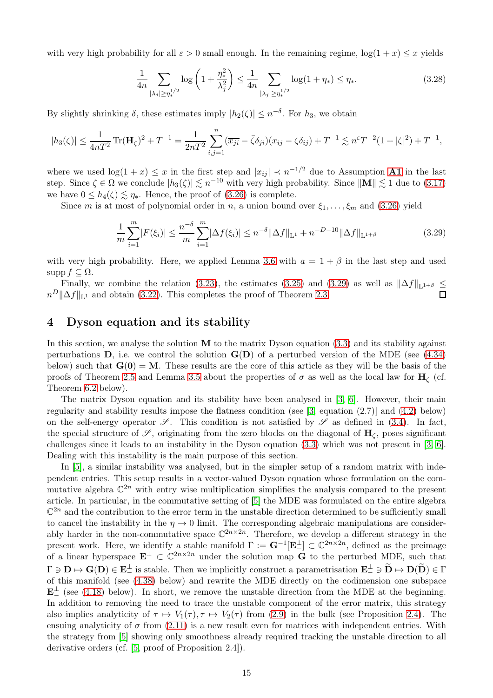with very high probability for all  $\varepsilon > 0$  small enough. In the remaining regime,  $\log(1 + x) \leq x$  yields

<span id="page-14-2"></span>
$$
\frac{1}{4n} \sum_{|\lambda_j| \ge \eta_*^{1/2}} \log \left( 1 + \frac{\eta_*^2}{\lambda_j^2} \right) \le \frac{1}{4n} \sum_{|\lambda_j| \ge \eta_*^{1/2}} \log(1 + \eta_*) \le \eta_*.
$$
 (3.28)

By slightly shrinking  $\delta$ , these estimates imply  $|h_2(\zeta)| \leq n^{-\delta}$ . For  $h_3$ , we obtain

$$
|h_3(\zeta)| \le \frac{1}{4nT^2} \operatorname{Tr}(\mathbf{H}_{\zeta})^2 + T^{-1} = \frac{1}{2nT^2} \sum_{i,j=1}^n (\overline{x_{ji}} - \overline{\zeta} \delta_{ji})(x_{ij} - \zeta \delta_{ij}) + T^{-1} \lesssim n^{\varepsilon} T^{-2} (1 + |\zeta|^2) + T^{-1},
$$

where we used  $\log(1+x) \leq x$  in the first step and  $|x_{ij}| \prec n^{-1/2}$  due to Assumption **[A1](#page-3-3)** in the last step. Since  $\zeta \in \Omega$  we conclude  $|h_3(\zeta)| \lesssim n^{-10}$  with very high probability. Since  $||\mathbf{M}|| \lesssim 1$  due to [\(3.17\)](#page-11-8) we have  $0 \leq h_4(\zeta) \leq \eta_*$ . Hence, the proof of [\(3.26\)](#page-13-2) is complete.

Since m is at most of polynomial order in n, a union bound over  $\xi_1, \ldots, \xi_m$  and [\(3.26\)](#page-13-2) yield

<span id="page-14-1"></span>
$$
\frac{1}{m}\sum_{i=1}^{m}|F(\xi_i)| \le \frac{n^{-\delta}}{m}\sum_{i=1}^{m}|\Delta f(\xi_i)| \le n^{-\delta} \|\Delta f\|_{\mathcal{L}^1} + n^{-D-10} \|\Delta f\|_{\mathcal{L}^{1+\beta}}
$$
(3.29)

with very high probability. Here, we applied Lemma [3.6](#page-12-1) with  $a = 1 + \beta$  in the last step and used  $\text{supp } f \subseteq \Omega$ .

Finally, we combine the relation [\(3.23\)](#page-13-0), the estimates [\(3.25\)](#page-13-3) and [\(3.29\)](#page-14-1) as well as  $\|\Delta f\|_{\mathrm{L}^{1+\beta}} \leq$  $n^D \|\Delta f\|_{\mathbb{L}^1}$  and obtain [\(3.22\)](#page-12-4). This completes the proof of Theorem [2.3.](#page-5-0)

### <span id="page-14-0"></span>4 Dyson equation and its stability

In this section, we analyse the solution  **to the matrix Dyson equation**  $(3.3)$  **and its stability against** perturbations  $D$ , i.e. we control the solution  $G(D)$  of a perturbed version of the MDE (see [\(4.34\)](#page-20-0) below) such that  $\mathbf{G}(0) = \mathbf{M}$ . These results are the core of this article as they will be the basis of the proofs of Theorem [2.5](#page-5-4) and Lemma [3.5](#page-11-1) about the properties of  $\sigma$  as well as the local law for  $H_c$  (cf. Theorem [6.2](#page-34-1) below).

The matrix Dyson equation and its stability have been analysed in [\[3,](#page-48-17) [6\]](#page-48-4). However, their main regularity and stability results impose the flatness condition (see [\[3,](#page-48-17) equation (2.7)] and [\(4.2\)](#page-15-1) below) on the self-energy operator  $\mathscr{S}$ . This condition is not satisfied by  $\mathscr{S}$  as defined in [\(3.4\)](#page-9-9). In fact, the special structure of  $\mathscr{S}$ , originating from the zero blocks on the diagonal of  $H_{\zeta}$ , poses significant challenges since it leads to an instability in the Dyson equation [\(3.3\)](#page-9-1) which was not present in [\[3,](#page-48-17) [6\]](#page-48-4). Dealing with this instability is the main purpose of this section.

In [\[5\]](#page-48-8), a similar instability was analysed, but in the simpler setup of a random matrix with independent entries. This setup results in a vector-valued Dyson equation whose formulation on the commutative algebra  $\mathbb{C}^{2n}$  with entry wise multiplication simplifies the analysis compared to the present article. In particular, in the commutative setting of [\[5\]](#page-48-8) the MDE was formulated on the entire algebra  $\mathbb{C}^{2n}$  and the contribution to the error term in the unstable direction determined to be sufficiently small to cancel the instability in the  $\eta \to 0$  limit. The corresponding algebraic manipulations are considerably harder in the non-commutative space  $\mathbb{C}^{2n \times 2n}$ . Therefore, we develop a different strategy in the present work. Here, we identify a stable manifold  $\Gamma := \mathbf{G}^{-1}[\mathbf{E}_{-}^{\perp}] \subset \mathbb{C}^{2n \times 2n}$ , defined as the preimage of a linear hyperspace  $\mathbf{E}^{\perp} \subset \mathbb{C}^{2n \times 2n}$  under the solution map  $\tilde{\mathbf{G}}$  to the perturbed MDE, such that  $\Gamma \ni \mathbf{D} \mapsto \mathbf{G}(\mathbf{D}) \in \mathbf{E}_{-}^{\perp}$  is stable. Then we implicitly construct a parametrisation  $\mathbf{E}_{-}^{\perp} \ni \mathbf{D} \mapsto \mathbf{D}(\mathbf{D}) \in \Gamma$ of this manifold (see [\(4.38\)](#page-21-1) below) and rewrite the MDE directly on the codimension one subspace  $\mathbf{E}^{\perp}$  (see [\(4.18\)](#page-17-0) below). In short, we remove the unstable direction from the MDE at the beginning. In addition to removing the need to trace the unstable component of the error matrix, this strategy also implies analyticity of  $\tau \mapsto V_1(\tau), \tau \mapsto V_2(\tau)$  from [\(2.9\)](#page-5-2) in the bulk (see Proposition [2.4\)](#page-5-6). The ensuing analyticity of  $\sigma$  from [\(2.11\)](#page-5-1) is a new result even for matrices with independent entries. With the strategy from [\[5\]](#page-48-8) showing only smoothness already required tracking the unstable direction to all derivative orders (cf. [\[5,](#page-48-8) proof of Proposition 2.4]).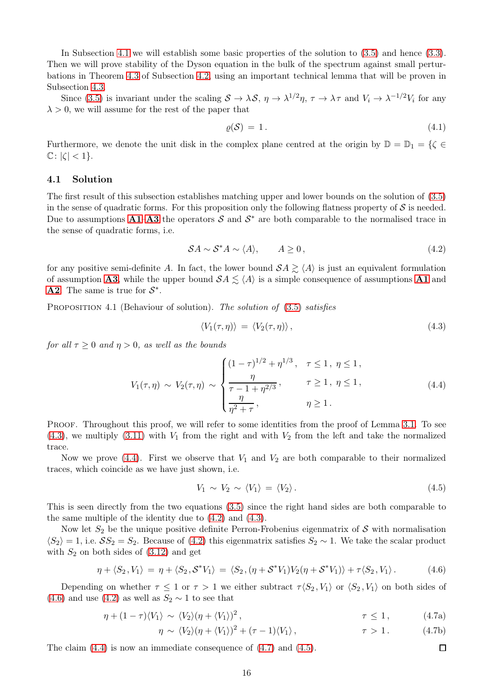In Subsection [4.1](#page-15-0) we will establish some basic properties of the solution to [\(3.5\)](#page-9-2) and hence [\(3.3\)](#page-9-1). Then we will prove stability of the Dyson equation in the bulk of the spectrum against small perturbations in Theorem [4.3](#page-17-1) of Subsection [4.2,](#page-16-0) using an important technical lemma that will be proven in Subsection [4.3.](#page-21-0)

Since [\(3.5\)](#page-9-2) is invariant under the scaling  $S \to \lambda S$ ,  $\eta \to \lambda^{1/2} \eta$ ,  $\tau \to \lambda \tau$  and  $V_i \to \lambda^{-1/2} V_i$  for any  $\lambda > 0$ , we will assume for the rest of the paper that

<span id="page-15-8"></span>
$$
\varrho(\mathcal{S}) = 1. \tag{4.1}
$$

Furthermore, we denote the unit disk in the complex plane centred at the origin by  $\mathbb{D} = \mathbb{D}_1 = \{\zeta \in$  $\mathbb{C}: |\zeta| < 1$ .

### <span id="page-15-0"></span>4.1 Solution

The first result of this subsection establishes matching upper and lower bounds on the solution of [\(3.5\)](#page-9-2) in the sense of quadratic forms. For this proposition only the following flatness property of  $S$  is needed. Due to assumptions  $A1-A3$  $A1-A3$  $A1-A3$  the operators  $S$  and  $S^*$  are both comparable to the normalised trace in the sense of quadratic forms, i.e.

$$
SA \sim S^*A \sim \langle A \rangle, \qquad A \ge 0,
$$
\n
$$
(4.2)
$$

<span id="page-15-1"></span>for any positive semi-definite A. In fact, the lower bound  $SA \geq \langle A \rangle$  is just an equivalent formulation of assumption [A3](#page-4-5), while the upper bound  $\mathcal{S}A \leq \langle A \rangle$  is a simple consequence of assumptions [A1](#page-3-3) and **[A2](#page-4-2)**. The same is true for  $S^*$ .

<span id="page-15-7"></span><span id="page-15-2"></span>PROPOSITION 4.1 (Behaviour of solution). The solution of [\(3.5\)](#page-9-2) satisfies

$$
\langle V_1(\tau,\eta) \rangle = \langle V_2(\tau,\eta) \rangle, \tag{4.3}
$$

<span id="page-15-3"></span>for all  $\tau \geq 0$  and  $\eta > 0$ , as well as the bounds

$$
V_1(\tau, \eta) \sim V_2(\tau, \eta) \sim \begin{cases} (1-\tau)^{1/2} + \eta^{1/3}, & \tau \le 1, \eta \le 1, \\ \frac{\eta}{\tau - 1 + \eta^{2/3}}, & \tau \ge 1, \eta \le 1, \\ \frac{\eta}{\eta^2 + \tau}, & \eta \ge 1. \end{cases}
$$
(4.4)

PROOF. Throughout this proof, we will refer to some identities from the proof of Lemma [3.1.](#page-9-4) To see  $(4.3)$ , we multiply  $(3.11)$  with  $V_1$  from the right and with  $V_2$  from the left and take the normalized trace.

Now we prove [\(4.4\)](#page-15-3). First we observe that  $V_1$  and  $V_2$  are both comparable to their normalized traces, which coincide as we have just shown, i.e.

$$
V_1 \sim V_2 \sim \langle V_1 \rangle = \langle V_2 \rangle. \tag{4.5}
$$

<span id="page-15-6"></span>This is seen directly from the two equations [\(3.5\)](#page-9-2) since the right hand sides are both comparable to the same multiple of the identity due to [\(4.2\)](#page-15-1) and [\(4.3\)](#page-15-2).

Now let  $S_2$  be the unique positive definite Perron-Frobenius eigenmatrix of  $S$  with normalisation  $\langle S_2 \rangle = 1$ , i.e.  $SS_2 = S_2$ . Because of [\(4.2\)](#page-15-1) this eigenmatrix satisfies  $S_2 \sim 1$ . We take the scalar product with  $S_2$  on both sides of  $(3.12)$  and get

<span id="page-15-4"></span>
$$
\eta + \langle S_2, V_1 \rangle = \eta + \langle S_2, \mathcal{S}^* V_1 \rangle = \langle S_2, (\eta + \mathcal{S}^* V_1) V_2 (\eta + \mathcal{S}^* V_1) \rangle + \tau \langle S_2, V_1 \rangle.
$$
 (4.6)

Depending on whether  $\tau \leq 1$  or  $\tau > 1$  we either subtract  $\tau \langle S_2, V_1 \rangle$  or  $\langle S_2, V_1 \rangle$  on both sides of [\(4.6\)](#page-15-4) and use [\(4.2\)](#page-15-1) as well as  $S_2 \sim 1$  to see that

$$
\eta + (1 - \tau)\langle V_1 \rangle \sim \langle V_2 \rangle (\eta + \langle V_1 \rangle)^2, \qquad \tau \le 1, \qquad (4.7a)
$$

<span id="page-15-5"></span>
$$
\eta \sim \langle V_2 \rangle (\eta + \langle V_1 \rangle)^2 + (\tau - 1) \langle V_1 \rangle, \qquad \tau > 1. \qquad (4.7b)
$$

The claim [\(4.4\)](#page-15-3) is now an immediate consequence of [\(4.7\)](#page-15-5) and [\(4.5\)](#page-15-6).  $\Box$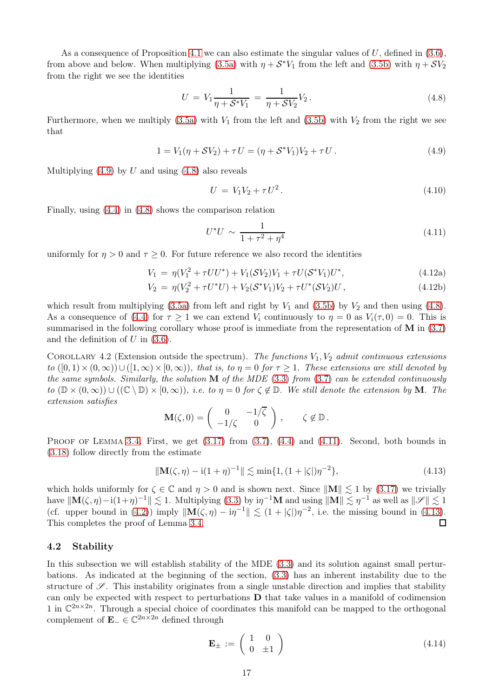As a consequence of Proposition [4.1](#page-15-7) we can also estimate the singular values of U, defined in  $(3.6)$ , from above and below. When multiplying [\(3.5a\)](#page-9-5) with  $\eta + \mathcal{S}^* V_1$  from the left and [\(3.5b\)](#page-9-6) with  $\eta + \mathcal{S} V_2$ from the right we see the identities

$$
U = V_1 \frac{1}{\eta + S^* V_1} = \frac{1}{\eta + S V_2} V_2.
$$
\n(4.8)

<span id="page-16-2"></span>Furthermore, when we multiply  $(3.5a)$  with  $V_1$  from the left and  $(3.5b)$  with  $V_2$  from the right we see that

$$
1 = V_1(\eta + SV_2) + \tau U = (\eta + S^*V_1)V_2 + \tau U. \tag{4.9}
$$

<span id="page-16-7"></span><span id="page-16-1"></span>Multiplying  $(4.9)$  by U and using  $(4.8)$  also reveals

$$
U = V_1 V_2 + \tau U^2. \tag{4.10}
$$

<span id="page-16-3"></span>Finally, using [\(4.4\)](#page-15-3) in [\(4.8\)](#page-16-2) shows the comparison relation

<span id="page-16-6"></span>
$$
U^*U \sim \frac{1}{1 + \tau^2 + \eta^4} \tag{4.11}
$$

uniformly for  $\eta > 0$  and  $\tau \geq 0$ . For future reference we also record the identities

$$
V_1 = \eta (V_1^2 + \tau U U^*) + V_1 (SV_2) V_1 + \tau U (S^* V_1) U^*,
$$
\n(4.12a)

$$
V_2 = \eta (V_2^2 + \tau U^* U) + V_2 (\mathcal{S}^* V_1) V_2 + \tau U^* (\mathcal{S} V_2) U , \qquad (4.12b)
$$

which result from multiplying  $(3.5a)$  from left and right by  $V_1$  and  $(3.5b)$  by  $V_2$  and then using  $(4.8)$ . As a consequence of [\(4.4\)](#page-15-3) for  $\tau \ge 1$  we can extend  $V_i$  continuously to  $\eta = 0$  as  $V_i(\tau, 0) = 0$ . This is summarised in the following corollary whose proof is immediate from the representation of **M** in  $(3.7)$ and the definition of  $U$  in  $(3.6)$ .

COROLLARY 4.2 (Extension outside the spectrum). The functions  $V_1, V_2$  admit continuous extensions to  $([0,1)\times(0,\infty))\cup([1,\infty)\times(0,\infty))$ , that is, to  $\eta=0$  for  $\tau\geq 1$ . These extensions are still denoted by the same symbols. Similarly, the solution  $\tilde{M}$  of the MDE [\(3.3\)](#page-9-1) from [\(3.7\)](#page-9-3) can be extended continuously to  $(\mathbb{D} \times (0, \infty)) \cup ((\mathbb{C} \setminus \mathbb{D}) \times (0, \infty))$ , i.e. to  $\eta = 0$  for  $\zeta \notin \mathbb{D}$ . We still denote the extension by **M**. The extension satisfies

$$
\mathbf{M}(\zeta,0) = \begin{pmatrix} 0 & -1/\overline{\zeta} \\ -1/\zeta & 0 \end{pmatrix}, \qquad \zeta \notin \mathbb{D}.
$$

PROOF OF LEMMA [3.4.](#page-11-9) First, we get  $(3.17)$  from  $(3.7)$ ,  $(4.4)$  and  $(4.11)$ . Second, both bounds in [\(3.18\)](#page-11-5) follow directly from the estimate

<span id="page-16-4"></span>
$$
\|\mathbf{M}(\zeta,\eta) - i(1+\eta)^{-1}\| \lesssim \min\{1,(1+|\zeta|)\eta^{-2}\},\tag{4.13}
$$

which holds uniformly for  $\zeta \in \mathbb{C}$  and  $\eta > 0$  and is shown next. Since  $\|\mathbf{M}\| \lesssim 1$  by [\(3.17\)](#page-11-8) we trivially have  $\|\mathbf{M}(\zeta,\eta) - i(1+\eta)^{-1}\| \lesssim 1$ . Multiplying [\(3.3\)](#page-9-1) by  $i\eta^{-1}\mathbf{M}$  and using  $\|\mathbf{M}\| \lesssim \eta^{-1}$  as well as  $\|\mathscr{S}\| \lesssim 1$ (cf. upper bound in [\(4.2\)](#page-15-1)) imply  $\|\mathbf{M}(\zeta, \eta) - i\eta^{-1}\| \lesssim (1 + |\zeta|)\eta^{-2}$ , i.e. the missing bound in [\(4.13\)](#page-16-4). This completes the proof of Lemma [3.4.](#page-11-9)  $\Box$ 

#### <span id="page-16-0"></span>4.2 Stability

<span id="page-16-5"></span>In this subsection we will establish stability of the MDE [\(3.3\)](#page-9-1) and its solution against small perturbations. As indicated at the beginning of the section, [\(3.3\)](#page-9-1) has an inherent instability due to the structure of  $\mathscr S$ . This instability originates from a single unstable direction and implies that stability can only be expected with respect to perturbations D that take values in a manifold of codimension 1 in  $\mathbb{C}^{2n \times 2n}$ . Through a special choice of coordinates this manifold can be mapped to the orthogonal complement of  $\mathbf{E}_{-} \in \mathbb{C}^{2n \times 2n}$  defined through

$$
\mathbf{E}_{\pm} := \left( \begin{array}{cc} 1 & 0 \\ 0 & \pm 1 \end{array} \right) \tag{4.14}
$$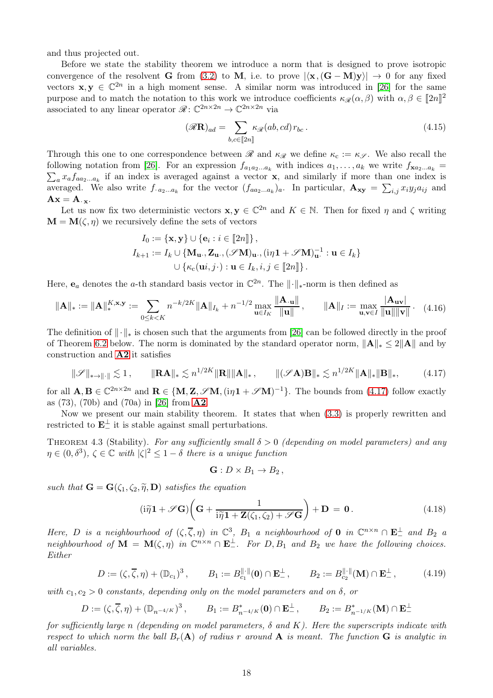and thus projected out.

Before we state the stability theorem we introduce a norm that is designed to prove isotropic convergence of the resolvent G from [\(3.2\)](#page-9-11) to M, i.e. to prove  $|\langle \mathbf{x}, (\mathbf{G} - \mathbf{M})\mathbf{y} \rangle| \to 0$  for any fixed vectors  $\mathbf{x}, \mathbf{y} \in \mathbb{C}^{2n}$  in a high moment sense. A similar norm was introduced in [\[26\]](#page-49-2) for the same purpose and to match the notation to this work we introduce coefficients  $\kappa_{\mathscr{R}}(\alpha, \beta)$  with  $\alpha, \beta \in [\![2n]\!]^2$ associated to any linear operator  $\mathcal{R} : \mathbb{C}^{2n \times 2n} \to \mathbb{C}^{2n \times 2n}$  via

<span id="page-17-5"></span>
$$
(\mathscr{R}\mathbf{R})_{ad} = \sum_{b,c \in [\![2n]\!]} \kappa_{\mathscr{R}}(ab,cd) r_{bc} \,. \tag{4.15}
$$

Through this one to one correspondence between  $\mathscr R$  and  $\kappa_{\mathscr R}$  we define  $\kappa_c := \kappa_{\mathscr S}$ . We also recall the following notation from [\[26\]](#page-49-2). For an expression  $f_{a_1a_2...a_k}$  with indices  $a_1,\ldots,a_k$  we write  $f_{\mathbf{x}a_2...a_k}$  =  $\sum_{a} x_a f_{aa_2...a_k}$  if an index is averaged against a vector **x**, and similarly if more than one index is averaged. We also write  $f_{a_2...a_k}$  for the vector  $(f_{aa_2...a_k})_a$ . In particular,  $\mathbf{A}_{xy} = \sum_{i,j} x_i y_j a_{ij}$  and  $A x = A_{\cdot x}.$ 

Let us now fix two deterministic vectors  $\mathbf{x}, \mathbf{y} \in \mathbb{C}^{2n}$  and  $K \in \mathbb{N}$ . Then for fixed  $\eta$  and  $\zeta$  writing  $\mathbf{M} = \mathbf{M}(\zeta, \eta)$  we recursively define the sets of vectors

$$
I_0 := \{ \mathbf{x}, \mathbf{y} \} \cup \{ \mathbf{e}_i : i \in [\![2n]\!] \},
$$
  
\n
$$
I_{k+1} := I_k \cup \{ \mathbf{M}_{\mathbf{u}}, \mathbf{Z}_{\mathbf{u}}, (\mathscr{S}\mathbf{M})_{\mathbf{u}}, (i\eta \mathbf{1} + \mathscr{S}\mathbf{M})_{\mathbf{u}}^{-1} : \mathbf{u} \in I_k \}
$$
  
\n
$$
\cup \{ \kappa_c(\mathbf{u}i, j \cdot) : \mathbf{u} \in I_k, i, j \in [\![2n]\!] \}.
$$

Here,  $e_a$  denotes the a-th standard basis vector in  $\mathbb{C}^{2n}$ . The  $\|\cdot\|_*$ -norm is then defined as

<span id="page-17-3"></span>
$$
\|\mathbf{A}\|_{*} := \|\mathbf{A}\|_{*}^{K,\mathbf{x},\mathbf{y}} := \sum_{0 \le k < K} n^{-k/2K} \|\mathbf{A}\|_{I_{k}} + n^{-1/2} \max_{\mathbf{u} \in I_{K}} \frac{\|\mathbf{A}.\mathbf{u}\|}{\|\mathbf{u}\|}, \qquad \|\mathbf{A}\|_{I} := \max_{\mathbf{u},\mathbf{v} \in I} \frac{|\mathbf{A}_{\mathbf{u}\mathbf{v}}|}{\|\mathbf{u}\| \|\mathbf{v}\|}. \tag{4.16}
$$

The definition of  $\|\cdot\|_*$  is chosen such that the arguments from [\[26\]](#page-49-2) can be followed directly in the proof of Theorem [6.2](#page-34-1) below. The norm is dominated by the standard operator norm,  $||\mathbf{A}||_* \leq 2||\mathbf{A}||$  and by construction and [A2](#page-4-2) it satisfies

$$
\|\mathcal{S}\|_{\ast\to\|\cdot\|} \lesssim 1\,,\qquad \|\mathbf{RA}\|_{\ast} \lesssim n^{1/2K} \|\mathbf{R}\| \|\mathbf{A}\|_{\ast}\,,\qquad \|(\mathcal{S}\mathbf{A})\mathbf{B}\|_{\ast} \lesssim n^{1/2K} \|\mathbf{A}\|_{\ast} \|\mathbf{B}\|_{\ast},\tag{4.17}
$$

<span id="page-17-2"></span>for all  $\mathbf{A}, \mathbf{B} \in \mathbb{C}^{2n \times 2n}$  and  $\mathbf{R} \in \{\mathbf{M}, \mathbf{Z}, \mathscr{S}\mathbf{M}, (\mathrm{i}\eta \mathbf{1} + \mathscr{S}\mathbf{M})^{-1}\}$ . The bounds from [\(4.17\)](#page-17-2) follow exactly as (73), (70b) and (70a) in [\[26\]](#page-49-2) from [A2](#page-4-2).

Now we present our main stability theorem. It states that when [\(3.3\)](#page-9-1) is properly rewritten and restricted to  $\mathbf{E}^{\perp}$  it is stable against small perturbations.

<span id="page-17-1"></span>THEOREM 4.3 (Stability). For any sufficiently small  $\delta > 0$  (depending on model parameters) and any  $\eta \in (0, \delta^3)$ ,  $\zeta \in \mathbb{C}$  with  $|\zeta|^2 \leq 1-\delta$  there is a unique function

$$
\mathbf{G}: D \times B_1 \to B_2,
$$

such that  $\mathbf{G} = \mathbf{G}(\zeta_1, \zeta_2, \tilde{\eta}, \mathbf{D})$  satisfies the equation

$$
(i\widetilde{\eta}\mathbf{1} + \mathscr{S}\mathbf{G})\left(\mathbf{G} + \frac{1}{i\widetilde{\eta}\mathbf{1} + \mathbf{Z}(\zeta_1, \zeta_2) + \mathscr{S}\mathbf{G}}\right) + \mathbf{D} = \mathbf{0}.
$$
 (4.18)

<span id="page-17-0"></span>Here, D is a neighbourhood of  $(\zeta, \overline{\zeta}, \eta)$  in  $\mathbb{C}^3$ ,  $B_1$  a neighbourhood of 0 in  $\mathbb{C}^{n \times n} \cap \mathbf{E}^{\perp}$  and  $B_2$  a neighbourhood of  $\mathbf{M} = \mathbf{M}(\zeta, \eta)$  in  $\mathbb{C}^{n \times n} \cap \mathbf{E}_{-}^{\perp}$ . For  $D, B_1$  and  $B_2$  we have the following choices. Either

$$
D := (\zeta, \overline{\zeta}, \eta) + (\mathbb{D}_{c_1})^3, \qquad B_1 := B_{c_1}^{\|\cdot\|}(0) \cap \mathbf{E}^{\perp}_-, \qquad B_2 := B_{c_2}^{\|\cdot\|}(M) \cap \mathbf{E}^{\perp}_-, \tag{4.19}
$$

<span id="page-17-4"></span>with  $c_1, c_2 > 0$  constants, depending only on the model parameters and on  $\delta$ , or

$$
D := (\zeta, \overline{\zeta}, \eta) + (\mathbb{D}_{n^{-4/K}})^3, \qquad B_1 := B_{n^{-4/K}}^*(0) \cap \mathbf{E}_-^{\perp}, \qquad B_2 := B_{n^{-1/K}}^*(\mathbf{M}) \cap \mathbf{E}_-^{\perp}
$$

for sufficiently large n (depending on model parameters,  $\delta$  and K). Here the superscripts indicate with respect to which norm the ball  $B_r(A)$  of radius r around A is meant. The function G is analytic in all variables.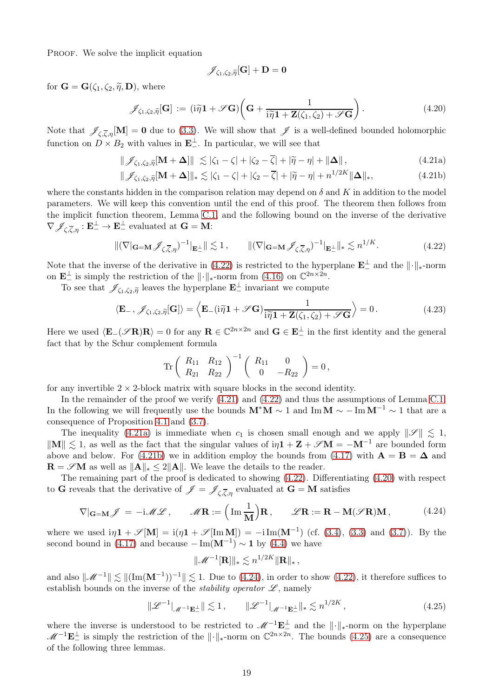PROOF. We solve the implicit equation

<span id="page-18-3"></span><span id="page-18-2"></span><span id="page-18-1"></span>
$$
\mathscr{J}_{\zeta_1,\zeta_2,\widetilde{\eta}}[\mathbf{G}]+\mathbf{D}=\mathbf{0}
$$

<span id="page-18-4"></span>for  $\mathbf{G} = \mathbf{G}(\zeta_1, \zeta_2, \tilde{\eta}, \mathbf{D})$ , where

$$
\mathscr{J}_{\zeta_1,\zeta_2,\tilde{\eta}}[\mathbf{G}] := (i\tilde{\eta}\mathbf{1} + \mathscr{S}\mathbf{G})\left(\mathbf{G} + \frac{1}{i\tilde{\eta}\mathbf{1} + \mathbf{Z}(\zeta_1,\zeta_2) + \mathscr{S}\mathbf{G}}\right). \tag{4.20}
$$

Note that  $\mathscr{J}_{\zeta,\overline{\zeta},\eta}[\mathbf{M}] = \mathbf{0}$  due to [\(3.3\)](#page-9-1). We will show that  $\mathscr{J}$  is a well-defined bounded holomorphic function on  $D \times B_2$  with values in  $\mathbf{E}^{\perp}$ . In particular, we will see that

$$
\|\mathscr{J}_{\zeta_1,\zeta_2,\tilde{\eta}}[\mathbf{M}+\mathbf{\Delta}]\| \lesssim |\zeta_1-\zeta|+|\zeta_2-\overline{\zeta}|+|\widetilde{\eta}-\eta|+\|\mathbf{\Delta}\|,\tag{4.21a}
$$

$$
\|\mathscr{J}_{\zeta_1,\zeta_2,\tilde{\eta}}[\mathbf{M}+\mathbf{\Delta}]\|_* \lesssim |\zeta_1-\zeta|+|\zeta_2-\overline{\zeta}|+|\widetilde{\eta}-\eta|+n^{1/2K}\|\mathbf{\Delta}\|_*,
$$
\n(4.21b)

where the constants hidden in the comparison relation may depend on  $\delta$  and K in addition to the model parameters. We will keep this convention until the end of this proof. The theorem then follows from the implicit function theorem, Lemma [C.1,](#page-44-0) and the following bound on the inverse of the derivative  $\nabla \mathscr{J}_{\zeta,\overline{\zeta},\eta}: \mathbf{E}^{\perp}_{-} \to \mathbf{E}^{\perp}_{-}$  evaluated at  $\mathbf{G} = \mathbf{M}$ :

$$
\|(\nabla|_{\mathbf{G}=\mathbf{M}}\mathcal{J}_{\zeta,\overline{\zeta},\eta})^{-1}|_{\mathbf{E}^{\perp}_{-}}\| \lesssim 1, \qquad \|(\nabla|_{\mathbf{G}=\mathbf{M}}\mathcal{J}_{\zeta,\overline{\zeta},\eta})^{-1}|_{\mathbf{E}^{\perp}_{-}}\|_{*} \lesssim n^{1/K}.
$$
 (4.22)

<span id="page-18-0"></span>Note that the inverse of the derivative in  $(4.22)$  is restricted to the hyperplane  $\mathbf{E}^{\perp}$  and the  $\|\cdot\|_{*}$ -norm on  $\mathbf{E}^{\perp}$  is simply the restriction of the  $\|\cdot\|_{*}$ -norm from [\(4.16\)](#page-17-3) on  $\mathbb{C}^{2n\times 2n}$ .

To see that  $\mathscr{J}_{\zeta_1,\zeta_2,\tilde{\eta}}$  leaves the hyperplane  $\mathbf{E}^{\perp}$  invariant we compute

$$
\langle \mathbf{E}_{-}, \mathcal{J}_{\zeta_1, \zeta_2, \tilde{\eta}}[\mathbf{G}] \rangle = \left\langle \mathbf{E}_{-}(\mathrm{i}\tilde{\eta}\mathbf{1} + \mathcal{S}\mathbf{G}) \frac{1}{\mathrm{i}\tilde{\eta}\mathbf{1} + \mathbf{Z}(\zeta_1, \zeta_2) + \mathcal{S}\mathbf{G}} \right\rangle = 0. \tag{4.23}
$$

<span id="page-18-7"></span>Here we used  $\langle \mathbf{E}_{-}(\mathscr{S} \mathbf{R})\mathbf{R} \rangle = 0$  for any  $\mathbf{R} \in \mathbb{C}^{2n \times 2n}$  and  $\mathbf{G} \in \mathbf{E}_{-}^{\perp}$  in the first identity and the general fact that by the Schur complement formula

$$
\text{Tr}\left(\begin{array}{cc} R_{11} & R_{12} \\ R_{21} & R_{22} \end{array}\right)^{-1}\left(\begin{array}{cc} R_{11} & 0 \\ 0 & -R_{22} \end{array}\right) = 0\,,
$$

for any invertible  $2 \times 2$ -block matrix with square blocks in the second identity.

In the remainder of the proof we verify  $(4.21)$  and  $(4.22)$  and thus the assumptions of Lemma [C.1.](#page-44-0) In the following we will frequently use the bounds  $M^*M \sim 1$  and Im $M \sim -\text{Im } M^{-1} \sim 1$  that are a consequence of Proposition [4.1](#page-15-7) and [\(3.7\)](#page-9-3).

The inequality [\(4.21a\)](#page-18-2) is immediate when  $c_1$  is chosen small enough and we apply  $\|\mathscr{S}\| \leq 1$ ,  $\|\mathbf{M}\| \lesssim 1$ , as well as the fact that the singular values of  $i\eta\mathbf{1} + \mathbf{Z} + \mathscr{S}\mathbf{M} = -\mathbf{M}^{-1}$  are bounded form above and below. For [\(4.21b\)](#page-18-3) we in addition employ the bounds from [\(4.17\)](#page-17-2) with  $\mathbf{A} = \mathbf{B} = \mathbf{\Delta}$  and  $\mathbf{R} = \mathscr{S} \mathbf{M}$  as well as  $\|\mathbf{A}\|_* \leq 2\|\mathbf{A}\|$ . We leave the details to the reader.

The remaining part of the proof is dedicated to showing [\(4.22\)](#page-18-0). Differentiating [\(4.20\)](#page-18-4) with respect to G reveals that the derivative of  $\mathscr{J} = \mathscr{J}_{\zeta,\overline{\zeta},\eta}$  evaluated at  $G = M$  satisfies

$$
\nabla|_{\mathbf{G}=\mathbf{M}}\mathscr{J} = -i\mathscr{M}\mathscr{L}, \qquad \mathscr{M}\mathbf{R} := \left(\operatorname{Im}\frac{1}{\mathbf{M}}\right)\mathbf{R}, \qquad \mathscr{L}\mathbf{R} := \mathbf{R} - \mathbf{M}(\mathscr{S}\mathbf{R})\mathbf{M}, \tag{4.24}
$$

<span id="page-18-5"></span>where we used  $i\eta \mathbf{1} + \mathscr{S}[\mathbf{M}] = i(\eta \mathbf{1} + \mathscr{S}[\text{Im} \mathbf{M}]) = -i \text{Im}(\mathbf{M}^{-1})$  (cf. [\(3.4\)](#page-9-9), [\(3.3\)](#page-9-1) and [\(3.7\)](#page-9-3)). By the second bound in [\(4.17\)](#page-17-2) and because  $-\text{Im}(\mathbf{M}^{-1}) \sim \mathbf{1}$  by [\(4.4\)](#page-15-3) we have

$$
\|\mathscr{M}^{-1}[\mathbf{R}]\|_* \lesssim n^{1/2K} \|\mathbf{R}\|_*,
$$

and also  $\|\mathscr{M}^{-1}\| \lesssim \|(\text{Im}(\mathbf{M}^{-1}))^{-1}\| \lesssim 1$ . Due to [\(4.24\)](#page-18-5), in order to show [\(4.22\)](#page-18-0), it therefore suffices to establish bounds on the inverse of the *stability operator*  $\mathscr{L}$ , namely

$$
\|\mathcal{L}^{-1}\|_{\mathcal{M}^{-1}\mathbf{E}_{-}^{\perp}}\| \lesssim 1, \qquad \|\mathcal{L}^{-1}\|_{\mathcal{M}^{-1}\mathbf{E}_{-}^{\perp}}\|_{*} \lesssim n^{1/2K}, \tag{4.25}
$$

<span id="page-18-6"></span>where the inverse is understood to be restricted to  $\mathcal{M}^{-1}\mathbf{E}_{-}^{\perp}$  and the  $\|\cdot\|_{*}$ -norm on the hyperplane  $\mathcal{M}^{-1}\mathbf{E}_{-}^{\perp}$  is simply the restriction of the  $\|\cdot\|_{*}$ -norm on  $\mathbb{C}^{2n\times 2n}$ . The bounds  $(4.25)$  are a consequence of the following three lemmas.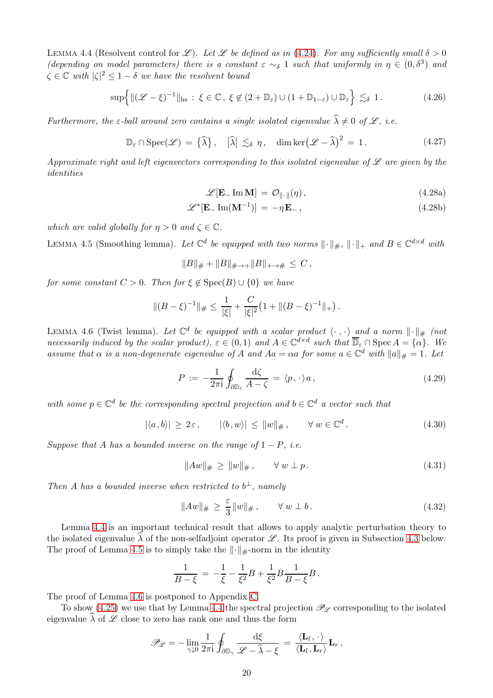<span id="page-19-0"></span>LEMMA 4.4 (Resolvent control for L). Let L be defined as in [\(4.24\)](#page-18-5). For any sufficiently small  $\delta > 0$ (depending on model parameters) there is a constant  $\varepsilon \sim_{\delta} 1$  such that uniformly in  $\eta \in (0, \delta^3)$  and  $\zeta \in \mathbb{C}$  with  $|\zeta|^2 \leq 1-\delta$  we have the resolvent bound

$$
\sup\left\{\|(\mathcal{L}-\xi)^{-1}\|_{\text{hs}}:\ \xi\in\mathbb{C},\ \xi\not\in(2+\mathbb{D}_{\varepsilon})\cup(1+\mathbb{D}_{1-\varepsilon})\cup\mathbb{D}_{\varepsilon}\right\}\lesssim_{\delta} 1. \tag{4.26}
$$

<span id="page-19-7"></span><span id="page-19-3"></span>Furthermore, the  $\varepsilon$ -ball around zero contains a single isolated eigenvalue  $\hat{\lambda} \neq 0$  of  $\mathscr{L}$ , i.e.

$$
\mathbb{D}_{\varepsilon} \cap \operatorname{Spec}(\mathscr{L}) = \{\widehat{\lambda}\}, \quad |\widehat{\lambda}| \lesssim_{\delta} \eta, \quad \dim \ker(\mathscr{L} - \widehat{\lambda})^2 = 1. \tag{4.27}
$$

<span id="page-19-4"></span>Approximate right and left eigenvectors corresponding to this isolated eigenvalue of  $\mathscr L$  are given by the identities

$$
\mathscr{L}[\mathbf{E}_{-}\operatorname{Im}\mathbf{M}] = \mathcal{O}_{\|\cdot\|}(\eta), \qquad (4.28a)
$$

$$
\mathscr{L}^*[\mathbf{E}_-\operatorname{Im}(\mathbf{M}^{-1})] = -\eta \mathbf{E}_-, \qquad (4.28b)
$$

which are valid globally for  $\eta > 0$  and  $\zeta \in \mathbb{C}$ .

<span id="page-19-1"></span>LEMMA 4.5 (Smoothing lemma). Let  $\mathbb{C}^d$  be equipped with two norms  $\|\cdot\|_{\#}$ ,  $\|\cdot\|_{+}$  and  $B \in \mathbb{C}^{d \times d}$  with

$$
||B||_{\#} + ||B||_{\# \to +} ||B||_{+ \to \#} \leq C,
$$

for some constant  $C > 0$ . Then for  $\xi \notin \text{Spec}(B) \cup \{0\}$  we have

$$
\|(B-\xi)^{-1}\|_{\#} \leq \frac{1}{|\xi|} + \frac{C}{|\xi|^2} \left(1 + \|(B-\xi)^{-1}\|_{+}\right).
$$

<span id="page-19-2"></span>LEMMA 4.6 (Twist lemma). Let  $\mathbb{C}^d$  be equipped with a scalar product  $\langle \cdot, \cdot \rangle$  and a norm  $\|\cdot\|_{\#}$  (not necessarily induced by the scalar product),  $\varepsilon \in (0,1)$  and  $A \in \mathbb{C}^{d \times d}$  such that  $\overline{\mathbb{D}}_{\varepsilon} \cap \operatorname{Spec} A = \{\alpha\}$ . We assume that  $\alpha$  is a non-degenerate eigenvalue of A and  $Aa = \alpha a$  for some  $a \in \mathbb{C}^d$  with  $||a||_{\#} = 1$ . Let

$$
P := -\frac{1}{2\pi i} \oint_{\partial \mathbb{D}_{\varepsilon}} \frac{d\zeta}{A - \zeta} = \langle p, \cdot \rangle a, \qquad (4.29)
$$

<span id="page-19-9"></span>with some  $p \in \mathbb{C}^d$  be the corresponding spectral projection and  $b \in \mathbb{C}^d$  a vector such that

$$
|\langle a,b\rangle| \ge 2\varepsilon, \qquad |\langle b,w\rangle| \le ||w||_{\#}, \qquad \forall w \in \mathbb{C}^d. \tag{4.30}
$$

<span id="page-19-6"></span><span id="page-19-5"></span>Suppose that A has a bounded inverse on the range of  $1 - P$ , i.e.

$$
||Aw||_{\#} \ge ||w||_{\#}, \qquad \forall \ w \perp p. \tag{4.31}
$$

<span id="page-19-8"></span>Then A has a bounded inverse when restricted to  $b^{\perp}$ , namely

$$
||Aw||_{\#} \ge \frac{\varepsilon}{3}||w||_{\#}, \qquad \forall \ w \perp b. \tag{4.32}
$$

Lemma [4.4](#page-19-0) is an important technical result that allows to apply analytic perturbation theory to the isolated eigenvalue  $\lambda$  of the non-selfadjoint operator  $\mathscr L$ . Its proof is given in Subsection [4.3](#page-21-0) below. The proof of Lemma [4.5](#page-19-1) is to simply take the  $\|\cdot\|_{\#}$ -norm in the identity

$$
\frac{1}{B-\xi} \,=\, -\frac{1}{\xi} - \frac{1}{\xi^2} B + \frac{1}{\xi^2} B \frac{1}{B-\xi} B \,.
$$

The proof of Lemma [4.6](#page-19-2) is postponed to Appendix [C.](#page-43-0)

To show [\(4.25\)](#page-18-6) we use that by Lemma [4.4](#page-19-0) the spectral projection  $\mathscr{P}_{\mathscr{L}}$  corresponding to the isolated eigenvalue  $\widehat{\lambda}$  of  $\mathscr L$  close to zero has rank one and thus the form

$$
\mathscr{P}_{\mathscr{L}} = -\lim_{\gamma \downarrow 0} \frac{1}{2\pi i} \oint_{\partial \mathbb{D}_{\gamma}} \frac{d\xi}{\mathscr{L} - \hat{\lambda} - \xi} = \frac{\langle \mathbf{L}_l, \cdot \rangle}{\langle \mathbf{L}_l, \mathbf{L}_r \rangle} \mathbf{L}_r \,,
$$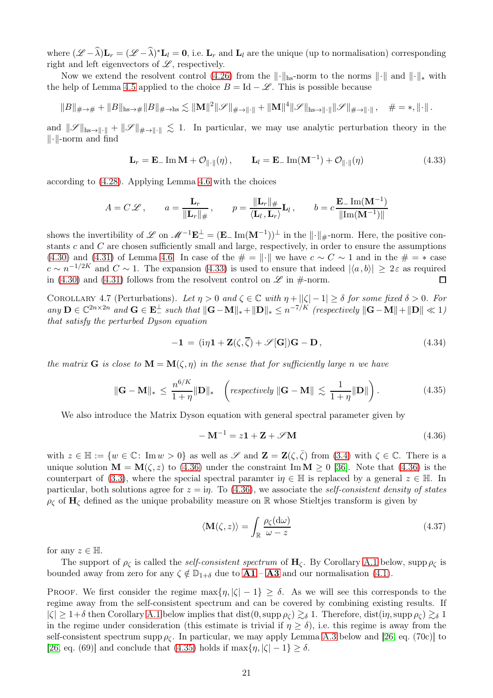where  $(\mathscr{L} - \lambda)\mathbf{L}_r = (\mathscr{L} - \lambda)^*\mathbf{L}_l = \mathbf{0}$ , i.e.  $\mathbf{L}_r$  and  $\mathbf{L}_l$  are the unique (up to normalisation) corresponding right and left eigenvectors of  $\mathscr{L}$ , respectively.

Now we extend the resolvent control [\(4.26\)](#page-19-3) from the  $\|\cdot\|_{\text{hs}}$ -norm to the norms  $\|\cdot\|$  and  $\|\cdot\|_*$  with the help of Lemma [4.5](#page-19-1) applied to the choice  $B = Id - \mathcal{L}$ . This is possible because

$$
||B||_{\# \to \#} + ||B||_{\text{hs} \to \#} ||B||_{\# \to \text{hs}} \lesssim ||\mathbf{M}||^2 ||\mathcal{S}||_{\# \to ||\cdot||} + ||\mathbf{M}||^4 ||\mathcal{S}||_{\text{hs} \to ||\cdot||} ||\mathcal{S}||_{\# \to ||\cdot||}, \quad \# = *, \|\cdot||.
$$

and  $\|\mathscr{S}\|_{\text{hs}\to\|\cdot\|} + \|\mathscr{S}\|_{\#\to\|\cdot\|} \lesssim 1$ . In particular, we may use analytic perturbation theory in the  $\|\cdot\|$ -norm and find

$$
\mathbf{L}_r = \mathbf{E}_-\operatorname{Im}\mathbf{M} + \mathcal{O}_{\|\cdot\|}(\eta), \qquad \mathbf{L}_l = \mathbf{E}_-\operatorname{Im}(\mathbf{M}^{-1}) + \mathcal{O}_{\|\cdot\|}(\eta) \tag{4.33}
$$

<span id="page-20-1"></span>according to [\(4.28\)](#page-19-4). Applying Lemma [4.6](#page-19-2) with the choices

$$
A = C\mathscr{L}, \qquad a = \frac{\mathbf{L}_r}{\|\mathbf{L}_r\|_{\#}}, \qquad p = \frac{\|\mathbf{L}_r\|_{\#}}{\langle \mathbf{L}_l, \mathbf{L}_r \rangle} \mathbf{L}_l, \qquad b = c \frac{\mathbf{E}_r \operatorname{Im}(\mathbf{M}^{-1})}{\|\operatorname{Im}(\mathbf{M}^{-1})\|}
$$

shows the invertibility of  $\mathscr{L}$  on  $\mathscr{M}^{-1}\mathbf{E}^{\perp} = (\mathbf{E} \_ \mathrm{Im}(\mathbf{M}^{-1}))^{\perp}$  in the  $\|\cdot\|_{\#}$ -norm. Here, the positive constants  $c$  and  $C$  are chosen sufficiently small and large, respectively, in order to ensure the assumptions [\(4.30\)](#page-19-5) and [\(4.31\)](#page-19-6) of Lemma [4.6.](#page-19-2) In case of the  $\# = \|\cdot\|$  we have  $c \sim C \sim 1$  and in the  $\# = *$  case  $c \sim n^{-1/2K}$  and  $C \sim 1$ . The expansion [\(4.33\)](#page-20-1) is used to ensure that indeed  $|\langle a, b \rangle| \geq 2\varepsilon$  as required in [\(4.30\)](#page-19-5) and [\(4.31\)](#page-19-6) follows from the resolvent control on  $\mathscr L$  in #-norm.

<span id="page-20-4"></span>COROLLARY 4.7 (Perturbations). Let  $\eta > 0$  and  $\zeta \in \mathbb{C}$  with  $\eta + ||\zeta|-1| \geq \delta$  for some fixed  $\delta > 0$ . For any  $\mathbf{D} \in \mathbb{C}^{2n \times 2n}$  and  $\mathbf{G} \in \mathbf{E}_{-}^{\perp}$  such that  $\|\mathbf{G}-\mathbf{M}\|_{*}+\|\mathbf{D}\|_{*} \leq n^{-7/K}$  (respectively  $\|\mathbf{G}-\mathbf{M}\|+\|\mathbf{D}\| \ll 1$ ) that satisfy the perturbed Dyson equation

$$
-1 = (i\eta \mathbf{1} + \mathbf{Z}(\zeta, \overline{\zeta}) + \mathscr{S}[\mathbf{G}])\mathbf{G} - \mathbf{D},
$$
\n(4.34)

<span id="page-20-3"></span><span id="page-20-0"></span>the matrix **G** is close to  $\mathbf{M} = \mathbf{M}(\zeta, \eta)$  in the sense that for sufficiently large n we have

$$
\|\mathbf{G} - \mathbf{M}\|_{*} \leq \frac{n^{6/K}}{1+\eta} \|\mathbf{D}\|_{*} \quad \left(\text{respectively } \|\mathbf{G} - \mathbf{M}\| \lesssim \frac{1}{1+\eta} \|\mathbf{D}\|\right). \tag{4.35}
$$

We also introduce the Matrix Dyson equation with general spectral parameter given by

<span id="page-20-2"></span>
$$
-\mathbf{M}^{-1} = z\mathbf{1} + \mathbf{Z} + \mathscr{S}\mathbf{M}
$$
\n(4.36)

with  $z \in \mathbb{H} := \{w \in \mathbb{C} : \text{Im } w > 0\}$  as well as  $\mathscr{S}$  and  $\mathbf{Z} = \mathbf{Z}(\zeta, \overline{\zeta})$  from  $(3.4)$  with  $\zeta \in \mathbb{C}$ . There is a unique solution  $\mathbf{M} = \mathbf{M}(\zeta, z)$  to [\(4.36\)](#page-20-2) under the constraint Im  $\mathbf{M} \geq 0$  [\[36\]](#page-49-20). Note that (4.36) is the counterpart of [\(3.3\)](#page-9-1), where the special spectral paramter  $i\eta \in \mathbb{H}$  is replaced by a general  $z \in \mathbb{H}$ . In particular, both solutions agree for  $z = i\eta$ . To [\(4.36\)](#page-20-2), we associate the self-consistent density of states  $\rho_{\zeta}$  of  $H_{\zeta}$  defined as the unique probability measure on R whose Stieltjes transform is given by

<span id="page-20-5"></span>
$$
\langle \mathbf{M}(\zeta, z) \rangle = \int_{\mathbb{R}} \frac{\rho_{\zeta}(\mathrm{d}\omega)}{\omega - z} \tag{4.37}
$$

for any  $z \in \mathbb{H}$ .

The support of  $\rho_{\zeta}$  is called the *self-consistent spectrum* of  $H_{\zeta}$ . By Corollary [A.1](#page-40-1) below, supp  $\rho_{\zeta}$  is bounded away from zero for any  $\zeta \notin \mathbb{D}_{1+\delta}$  due to  $\mathbf{A1} - \mathbf{A3}$  $\mathbf{A1} - \mathbf{A3}$  $\mathbf{A1} - \mathbf{A3}$  $\mathbf{A1} - \mathbf{A3}$  $\mathbf{A1} - \mathbf{A3}$  and our normalisation [\(4.1\)](#page-15-8).

PROOF. We first consider the regime  $\max\{\eta, |\zeta| - 1\} \ge \delta$ . As we will see this corresponds to the regime away from the self-consistent spectrum and can be covered by combining existing results. If  $|\zeta| \geq 1+\delta$  then Corollary [A.1](#page-40-1) below implies that dist(0, supp  $\rho_{\zeta}$ )  $\gtrsim_{\delta} 1$ . Therefore, dist(in, supp  $\rho_{\zeta}$ )  $\gtrsim_{\delta} 1$ in the regime under consideration (this estimate is trivial if  $\eta \ge \delta$ ), i.e. this regime is away from the self-consistent spectrum supp  $\rho_c$ . In particular, we may apply Lemma [A.3](#page-40-2) below and [\[26,](#page-49-2) eq. (70c)] to [\[26,](#page-49-2) eq. (69)] and conclude that [\(4.35\)](#page-20-3) holds if  $\max{\{\eta, |\zeta| - 1\}} \ge \delta$ .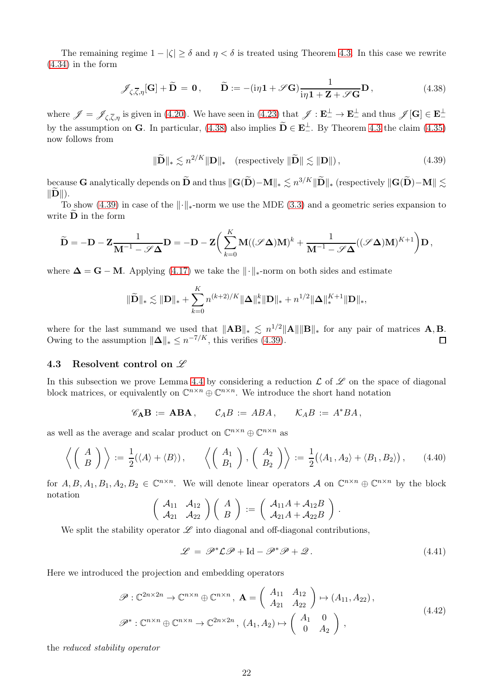The remaining regime  $1 - |\zeta| \ge \delta$  and  $\eta < \delta$  is treated using Theorem [4.3.](#page-17-1) In this case we rewrite [\(4.34\)](#page-20-0) in the form

$$
\mathscr{J}_{\zeta,\overline{\zeta},\eta}[\mathbf{G}] + \widetilde{\mathbf{D}} = \mathbf{0}, \qquad \widetilde{\mathbf{D}} := -(\mathrm{i}\eta \mathbf{1} + \mathscr{S}\mathbf{G}) \frac{1}{\mathrm{i}\eta \mathbf{1} + \mathbf{Z} + \mathscr{S}\mathbf{G}} \mathbf{D}, \tag{4.38}
$$

<span id="page-21-1"></span>where  $\mathscr{J} = \mathscr{J}_{\zeta,\overline{\zeta},\eta}$  is given in [\(4.20\)](#page-18-4). We have seen in [\(4.23\)](#page-18-7) that  $\mathscr{J}: \mathbf{E}_{-}^{\perp} \to \mathbf{E}_{-}^{\perp}$  and thus  $\mathscr{J}[\mathbf{G}] \in \mathbf{E}_{-}^{\perp}$ by the assumption on **G**. In particular, [\(4.38\)](#page-21-1) also implies  $\mathbf{D} \in \mathbf{E}_{-}^{\perp}$ . By Theorem [4.3](#page-17-1) the claim [\(4.35\)](#page-20-3) now follows from

$$
\|\widetilde{\mathbf{D}}\|_{*} \lesssim n^{2/K} \|\mathbf{D}\|_{*} \quad \text{(respectively } \|\widetilde{\mathbf{D}}\| \lesssim \|\mathbf{D}\| \text{)},\tag{4.39}
$$

<span id="page-21-2"></span>because G analytically depends on  $\widetilde{\mathbf{D}}$  and thus  $\|\mathbf{G}(\widetilde{\mathbf{D}})-\mathbf{M}\|_{*} \lesssim n^{3/K}\|\widetilde{\mathbf{D}}\|_{*}$  (respectively  $\|\mathbf{G}(\widetilde{\mathbf{D}})-\mathbf{M}\| \lesssim$  $\Vert \mathbf{D} \Vert$ ).

To show [\(4.39\)](#page-21-2) in case of the  $\lVert \cdot \rVert_*$ -norm we use the MDE [\(3.3\)](#page-9-1) and a geometric series expansion to write  $\mathbf D$  in the form

$$
\widetilde{\mathbf{D}} = -\mathbf{D} - \mathbf{Z} \frac{1}{\mathbf{M}^{-1} - \mathscr{S} \boldsymbol{\Delta}} \mathbf{D} = -\mathbf{D} - \mathbf{Z} \bigg( \sum_{k=0}^{K} \mathbf{M} ((\mathscr{S} \boldsymbol{\Delta}) \mathbf{M})^{k} + \frac{1}{\mathbf{M}^{-1} - \mathscr{S} \boldsymbol{\Delta}} ((\mathscr{S} \boldsymbol{\Delta}) \mathbf{M})^{K+1} \bigg) \mathbf{D},
$$

where  $\Delta = G - M$ . Applying [\(4.17\)](#page-17-2) we take the  $\|\cdot\|_{*}$ -norm on both sides and estimate

$$
\|\widetilde{\mathbf{D}}\|_{*} \lesssim \|\mathbf{D}\|_{*} + \sum_{k=0}^{K} n^{(k+2)/K} \|\mathbf{\Delta}\|_{*}^{k} \|\mathbf{D}\|_{*} + n^{1/2} \|\mathbf{\Delta}\|_{*}^{K+1} \|\mathbf{D}\|_{*},
$$

where for the last summand we used that  $||AB||_* \lesssim n^{1/2} ||A|| ||B||_*$  for any pair of matrices  $\mathbf{A}, \mathbf{B}$ . Owing to the assumption  $\|\mathbf{\Delta}\|_* \leq n^{-7/K}$ , this verifies [\(4.39\)](#page-21-2).

### <span id="page-21-0"></span>4.3 Resolvent control on  $\mathscr L$

In this subsection we prove Lemma [4.4](#page-19-0) by considering a reduction  $\mathcal L$  of  $\mathcal L$  on the space of diagonal block matrices, or equivalently on  $\mathbb{C}^{n \times n} \oplus \mathbb{C}^{n \times n}$ . We introduce the short hand notation

$$
\mathscr{C}_{\mathbf{A}}\mathbf{B} := \mathbf{A}\mathbf{B}\mathbf{A}, \qquad \mathcal{C}_A B := A B A, \qquad \mathcal{K}_A B := A^* B A,
$$

as well as the average and scalar product on  $\mathbb{C}^{n \times n} \oplus \mathbb{C}^{n \times n}$  as

<span id="page-21-3"></span>
$$
\left\langle \left(\begin{array}{c} A \\ B \end{array}\right) \right\rangle := \frac{1}{2} (\langle A \rangle + \langle B \rangle), \qquad \left\langle \left(\begin{array}{c} A_1 \\ B_1 \end{array}\right), \left(\begin{array}{c} A_2 \\ B_2 \end{array}\right) \right\rangle := \frac{1}{2} (\langle A_1, A_2 \rangle + \langle B_1, B_2 \rangle), \qquad (4.40)
$$

for  $A, B, A_1, B_1, A_2, B_2 \in \mathbb{C}^{n \times n}$ . We will denote linear operators  $A$  on  $\mathbb{C}^{n \times n} \oplus \mathbb{C}^{n \times n}$  by the block notation

$$
\left(\begin{array}{cc} \mathcal{A}_{11} & \mathcal{A}_{12} \\ \mathcal{A}_{21} & \mathcal{A}_{22} \end{array}\right)\left(\begin{array}{c} A \\ B \end{array}\right) := \left(\begin{array}{c} \mathcal{A}_{11}A + \mathcal{A}_{12}B \\ \mathcal{A}_{21}A + \mathcal{A}_{22}B \end{array}\right)
$$

We split the stability operator  $\mathscr L$  into diagonal and off-diagonal contributions,

$$
\mathcal{L} = \mathcal{P}^* \mathcal{L} \mathcal{P} + \text{Id} - \mathcal{P}^* \mathcal{P} + \mathcal{Q}.
$$
 (4.41)

.

<span id="page-21-4"></span>Here we introduced the projection and embedding operators

$$
\mathscr{P}: \mathbb{C}^{2n \times 2n} \to \mathbb{C}^{n \times n} \oplus \mathbb{C}^{n \times n}, \ \mathbf{A} = \begin{pmatrix} A_{11} & A_{12} \\ A_{21} & A_{22} \end{pmatrix} \mapsto (A_{11}, A_{22}),
$$
\n
$$
\mathscr{P}^*: \mathbb{C}^{n \times n} \oplus \mathbb{C}^{n \times n} \to \mathbb{C}^{2n \times 2n}, \ (A_1, A_2) \mapsto \begin{pmatrix} A_1 & 0 \\ 0 & A_2 \end{pmatrix},
$$
\n(4.42)

the reduced stability operator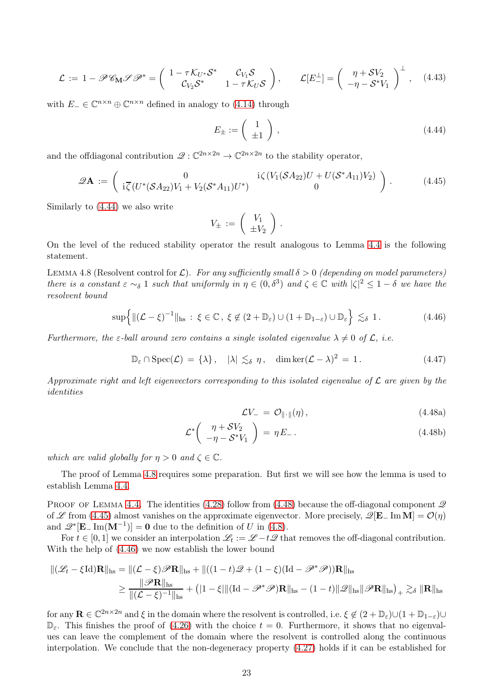<span id="page-22-8"></span>
$$
\mathcal{L} := 1 - \mathscr{P} \mathscr{C}_{\mathbf{M}} \mathscr{P} \mathscr{P}^* = \begin{pmatrix} 1 - \tau \mathcal{K}_{U^*} \mathcal{S}^* & \mathcal{C}_{V_1} \mathcal{S} \\ \mathcal{C}_{V_2} \mathcal{S}^* & 1 - \tau \mathcal{K}_U \mathcal{S} \end{pmatrix}, \qquad \mathcal{L}[E_{-}^{\perp}] = \begin{pmatrix} \eta + \mathcal{S} V_2 \\ -\eta - \mathcal{S}^* V_1 \end{pmatrix}^{\perp}, \quad (4.43)
$$

<span id="page-22-0"></span>with  $E_-\in\mathbb{C}^{n\times n}\oplus\mathbb{C}^{n\times n}$  defined in analogy to [\(4.14\)](#page-16-5) through

$$
E_{\pm} := \left(\begin{array}{c} 1 \\ \pm 1 \end{array}\right) , \tag{4.44}
$$

<span id="page-22-3"></span>and the offdiagonal contribution  $\mathscr{Q}: \mathbb{C}^{2n \times 2n} \to \mathbb{C}^{2n \times 2n}$  to the stability operator,

$$
\mathscr{Q}\mathbf{A} := \begin{pmatrix} 0 & \mathrm{i}\zeta (V_1(\mathcal{S}A_{22})U + U(\mathcal{S}^*A_{11})V_2) \\ \mathrm{i}\zeta (U^*(\mathcal{S}A_{22})V_1 + V_2(\mathcal{S}^*A_{11})U^*) & 0 \end{pmatrix} . \tag{4.45}
$$

Similarly to [\(4.44\)](#page-22-0) we also write

$$
V_{\pm} := \left(\begin{array}{c} V_1 \\ \pm V_2 \end{array}\right) .
$$

On the level of the reduced stability operator the result analogous to Lemma [4.4](#page-19-0) is the following statement.

<span id="page-22-1"></span>LEMMA 4.8 (Resolvent control for  $\mathcal{L}$ ). For any sufficiently small  $\delta > 0$  (depending on model parameters) there is a constant  $\varepsilon \sim_{\delta} 1$  such that uniformly in  $\eta \in (0,\delta^3)$  and  $\zeta \in \mathbb{C}$  with  $|\zeta|^2 \leq 1-\delta$  we have the resolvent bound

$$
\sup\left\{\|(\mathcal{L}-\xi)^{-1}\|_{\text{hs}}:\ \xi\in\mathbb{C}\,,\ \xi\not\in(2+\mathbb{D}_{\varepsilon})\cup(1+\mathbb{D}_{1-\varepsilon})\cup\mathbb{D}_{\varepsilon}\right\}\lesssim_{\delta} 1. \tag{4.46}
$$

<span id="page-22-5"></span><span id="page-22-4"></span>Furthermore, the  $\varepsilon$ -ball around zero contains a single isolated eigenvalue  $\lambda \neq 0$  of  $\mathcal{L}$ , i.e.

$$
\mathbb{D}_{\varepsilon} \cap \operatorname{Spec}(\mathcal{L}) = \{ \lambda \}, \quad |\lambda| \lesssim_{\delta} \eta, \quad \dim \ker(\mathcal{L} - \lambda)^2 = 1. \tag{4.47}
$$

<span id="page-22-2"></span>Approximate right and left eigenvectors corresponding to this isolated eigenvalue of  $\mathcal L$  are given by the identities

<span id="page-22-7"></span><span id="page-22-6"></span>
$$
\mathcal{L}V_{-} = \mathcal{O}_{\|\cdot\|}(\eta) \,,\tag{4.48a}
$$

$$
\mathcal{L}^* \left( \begin{array}{c} \eta + \mathcal{S}V_2 \\ -\eta - \mathcal{S}^* V_1 \end{array} \right) = \eta E_- \,. \tag{4.48b}
$$

which are valid globally for  $\eta > 0$  and  $\zeta \in \mathbb{C}$ .

The proof of Lemma [4.8](#page-22-1) requires some preparation. But first we will see how the lemma is used to establish Lemma [4.4.](#page-19-0)

PROOF OF LEMMA [4.4.](#page-19-0) The identities [\(4.28\)](#page-19-4) follow from [\(4.48\)](#page-22-2) because the off-diagonal component  $\mathscr Q$ of L from [\(4.45\)](#page-22-3) almost vanishes on the approximate eigenvector. More precisely,  $\mathscr{Q}[\mathbf{E}_{-} \text{Im} \mathbf{M}] = \mathcal{O}(\eta)$ and  $\mathscr{Q}^*[\mathbf{E}_-\operatorname{Im}(\mathbf{M}^{-1})] = \mathbf{0}$  due to the definition of U in [\(4.8\)](#page-16-2).

For  $t \in [0,1]$  we consider an interpolation  $\mathcal{L}_t := \mathcal{L} - t\mathcal{L}$  that removes the off-diagonal contribution. With the help of [\(4.46\)](#page-22-4) we now establish the lower bound

$$
\begin{aligned} \|(\mathscr{L}_t - \xi \mathrm{Id}) \mathbf{R} \|_{\mathrm{hs}} &= \|(\mathcal{L} - \xi) \mathscr{P} \mathbf{R} \|_{\mathrm{hs}} + \|((1 - t)\mathscr{Q} + (1 - \xi)(\mathrm{Id} - \mathscr{P}^* \mathscr{P})) \mathbf{R} \|_{\mathrm{hs}} \\ &\geq \frac{\|\mathscr{P} \mathbf{R} \|_{\mathrm{hs}}}{\|(\mathcal{L} - \xi)^{-1} \|_{\mathrm{hs}}} + \big( |1 - \xi| \|(\mathrm{Id} - \mathscr{P}^* \mathscr{P}) \mathbf{R} \|_{\mathrm{hs}} - (1 - t) \|\mathscr{Q} \|_{\mathrm{hs}} \|\mathscr{P} \mathbf{R} \|_{\mathrm{hs}} \big)_{+} \gtrsim_{\delta} \| \mathbf{R} \|_{\mathrm{hs}} \end{aligned}
$$

for any  $\mathbf{R} \in \mathbb{C}^{2n \times 2n}$  and  $\xi$  in the domain where the resolvent is controlled, i.e.  $\xi \notin (2 + \mathbb{D}_{\varepsilon}) \cup (1 + \mathbb{D}_{1-\varepsilon}) \cup$  $\mathbb{D}_{\varepsilon}$ . This finishes the proof of [\(4.26\)](#page-19-3) with the choice  $t = 0$ . Furthermore, it shows that no eigenvalues can leave the complement of the domain where the resolvent is controlled along the continuous interpolation. We conclude that the non-degeneracy property [\(4.27\)](#page-19-7) holds if it can be established for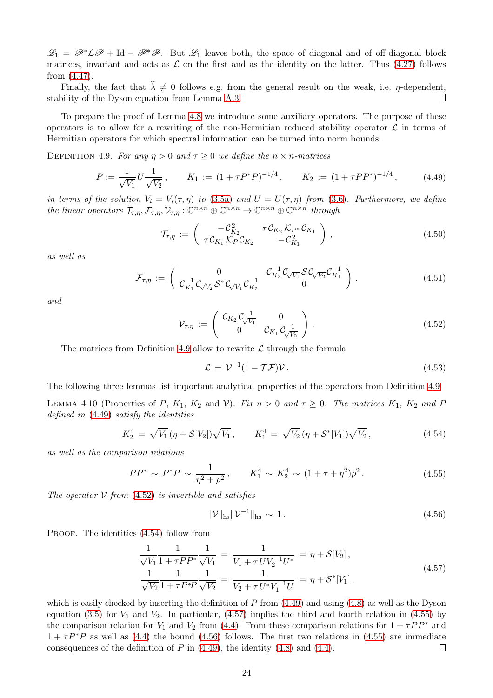$\mathscr{L}_1 = \mathscr{P}^* \mathscr{L} \mathscr{P} + \text{Id} - \mathscr{P}^* \mathscr{P}$ . But  $\mathscr{L}_1$  leaves both, the space of diagonal and of off-diagonal block matrices, invariant and acts as  $\mathcal L$  on the first and as the identity on the latter. Thus [\(4.27\)](#page-19-7) follows from [\(4.47\)](#page-22-5).

Finally, the fact that  $\hat{\lambda} \neq 0$  follows e.g. from the general result on the weak, i.e.  $\eta$ -dependent, bility of the Dyson equation from Lemma A.3. stability of the Dyson equation from Lemma [A.3.](#page-40-2)

To prepare the proof of Lemma [4.8](#page-22-1) we introduce some auxiliary operators. The purpose of these operators is to allow for a rewriting of the non-Hermitian reduced stability operator  $\mathcal L$  in terms of Hermitian operators for which spectral information can be turned into norm bounds.

<span id="page-23-1"></span><span id="page-23-0"></span>DEFINITION 4.9. For any  $\eta > 0$  and  $\tau \geq 0$  we define the  $n \times n$ -matrices

$$
P := \frac{1}{\sqrt{V_1}} U \frac{1}{\sqrt{V_2}}, \qquad K_1 := (1 + \tau P^* P)^{-1/4}, \qquad K_2 := (1 + \tau P P^*)^{-1/4}, \qquad (4.49)
$$

in terms of the solution  $V_i = V_i(\tau, \eta)$  to [\(3.5a\)](#page-9-5) and  $U = U(\tau, \eta)$  from [\(3.6\)](#page-9-10). Furthermore, we define the linear operators  $\mathcal{T}_{\tau,\eta}, \mathcal{F}_{\tau,\eta}, \mathcal{V}_{\tau,\eta} : \mathbb{C}^{n \times n} \oplus \mathbb{C}^{n \times n} \to \mathbb{C}^{n \times n} \oplus \mathbb{C}^{n \times n}$  through

$$
\mathcal{T}_{\tau,\eta} := \begin{pmatrix} -\mathcal{C}_{K_2}^2 & \tau \mathcal{C}_{K_2} \mathcal{K}_{P^*} \mathcal{C}_{K_1} \\ \tau \mathcal{C}_{K_1} \mathcal{K}_P \mathcal{C}_{K_2} & -\mathcal{C}_{K_1}^2 \end{pmatrix},
$$
\n(4.50)

<span id="page-23-8"></span><span id="page-23-7"></span>as well as

$$
\mathcal{F}_{\tau,\eta} := \begin{pmatrix} 0 & \mathcal{C}_{K_1}^{-1} \mathcal{C}_{\sqrt{V_2}} \mathcal{S}^* \mathcal{C}_{\sqrt{V_1}} \mathcal{C}_{K_2}^{-1} & 0 \\ \mathcal{C}_{K_1}^{-1} \mathcal{C}_{\sqrt{V_2}} \mathcal{S}^* \mathcal{C}_{\sqrt{V_1}} \mathcal{C}_{K_2}^{-1} & 0 \end{pmatrix}, \qquad (4.51)
$$

<span id="page-23-2"></span>and

$$
\mathcal{V}_{\tau,\eta} := \begin{pmatrix} \mathcal{C}_{K_2} \mathcal{C}_{\sqrt{V_1}}^{-1} & 0 \\ 0 & \mathcal{C}_{K_1} \mathcal{C}_{\sqrt{V_2}}^{-1} \end{pmatrix} . \tag{4.52}
$$

The matrices from Definition [4.9](#page-23-0) allow to rewrite  $\mathcal L$  through the formula

$$
\mathcal{L} = \mathcal{V}^{-1}(1 - \mathcal{T}\mathcal{F})\mathcal{V}.
$$
\n(4.53)

<span id="page-23-9"></span>The following three lemmas list important analytical properties of the operators from Definition [4.9.](#page-23-0)

LEMMA 4.10 (Properties of P,  $K_1$ ,  $K_2$  and V). Fix  $\eta > 0$  and  $\tau \geq 0$ . The matrices  $K_1$ ,  $K_2$  and P defined in [\(4.49\)](#page-23-1) satisfy the identities

$$
K_2^4 = \sqrt{V_1} \left( \eta + \mathcal{S}[V_2] \right) \sqrt{V_1}, \qquad K_1^4 = \sqrt{V_2} \left( \eta + \mathcal{S}^*[V_1] \right) \sqrt{V_2}, \tag{4.54}
$$

<span id="page-23-5"></span><span id="page-23-3"></span>as well as the comparison relations

$$
PP^* \sim P^*P \sim \frac{1}{\eta^2 + \rho^2}, \qquad K_1^4 \sim K_2^4 \sim (1 + \tau + \eta^2)\rho^2. \tag{4.55}
$$

The operator  $V$  from [\(4.52\)](#page-23-2) is invertible and satisfies

$$
\|\mathcal{V}\|_{\text{hs}}\|\mathcal{V}^{-1}\|_{\text{hs}} \sim 1. \tag{4.56}
$$

<span id="page-23-6"></span>PROOF. The identities  $(4.54)$  follow from

$$
\frac{1}{\sqrt{V_1}} \frac{1}{1 + \tau P P^*} \frac{1}{\sqrt{V_1}} = \frac{1}{V_1 + \tau U V_2^{-1} U^*} = \eta + S[V_2],
$$
\n
$$
\frac{1}{\sqrt{V_2}} \frac{1}{1 + \tau P^* P} \frac{1}{\sqrt{V_2}} = \frac{1}{V_2 + \tau U^* V_1^{-1} U} = \eta + S^* [V_1],
$$
\n(4.57)

<span id="page-23-4"></span>which is easily checked by inserting the definition of  $P$  from [\(4.49\)](#page-23-1) and using [\(4.8\)](#page-16-2) as well as the Dyson equation [\(3.5\)](#page-9-2) for  $V_1$  and  $V_2$ . In particular, [\(4.57\)](#page-23-4) implies the third and fourth relation in [\(4.55\)](#page-23-5) by the comparison relation for  $V_1$  and  $V_2$  from [\(4.4\)](#page-15-3). From these comparison relations for  $1 + \tau PP^*$  and  $1 + \tau P^*P$  as well as [\(4.4\)](#page-15-3) the bound [\(4.56\)](#page-23-6) follows. The first two relations in [\(4.55\)](#page-23-5) are immediate consequences of the definition of  $P$  in [\(4.49\)](#page-23-1), the identity [\(4.8\)](#page-16-2) and [\(4.4\)](#page-15-3).  $\Box$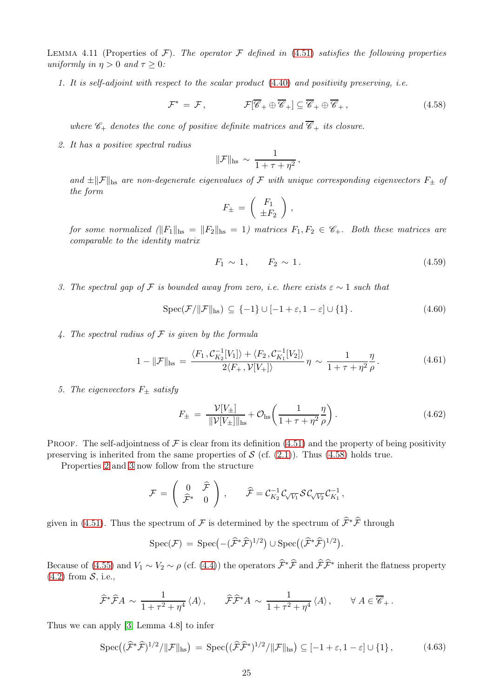<span id="page-24-10"></span>LEMMA 4.11 (Properties of  $\mathcal{F}$ ). The operator  $\mathcal{F}$  defined in [\(4.51\)](#page-23-7) satisfies the following properties uniformly in  $\eta > 0$  and  $\tau \geq 0$ :

1. It is self-adjoint with respect to the scalar product [\(4.40\)](#page-21-3) and positivity preserving, i.e.

$$
\mathcal{F}^* = \mathcal{F}, \qquad \qquad \mathcal{F}[\overline{\mathscr{C}}_+ \oplus \overline{\mathscr{C}}_+] \subseteq \overline{\mathscr{C}}_+ \oplus \overline{\mathscr{C}}_+, \qquad (4.58)
$$

<span id="page-24-0"></span>where  $\mathscr{C}_+$  denotes the cone of positive definite matrices and  $\overline{\mathscr{C}}_+$  its closure.

<span id="page-24-1"></span>2. It has a positive spectral radius

$$
\|\mathcal{F}\|_{\text{hs}} \sim \frac{1}{1 + \tau + \eta^2},
$$

and  $\pm \|\mathcal{F}\|_{\text{hs}}$  are non-degenerate eigenvalues of F with unique corresponding eigenvectors  $F_{\pm}$  of the form

$$
F_{\pm} = \left( \begin{array}{c} F_1 \\ \pm F_2 \end{array} \right) ,
$$

for some normalized  $(\|F_1\|_{\text{hs}} = \|F_2\|_{\text{hs}} = 1)$  matrices  $F_1, F_2 \in \mathscr{C}_+$ . Both these matrices are comparable to the identity matrix

$$
F_1 \sim 1
$$
,  $F_2 \sim 1$ . (4.59)

<span id="page-24-9"></span><span id="page-24-4"></span><span id="page-24-2"></span>3. The spectral gap of F is bounded away from zero, i.e. there exists  $\varepsilon \sim 1$  such that

$$
Spec(\mathcal{F}/\|\mathcal{F}\|_{\text{hs}}) \subseteq \{-1\} \cup [-1+\varepsilon, 1-\varepsilon] \cup \{1\}.
$$
 (4.60)

<span id="page-24-7"></span><span id="page-24-5"></span>4. The spectral radius of  $\mathcal F$  is given by the formula

$$
1 - \|\mathcal{F}\|_{\text{hs}} = \frac{\langle F_1, \mathcal{C}_{K_2}^{-1}[V_1] \rangle + \langle F_2, \mathcal{C}_{K_1}^{-1}[V_2] \rangle}{2\langle F_+, \mathcal{V}[V_+] \rangle} \eta \sim \frac{1}{1 + \tau + \eta^2} \frac{\eta}{\rho}.
$$
 (4.61)

<span id="page-24-8"></span><span id="page-24-6"></span>5. The eigenvectors  $F_{\pm}$  satisfy

$$
F_{\pm} = \frac{\mathcal{V}[V_{\pm}]}{\|\mathcal{V}[V_{\pm}]\|_{\text{hs}}} + \mathcal{O}_{\text{hs}}\left(\frac{1}{1+\tau+\eta^2}\frac{\eta}{\rho}\right). \tag{4.62}
$$

PROOF. The self-adjointness of F is clear from its definition  $(4.51)$  and the property of being positivity preserving is inherited from the same properties of  $S$  (cf.  $(2.1)$ ). Thus  $(4.58)$  holds true.

Properties [2](#page-24-1) and [3](#page-24-2) now follow from the structure

$$
\mathcal{F} \,=\, \left(\begin{array}{cc} 0 & \widehat{\mathcal{F}} \\ \widehat{\mathcal{F}}^* & 0 \end{array}\right)\,,\qquad \widehat{\mathcal{F}} = \mathcal{C}_{K_2}^{-1}\mathcal{C}_{\sqrt{V_1}}\mathcal{S}\mathcal{C}_{\sqrt{V_2}}\mathcal{C}_{K_1}^{-1}\,,
$$

given in [\(4.51\)](#page-23-7). Thus the spectrum of  $\mathcal F$  is determined by the spectrum of  $\hat{\mathcal F}^*\hat{\mathcal F}$  through

$$
Spec(\mathcal{F}) = Spec(-(\widehat{\mathcal{F}}^*\widehat{\mathcal{F}})^{1/2}) \cup Spec((\widehat{\mathcal{F}}^*\widehat{\mathcal{F}})^{1/2}).
$$

Because of [\(4.55\)](#page-23-5) and  $V_1 \sim V_2 \sim \rho$  (cf. [\(4.4\)](#page-15-3)) the operators  $\mathcal{F}^*\mathcal{F}$  and  $\mathcal{F}\mathcal{F}^*$  inherit the flatness property  $(4.2)$  from  $\mathcal{S}$ , i.e.,

$$
\widehat{\mathcal{F}}^*\widehat{\mathcal{F}}A \sim \frac{1}{1+\tau^2+\eta^4} \langle A \rangle, \qquad \widehat{\mathcal{F}}\widehat{\mathcal{F}}^*A \sim \frac{1}{1+\tau^2+\eta^4} \langle A \rangle, \qquad \forall A \in \overline{\mathscr{C}}_+.
$$

<span id="page-24-3"></span>Thus we can apply [\[3,](#page-48-17) Lemma 4.8] to infer

$$
\operatorname{Spec}\left((\widehat{\mathcal{F}}^*\widehat{\mathcal{F}})^{1/2}/\|\mathcal{F}\|_{\operatorname{hs}}\right) = \operatorname{Spec}\left((\widehat{\mathcal{F}}\widehat{\mathcal{F}}^*)^{1/2}/\|\mathcal{F}\|_{\operatorname{hs}}\right) \subseteq [-1+\varepsilon, 1-\varepsilon] \cup \{1\},\tag{4.63}
$$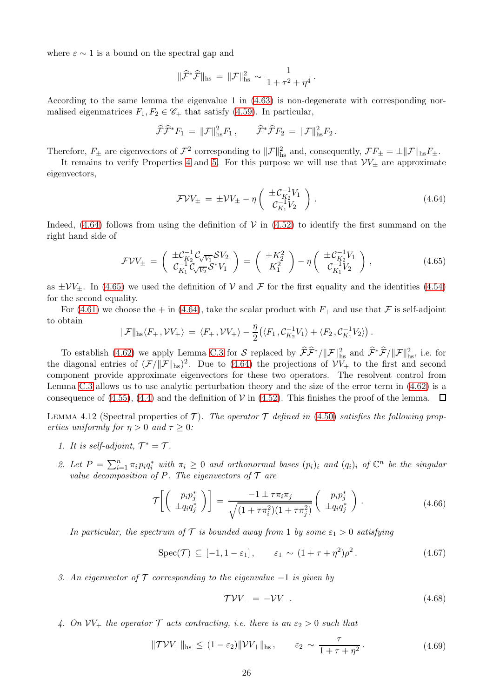where  $\varepsilon \sim 1$  is a bound on the spectral gap and

$$
\|\widehat{\mathcal{F}}^*\widehat{\mathcal{F}}\|_{\text{hs}} = \|\mathcal{F}\|_{\text{hs}}^2 \sim \frac{1}{1 + \tau^2 + \eta^4}.
$$

According to the same lemma the eigenvalue 1 in [\(4.63\)](#page-24-3) is non-degenerate with corresponding normalised eigenmatrices  $F_1, F_2 \in \mathscr{C}_+$  that satisfy [\(4.59\)](#page-24-4). In particular,

$$
\widehat{\mathcal{F}}\widehat{\mathcal{F}}^*F_1 = \|\mathcal{F}\|_{\text{hs}}^2 F_1, \qquad \widehat{\mathcal{F}}^*\widehat{\mathcal{F}}F_2 = \|\mathcal{F}\|_{\text{hs}}^2 F_2.
$$

Therefore,  $F_{\pm}$  are eigenvectors of  $\mathcal{F}^2$  corresponding to  $\|\mathcal{F}\|^2_{\text{hs}}$  and, consequently,  $\mathcal{F}F_{\pm} = \pm \|\mathcal{F}\|_{\text{hs}}F_{\pm}$ .

It remains to verify Properties [4](#page-24-5) and [5.](#page-24-6) For this purpose we will use that  $\mathcal{V}V_{\pm}$  are approximate eigenvectors,

$$
\mathcal{F}VV_{\pm} = \pm VV_{\pm} - \eta \left( \begin{array}{c} \pm \mathcal{C}_{K_2}^{-1}V_1 \\ \mathcal{C}_{K_1}^{-1}V_2 \end{array} \right). \tag{4.64}
$$

<span id="page-25-0"></span>Indeed,  $(4.64)$  follows from using the definition of V in  $(4.52)$  to identify the first summand on the right hand side of

$$
\mathcal{F}VV_{\pm} = \begin{pmatrix} \pm \mathcal{C}_{K_2}^{-1} \mathcal{C}_{\sqrt{V_1}} \mathcal{S}V_2 \\ \mathcal{C}_{K_1}^{-1} \mathcal{C}_{\sqrt{V_2}} \mathcal{S}^* V_1 \end{pmatrix} = \begin{pmatrix} \pm K_2^2 \\ K_1^2 \end{pmatrix} - \eta \begin{pmatrix} \pm \mathcal{C}_{K_2}^{-1} V_1 \\ \mathcal{C}_{K_1}^{-1} V_2 \end{pmatrix},
$$
(4.65)

<span id="page-25-1"></span>as  $\pm VV_{\pm}$ . In [\(4.65\)](#page-25-1) we used the definition of V and F for the first equality and the identities [\(4.54\)](#page-23-3) for the second equality.

For [\(4.61\)](#page-24-7) we choose the  $+$  in [\(4.64\)](#page-25-0), take the scalar product with  $F_+$  and use that  $\mathcal F$  is self-adjoint to obtain

$$
\|\mathcal{F}\|_{\mathrm{hs}}\langle F_+,\mathcal{V} V_+\rangle \,=\, \langle F_+,\mathcal{V} V_+\rangle -\frac{\eta}{2}\big(\langle F_1,\mathcal{C}_{K_2}^{-1}V_1\rangle +\langle F_2,\mathcal{C}_{K_1}^{-1}V_2\rangle\big)\,.
$$

To establish [\(4.62\)](#page-24-8) we apply Lemma [C.3](#page-46-0) for S replaced by  $\widehat{\mathcal{F}}\widehat{\mathcal{F}}^*/\|\mathcal{F}\|_{\text{hs}}^2$  and  $\widehat{\mathcal{F}}^*\widehat{\mathcal{F}}/\|\mathcal{F}\|_{\text{hs}}^2$ , i.e. for the diagonal entries of  $(\mathcal{F}/\|\mathcal{F}\|_{\text{hs}})^2$ . Due to [\(4.64\)](#page-25-0) the projections of  $\mathcal{V}V_+$  to the first and second component provide approximate eigenvectors for these two operators. The resolvent control from Lemma [C.3](#page-46-0) allows us to use analytic perturbation theory and the size of the error term in [\(4.62\)](#page-24-8) is a consequence of [\(4.55\)](#page-23-5), [\(4.4\)](#page-15-3) and the definition of  $V$  in [\(4.52\)](#page-23-2). This finishes the proof of the lemma.  $\Box$ 

LEMMA 4.12 (Spectral properties of  $\mathcal{T}$ ). The operator  $\mathcal{T}$  defined in [\(4.50\)](#page-23-8) satisfies the following properties uniformly for  $\eta > 0$  and  $\tau \geq 0$ :

- 1. It is self-adjoint,  $\mathcal{T}^* = \mathcal{T}$ .
- 2. Let  $P = \sum_{i=1}^n \pi_i p_i q_i^*$  with  $\pi_i \geq 0$  and orthonormal bases  $(p_i)_i$  and  $(q_i)_i$  of  $\mathbb{C}^n$  be the singular value decomposition of P. The eigenvectors of  $\mathcal T$  are

$$
\mathcal{T}\left[\left(\begin{array}{c}p_i p_j^*\\ \pm q_i q_j^*\end{array}\right)\right] = \frac{-1 \pm \tau \pi_i \pi_j}{\sqrt{(1 + \tau \pi_i^2)(1 + \tau \pi_j^2)}} \left(\begin{array}{c}p_i p_j^*\\ \pm q_i q_j^*\end{array}\right). \tag{4.66}
$$

<span id="page-25-3"></span><span id="page-25-2"></span>In particular, the spectrum of T is bounded away from 1 by some  $\varepsilon_1 > 0$  satisfying

$$
\operatorname{Spec}(\mathcal{T}) \subseteq [-1, 1 - \varepsilon_1], \qquad \varepsilon_1 \sim (1 + \tau + \eta^2)\rho^2. \tag{4.67}
$$

<span id="page-25-4"></span>3. An eigenvector of  $\mathcal T$  corresponding to the eigenvalue  $-1$  is given by

$$
\mathcal{TV}V_- = -\mathcal{V}V_-\,. \tag{4.68}
$$

<span id="page-25-5"></span>4. On  $VV_+$  the operator  $\mathcal T$  acts contracting, i.e. there is an  $\varepsilon_2 > 0$  such that

$$
\|\mathcal{T}\mathcal{V}V_{+}\|_{\text{hs}} \le (1-\varepsilon_{2})\|\mathcal{V}V_{+}\|_{\text{hs}}, \qquad \varepsilon_{2} \sim \frac{\tau}{1+\tau+\eta^{2}}.\tag{4.69}
$$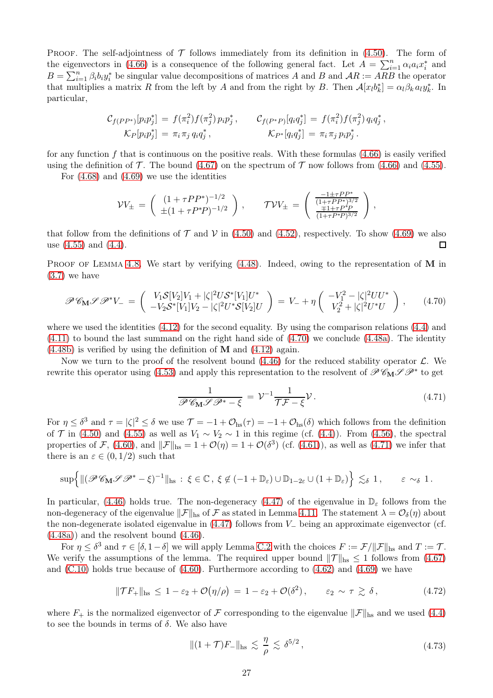PROOF. The self-adjointness of  $\mathcal T$  follows immediately from its definition in [\(4.50\)](#page-23-8). The form of the eigenvectors in [\(4.66\)](#page-25-2) is a consequence of the following general fact. Let  $A = \sum_{i=1}^{n} \alpha_i a_i x_i^*$  and  $B = \sum_{i=1}^{n} \beta_i b_i y_i^*$  be singular value decompositions of matrices A and B and  $AR := \overline{ARB}$  the operator that multiplies a matrix R from the left by A and from the right by B. Then  $\mathcal{A}[x_l b_k^*] = \alpha_l \beta_k a_l y_k^*$ . In particular,

$$
C_{f(PP^*)}[p_i p_j^*] = f(\pi_i^2) f(\pi_j^2) p_i p_j^*, \t C_{f(P^*P)}[q_i q_j^*] = f(\pi_i^2) f(\pi_j^2) q_i q_j^*,
$$
  
\n
$$
K_P[p_i p_j^*] = \pi_i \pi_j q_i q_j^*, \t K_{P^*}[q_i q_j^*] = \pi_i \pi_j p_i p_j^*.
$$

for any function  $f$  that is continuous on the positive reals. With these formulas  $(4.66)$  is easily verified using the definition of  $\mathcal T$ . The bound [\(4.67\)](#page-25-3) on the spectrum of  $\mathcal T$  now follows from [\(4.66\)](#page-25-2) and [\(4.55\)](#page-23-5).

For  $(4.68)$  and  $(4.69)$  we use the identities

$$
\mathcal{V}V_{\pm} = \begin{pmatrix} (1+\tau PP^*)^{-1/2} \\ \pm (1+\tau P^*P)^{-1/2} \end{pmatrix}, \qquad \mathcal{TV}V_{\pm} = \begin{pmatrix} \frac{-1\pm\tau PP^*}{(1+\tau PP^*)^{3/2}} \\ \frac{\mp 1+\tau P^*P}{(1+\tau P^*P)^{3/2}} \end{pmatrix},
$$

that follow from the definitions of  $\mathcal T$  and  $\mathcal V$  in [\(4.50\)](#page-23-8) and [\(4.52\)](#page-23-2), respectively. To show [\(4.69\)](#page-25-5) we also use (4.55) and (4.4). use [\(4.55\)](#page-23-5) and [\(4.4\)](#page-15-3).

PROOF OF LEMMA [4.8.](#page-22-1) We start by verifying  $(4.48)$ . Indeed, owing to the representation of M in [\(3.7\)](#page-9-3) we have

<span id="page-26-0"></span>
$$
\mathscr{P}\mathscr{C}_{\mathbf{M}}\mathscr{P}\mathscr{P}^*V_{-} = \begin{pmatrix} V_1 \mathcal{S}[V_2] V_1 + |\zeta|^2 U \mathcal{S}^*[V_1] U^* \\ -V_2 \mathcal{S}^*[V_1] V_2 - |\zeta|^2 U^* \mathcal{S}[V_2] U \end{pmatrix} = V_{-} + \eta \begin{pmatrix} -V_1^2 - |\zeta|^2 U U^* \\ V_2^2 + |\zeta|^2 U^* U \end{pmatrix}, \qquad (4.70)
$$

where we used the identities  $(4.12)$  for the second equality. By using the comparison relations  $(4.4)$  and [\(4.11\)](#page-16-3) to bound the last summand on the right hand side of [\(4.70\)](#page-26-0) we conclude [\(4.48a\)](#page-22-6). The identity  $(4.48b)$  is verified by using the definition of **M** and  $(4.12)$  again.

Now we turn to the proof of the resolvent bound  $(4.46)$  for the reduced stability operator  $\mathcal{L}$ . We rewrite this operator using [\(4.53\)](#page-23-9) and apply this representation to the resolvent of  $\mathscr{P}C_{\mathbf{M}}\mathscr{S} \mathscr{P}^*$  to get

$$
\frac{1}{\mathscr{P}\mathscr{C}_{\mathbf{M}}\mathscr{P}\mathscr{P}^*-\xi}=\mathcal{V}^{-1}\frac{1}{\mathcal{T}\mathcal{F}-\xi}\mathcal{V}.
$$
\n(4.71)

<span id="page-26-1"></span>For  $\eta \leq \delta^3$  and  $\tau = |\zeta|^2 \leq \delta$  we use  $\mathcal{T} = -1 + \mathcal{O}_{\rm hs}(\tau) = -1 + \mathcal{O}_{\rm hs}(\delta)$  which follows from the definition of T in [\(4.50\)](#page-23-8) and [\(4.55\)](#page-23-5) as well as  $V_1 \sim V_2 \sim 1$  in this regime (cf. [\(4.4\)](#page-15-3)). From [\(4.56\)](#page-23-6), the spectral properties of F, [\(4.60\)](#page-24-9), and  $||\mathcal{F}||_{\text{hs}} = 1 + \mathcal{O}(\eta) = 1 + \mathcal{O}(\delta^3)$  (cf. [\(4.61\)](#page-24-7)), as well as [\(4.71\)](#page-26-1) we infer that there is an  $\varepsilon \in (0, 1/2)$  such that

$$
\sup\Bigl\{\|(\mathscr{P} \mathscr{C}_{\mathbf{M}} \mathscr{P} \mathscr{P}^* - \xi)^{-1}\|_{hs}:\ \xi\in\mathbb{C}\,,\ \xi\not\in(-1+\mathbb{D}_\varepsilon)\cup\mathbb{D}_{1-2\varepsilon}\cup(1+\mathbb{D}_\varepsilon)\Bigr\}\ \lesssim_\delta 1\,,\qquad\varepsilon\ \sim_\delta 1\,.
$$

In particular, [\(4.46\)](#page-22-4) holds true. The non-degeneracy [\(4.47\)](#page-22-5) of the eigenvalue in  $\mathbb{D}_{\varepsilon}$  follows from the non-degeneracy of the eigenvalue  $||\mathcal{F}||_{\text{hs}}$  of F as stated in Lemma [4.11.](#page-24-10) The statement  $\lambda = \mathcal{O}_{\delta}(\eta)$  about the non-degenerate isolated eigenvalue in [\(4.47\)](#page-22-5) follows from V<sup>−</sup> being an approximate eigenvector (cf. [\(4.48a\)](#page-22-6)) and the resolvent bound [\(4.46\)](#page-22-4).

For  $\eta \leq \delta^3$  and  $\tau \in [\delta, 1-\delta]$  we will apply Lemma [C.2](#page-45-0) with the choices  $F := \mathcal{F}/\|\mathcal{F}\|_{\text{hs}}$  and  $T := \mathcal{T}$ . We verify the assumptions of the lemma. The required upper bound  $||\mathcal{T}||_{\text{hs}} \leq 1$  follows from [\(4.67\)](#page-25-3) and  $(C.10)$  holds true because of  $(4.60)$ . Furthermore according to  $(4.62)$  and  $(4.69)$  we have

$$
\|\mathcal{T}F_+\|_{\text{hs}} \le 1 - \varepsilon_2 + \mathcal{O}(\eta/\rho) = 1 - \varepsilon_2 + \mathcal{O}(\delta^2), \qquad \varepsilon_2 \sim \tau \gtrsim \delta,
$$
 (4.72)

<span id="page-26-3"></span><span id="page-26-2"></span>where  $F_+$  is the normalized eigenvector of  $\mathcal F$  corresponding to the eigenvalue  $\|\mathcal F\|_{\text{hs}}$  and we used [\(4.4\)](#page-15-3) to see the bounds in terms of  $\delta$ . We also have

$$
||(1+\mathcal{T})F_{-}||_{\text{hs}} \lesssim \frac{\eta}{\rho} \lesssim \delta^{5/2}, \qquad (4.73)
$$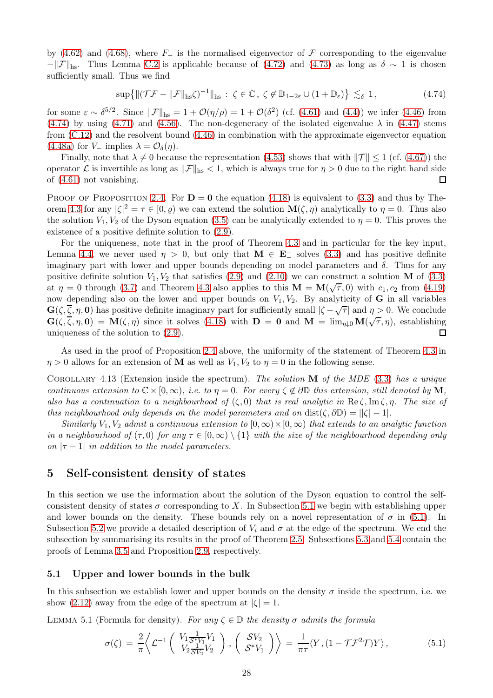by [\(4.62\)](#page-24-8) and [\(4.68\)](#page-25-4), where  $F_-\$  is the normalised eigenvector of F corresponding to the eigenvalue  $-\|\mathcal{F}\|_{\text{hs}}$ . Thus Lemma [C.2](#page-45-0) is applicable because of [\(4.72\)](#page-26-2) and [\(4.73\)](#page-26-3) as long as  $\delta \sim 1$  is chosen sufficiently small. Thus we find

$$
\sup\{\|(\mathcal{T}\mathcal{F} - \|\mathcal{F}\|_{\text{hs}}\zeta)^{-1}\|_{\text{hs}} : \zeta \in \mathbb{C}, \ \zeta \notin \mathbb{D}_{1-2\varepsilon} \cup (1+\mathbb{D}_{\varepsilon})\} \lesssim_{\delta} 1, \tag{4.74}
$$

<span id="page-27-2"></span>for some  $\varepsilon \sim \delta^{5/2}$ . Since  $||\mathcal{F}||_{\text{hs}} = 1 + \mathcal{O}(\eta/\rho) = 1 + \mathcal{O}(\delta^2)$  (cf. [\(4.61\)](#page-24-7) and [\(4.4\)](#page-15-3)) we infer [\(4.46\)](#page-22-4) from [\(4.74\)](#page-27-2) by using [\(4.71\)](#page-26-1) and [\(4.56\)](#page-23-6). The non-degeneracy of the isolated eigenvalue  $\lambda$  in [\(4.47\)](#page-22-5) stems from [\(C.12\)](#page-45-2) and the resolvent bound [\(4.46\)](#page-22-4) in combination with the approximate eigenvector equation [\(4.48a\)](#page-22-6) for  $V_-\$  implies  $\lambda = \mathcal{O}_{\delta}(\eta)$ .

Finally, note that  $\lambda \neq 0$  because the representation [\(4.53\)](#page-23-9) shows that with  $\|\mathcal{T}\| \leq 1$  (cf. [\(4.67\)](#page-25-3)) the operator  $\mathcal L$  is invertible as long as  $\|\mathcal F\|_{\text{hs}} < 1$ , which is always true for  $\eta > 0$  due to the right hand side of (4.61) not vanishing. of [\(4.61\)](#page-24-7) not vanishing.

PROOF OF PROPOSITION [2.4.](#page-5-6) For  $D = 0$  the equation [\(4.18\)](#page-17-0) is equivalent to [\(3.3\)](#page-9-1) and thus by The-orem [4.3](#page-17-1) for any  $|\zeta|^2 = \tau \in [0, \varrho)$  we can extend the solution  $\mathbf{M}(\zeta, \eta)$  analytically to  $\eta = 0$ . Thus also the solution  $V_1, V_2$  of the Dyson equation [\(3.5\)](#page-9-2) can be analytically extended to  $\eta = 0$ . This proves the existence of a positive definite solution to [\(2.9\)](#page-5-2).

For the uniqueness, note that in the proof of Theorem [4.3](#page-17-1) and in particular for the key input, Lemma [4.4,](#page-19-0) we never used  $\eta > 0$ , but only that  $\mathbf{M} \in \mathbf{E}^{\perp}$  solves [\(3.3\)](#page-9-1) and has positive definite imaginary part with lower and upper bounds depending on model parameters and  $\delta$ . Thus for any positive definite solution  $V_1, V_2$  that satisfies [\(2.9\)](#page-5-2) and [\(2.10\)](#page-5-3) we can construct a solution M of [\(3.3\)](#page-9-1) at  $\eta = 0$  through [\(3.7\)](#page-9-3) and Theorem [4.3](#page-17-1) also applies to this  $\mathbf{M} = \mathbf{M}(\sqrt{\tau}, 0)$  with  $c_1, c_2$  from [\(4.19\)](#page-17-4) now depending also on the lower and upper bounds on  $V_1, V_2$ . By analyticity of **G** in all variables  $\mathbf{G}(\zeta,\overline{\zeta},\eta,\mathbf{0})$  has positive definite imaginary part for sufficiently small  $|\zeta-\sqrt{\tau}|$  and  $\eta > 0$ . We conclude  $\mathbf{G}(\zeta, \overrightarrow{\zeta}, \eta, \mathbf{0}) = \mathbf{M}(\zeta, \eta)$  since it solves [\(4.18\)](#page-17-0) with  $\mathbf{D} = \mathbf{0}$  and  $\mathbf{M} = \lim_{\eta \downarrow 0} \mathbf{M}(\sqrt{\tau}, \eta)$ , establishing uniqueness of the solution to [\(2.9\)](#page-5-2).  $\Box$ 

As used in the proof of Proposition [2.4](#page-5-6) above, the uniformity of the statement of Theorem [4.3](#page-17-1) in  $\eta > 0$  allows for an extension of **M** as well as  $V_1, V_2$  to  $\eta = 0$  in the following sense.

<span id="page-27-4"></span>COROLLARY 4.13 (Extension inside the spectrum). The solution  $\bf{M}$  of the MDE [\(3.3\)](#page-9-1) has a unique continuous extension to  $\mathbb{C} \times [0,\infty)$ , i.e. to  $\eta = 0$ . For every  $\zeta \notin \partial \mathbb{D}$  this extension, still denoted by M, also has a continuation to a neighbourhood of  $(\zeta, 0)$  that is real analytic in  $\text{Re}\,\zeta, \text{Im}\,\zeta, \eta$ . The size of this neighbourhood only depends on the model parameters and on  $dist(\zeta, \partial \mathbb{D}) = |\zeta| - 1$ .

Similarly V<sub>1</sub>, V<sub>2</sub> admit a continuous extension to  $[0, \infty) \times [0, \infty)$  that extends to an analytic function in a neighbourhood of  $(\tau, 0)$  for any  $\tau \in [0, \infty) \setminus \{1\}$  with the size of the neighbourhood depending only on  $|\tau - 1|$  in addition to the model parameters.

### <span id="page-27-0"></span>5 Self-consistent density of states

In this section we use the information about the solution of the Dyson equation to control the selfconsistent density of states  $\sigma$  corresponding to X. In Subsection [5.1](#page-27-1) we begin with establishing upper and lower bounds on the density. These bounds rely on a novel representation of  $\sigma$  in [\(5.1\)](#page-27-3). In Subsection [5.2](#page-29-0) we provide a detailed description of  $V_i$  and  $\sigma$  at the edge of the spectrum. We end the subsection by summarising its results in the proof of Theorem [2.5.](#page-5-4) Subsections [5.3](#page-32-0) and [5.4](#page-33-0) contain the proofs of Lemma [3.5](#page-11-1) and Proposition [2.9,](#page-7-1) respectively.

### <span id="page-27-1"></span>5.1 Upper and lower bounds in the bulk

In this subsection we establish lower and upper bounds on the density  $\sigma$  inside the spectrum, i.e. we show [\(2.12\)](#page-5-7) away from the edge of the spectrum at  $|\zeta| = 1$ .

<span id="page-27-3"></span>LEMMA 5.1 (Formula for density). For any  $\zeta \in \mathbb{D}$  the density  $\sigma$  admits the formula

$$
\sigma(\zeta) = \frac{2}{\pi} \left\langle \mathcal{L}^{-1} \left( \begin{array}{c} V_1 \frac{1}{S^* V_1} V_1 \\ V_2 \frac{1}{S V_2} V_2 \end{array} \right), \left( \begin{array}{c} S V_2 \\ S^* V_1 \end{array} \right) \right\rangle = \frac{1}{\pi \tau} \langle Y, (1 - \mathcal{T} \mathcal{F}^2 \mathcal{T}) Y \rangle, \tag{5.1}
$$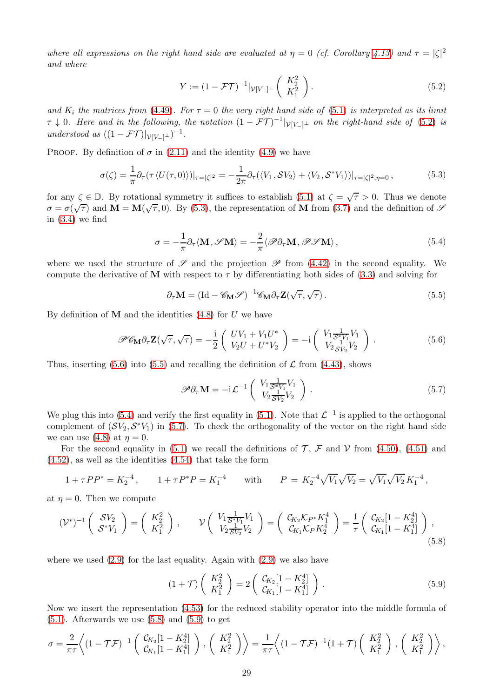where all expressions on the right hand side are evaluated at  $\eta = 0$  (cf. Corollary [4.13\)](#page-27-4) and  $\tau = |\zeta|^2$ and where

$$
Y := (1 - \mathcal{FT})^{-1} |_{\mathcal{V}[V_-]^{\perp}} \left( \begin{array}{c} K_2^2 \\ K_1^2 \end{array} \right).
$$
 (5.2)

<span id="page-28-0"></span>and  $K_i$  the matrices from [\(4.49\)](#page-23-1). For  $\tau = 0$  the very right hand side of [\(5.1\)](#page-27-3) is interpreted as its limit  $\tau \downarrow 0$ . Here and in the following, the notation  $(1 - \mathcal{FT})^{-1}|_{\mathcal{V}[V_-]^{\perp}}$  on the right-hand side of [\(5.2\)](#page-28-0) is understood as  $((1 - \mathcal{FT})|_{\mathcal{V}[V_-]^{\perp}})^{-1}$ .

<span id="page-28-1"></span>PROOF. By definition of  $\sigma$  in [\(2.11\)](#page-5-1) and the identity [\(4.9\)](#page-16-1) we have

$$
\sigma(\zeta) = \frac{1}{\pi} \partial_{\tau} (\tau \langle U(\tau, 0) \rangle)|_{\tau = |\zeta|^2} = -\frac{1}{2\pi} \partial_{\tau} (\langle V_1, \mathcal{S} V_2 \rangle + \langle V_2, \mathcal{S}^* V_1 \rangle)|_{\tau = |\zeta|^2, \eta = 0},\tag{5.3}
$$

for any  $\zeta \in \mathbb{D}$ . By rotational symmetry it suffices to establish [\(5.1\)](#page-27-3) at  $\zeta = \sqrt{\tau} > 0$ . Thus we denote  $\sigma = \sigma(\sqrt{\tau})$  and  $\mathbf{M} = \mathbf{M}(\sqrt{\tau}, 0)$ . By [\(5.3\)](#page-28-1), the representation of  $\mathbf{M}$  from [\(3.7\)](#page-9-3) and the definition of  $\mathcal{S}$ in  $(3.4)$  we find

$$
\sigma = -\frac{1}{\pi} \partial_{\tau} \langle \mathbf{M}, \mathcal{S} \mathbf{M} \rangle = -\frac{2}{\pi} \langle \mathcal{P} \partial_{\tau} \mathbf{M}, \mathcal{P} \mathcal{S} \mathbf{M} \rangle, \qquad (5.4)
$$

<span id="page-28-4"></span>where we used the structure of  $\mathscr S$  and the projection  $\mathscr P$  from [\(4.42\)](#page-21-4) in the second equality. We compute the derivative of **M** with respect to  $\tau$  by differentiating both sides of [\(3.3\)](#page-9-1) and solving for

$$
\partial_{\tau} \mathbf{M} = (\mathrm{Id} - \mathscr{C}_{\mathbf{M}} \mathscr{S})^{-1} \mathscr{C}_{\mathbf{M}} \partial_{\tau} \mathbf{Z} (\sqrt{\tau}, \sqrt{\tau}). \tag{5.5}
$$

<span id="page-28-3"></span><span id="page-28-2"></span>By definition of **M** and the identities  $(4.8)$  for U we have

$$
\mathscr{P}\mathscr{C}_{\mathbf{M}}\partial_{\tau}\mathbf{Z}(\sqrt{\tau},\sqrt{\tau}) = -\frac{i}{2}\begin{pmatrix} UV_1 + V_1U^* \\ V_2U + U^*V_2 \end{pmatrix} = -i\begin{pmatrix} V_1\frac{1}{\mathcal{S}^*V_1}V_1 \\ V_2\frac{1}{\mathcal{S}V_2}V_2 \end{pmatrix}.
$$
(5.6)

<span id="page-28-5"></span>Thus, inserting [\(5.6\)](#page-28-2) into [\(5.5\)](#page-28-3) and recalling the definition of  $\mathcal L$  from [\(4.43\)](#page-22-8), shows

$$
\mathscr{P}\partial_{\tau}\mathbf{M} = -\mathrm{i}\mathcal{L}^{-1}\left(\begin{array}{c} V_{1}\frac{1}{\mathcal{S}^{*}V_{1}}V_{1} \\ V_{2}\frac{1}{\mathcal{S}V_{2}}V_{2} \end{array}\right). \tag{5.7}
$$

We plug this into [\(5.4\)](#page-28-4) and verify the first equality in [\(5.1\)](#page-27-3). Note that  $\mathcal{L}^{-1}$  is applied to the orthogonal complement of  $(SV_2, S^*V_1)$  in [\(5.7\)](#page-28-5). To check the orthogonality of the vector on the right hand side we can use [\(4.8\)](#page-16-2) at  $\eta = 0$ .

For the second equality in [\(5.1\)](#page-27-3) we recall the definitions of  $\mathcal{T}$ ,  $\mathcal{F}$  and  $\mathcal{V}$  from [\(4.50\)](#page-23-8), [\(4.51\)](#page-23-7) and [\(4.52\)](#page-23-2), as well as the identities [\(4.54\)](#page-23-3) that take the form

$$
1 + \tau PP^* = K_2^{-4}
$$
,  $1 + \tau P^* P = K_1^{-4}$  with  $P = K_2^{-4} \sqrt{V_1} \sqrt{V_2} = \sqrt{V_1} \sqrt{V_2} K_1^{-4}$ ,

at  $\eta = 0$ . Then we compute

<span id="page-28-6"></span>
$$
(\mathcal{V}^*)^{-1}\begin{pmatrix} \mathcal{S}V_2 \\ \mathcal{S}^*V_1 \end{pmatrix} = \begin{pmatrix} K_2^2 \\ K_1^2 \end{pmatrix}, \qquad \mathcal{V}\begin{pmatrix} V_1 \frac{1}{\mathcal{S}^*V_1} V_1 \\ V_2 \frac{1}{\mathcal{S}V_2} V_2 \end{pmatrix} = \begin{pmatrix} \mathcal{C}_{K_2} \mathcal{K}_{P^*} K_1^4 \\ \mathcal{C}_{K_1} \mathcal{K}_{P} K_2^4 \end{pmatrix} = \frac{1}{\tau} \begin{pmatrix} \mathcal{C}_{K_2} [1 - K_2^4] \\ \mathcal{C}_{K_1} [1 - K_1^4] \end{pmatrix},
$$
\n(5.8)

<span id="page-28-7"></span>where we used  $(2.9)$  for the last equality. Again with  $(2.9)$  we also have

$$
(1+\mathcal{T})\left(\begin{array}{c}K_2^2\\K_1^2\end{array}\right) = 2\left(\begin{array}{c}\mathcal{C}_{K_2}[1-K_2^4]\\ \mathcal{C}_{K_1}[1-K_1^4]\end{array}\right). \tag{5.9}
$$

Now we insert the representation [\(4.53\)](#page-23-9) for the reduced stability operator into the middle formula of  $(5.1)$ . Afterwards we use  $(5.8)$  and  $(5.9)$  to get

$$
\sigma = \frac{2}{\pi \tau} \left\langle (1 - \mathcal{T} \mathcal{F})^{-1} \left( \begin{array}{c} C_{K_2} [1 - K_2^4] \\ C_{K_1} [1 - K_1^4] \end{array} \right) , \left( \begin{array}{c} K_2^2 \\ K_1^2 \end{array} \right) \right\rangle = \frac{1}{\pi \tau} \left\langle (1 - \mathcal{T} \mathcal{F})^{-1} (1 + \mathcal{T}) \left( \begin{array}{c} K_2^2 \\ K_1^2 \end{array} \right) , \left( \begin{array}{c} K_2^2 \\ K_1^2 \end{array} \right) \right\rangle,
$$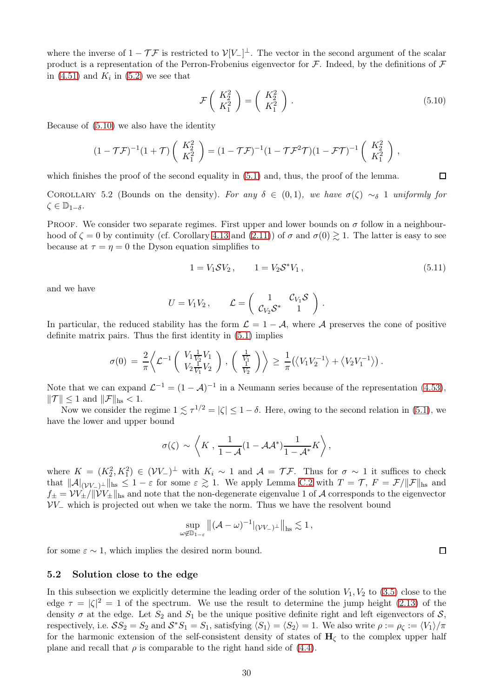where the inverse of  $1 - \mathcal{T} \mathcal{F}$  is restricted to  $\mathcal{V}[V_-]^{\perp}$ . The vector in the second argument of the scalar product is a representation of the Perron-Frobenius eigenvector for  $\mathcal F$ . Indeed, by the definitions of  $\mathcal F$ in  $(4.51)$  and  $K_i$  in  $(5.2)$  we see that

$$
\mathcal{F}\left(\begin{array}{c} K_2^2\\ K_1^2 \end{array}\right) = \left(\begin{array}{c} K_2^2\\ K_1^2 \end{array}\right). \tag{5.10}
$$

<span id="page-29-1"></span>Because of [\(5.10\)](#page-29-1) we also have the identity

$$
(1 - \mathcal{T}\mathcal{F})^{-1}(1 + \mathcal{T})\left(\begin{array}{c} K_2^2\\ K_1^2 \end{array}\right) = (1 - \mathcal{T}\mathcal{F})^{-1}(1 - \mathcal{T}\mathcal{F}^2\mathcal{T})(1 - \mathcal{F}\mathcal{T})^{-1}\left(\begin{array}{c} K_2^2\\ K_1^2 \end{array}\right),
$$

which finishes the proof of the second equality in  $(5.1)$  and, thus, the proof of the lemma.

<span id="page-29-2"></span>COROLLARY 5.2 (Bounds on the density). For any  $\delta \in (0,1)$ , we have  $\sigma(\zeta) \sim_{\delta} 1$  uniformly for  $\zeta \in \mathbb{D}_{1-\delta}.$ 

PROOF. We consider two separate regimes. First upper and lower bounds on  $\sigma$  follow in a neighbourhood of  $\zeta = 0$  by continuity (cf. Corollary [4.13](#page-27-4) and [\(2.11\)](#page-5-1)) of  $\sigma$  and  $\sigma(0) \gtrsim 1$ . The latter is easy to see because at  $\tau = \eta = 0$  the Dyson equation simplifies to

$$
1 = V_1 \mathcal{S} V_2, \qquad 1 = V_2 \mathcal{S}^* V_1, \qquad (5.11)
$$

and we have

$$
U = V_1 V_2, \qquad \mathcal{L} = \begin{pmatrix} 1 & \mathcal{C}_{V_1} \mathcal{S} \\ \mathcal{C}_{V_2} \mathcal{S}^* & 1 \end{pmatrix}.
$$

In particular, the reduced stability has the form  $\mathcal{L} = 1 - \mathcal{A}$ , where  $\mathcal{A}$  preserves the cone of positive definite matrix pairs. Thus the first identity in [\(5.1\)](#page-27-3) implies

$$
\sigma(0) = \frac{2}{\pi} \left\langle \mathcal{L}^{-1} \left( \begin{array}{c} V_1 \frac{1}{V_2} V_1 \\ V_2 \frac{1}{V_1} V_2 \end{array} \right), \left( \begin{array}{c} \frac{1}{V_1} \\ \frac{1}{V_2} \end{array} \right) \right\rangle \geq \frac{1}{\pi} \left( \left\langle V_1 V_2^{-1} \right\rangle + \left\langle V_2 V_1^{-1} \right\rangle \right).
$$

Note that we can expand  $\mathcal{L}^{-1} = (1 - \mathcal{A})^{-1}$  in a Neumann series because of the representation [\(4.53\)](#page-23-9),  $\|\mathcal{T}\| \leq 1$  and  $\|\mathcal{F}\|_{\text{hs}} < 1.$ 

Now we consider the regime  $1 \lesssim \tau^{1/2} = |\zeta| \leq 1 - \delta$ . Here, owing to the second relation in [\(5.1\)](#page-27-3), we have the lower and upper bound

$$
\sigma(\zeta) \sim \left\langle K \, , \, \frac{1}{1-\mathcal{A}} (1-\mathcal{A}\mathcal{A}^*) \frac{1}{1-\mathcal{A}^*} K \right\rangle,
$$

where  $K = (K_2^2, K_1^2) \in (VV_-)^{\perp}$  with  $K_i \sim 1$  and  $\mathcal{A} = \mathcal{T} \mathcal{F}$ . Thus for  $\sigma \sim 1$  it suffices to check that  $||\mathcal{A}|_{(VV_-)^{\perp}}||_{\text{hs}} \leq 1-\varepsilon$  for some  $\varepsilon \gtrsim 1$ . We apply Lemma [C.2](#page-45-0) with  $T = \mathcal{T}, F = \mathcal{F}/||\mathcal{F}||_{\text{hs}}$  and  $f_{\pm} = VV_{\pm}/\|\hat{V}V_{\pm}\|_{\text{hs}}$  and note that the non-degenerate eigenvalue 1 of A corresponds to the eigenvector  $VV_$  which is projected out when we take the norm. Thus we have the resolvent bound

$$
\sup_{\omega \notin \mathbb{D}_{1-\varepsilon}} \|(\mathcal{A} - \omega)^{-1}|_{(\mathcal{V}V_-)^{\perp}}\|_{\text{hs}} \lesssim 1,
$$

for some  $\varepsilon \sim 1$ , which implies the desired norm bound.

#### <span id="page-29-0"></span>5.2 Solution close to the edge

In this subsection we explicitly determine the leading order of the solution  $V_1, V_2$  to [\(3.5\)](#page-9-2) close to the edge  $\tau = |\zeta|^2 = 1$  of the spectrum. We use the result to determine the jump height [\(2.13\)](#page-5-8) of the density  $\sigma$  at the edge. Let  $S_2$  and  $S_1$  be the unique positive definite right and left eigenvectors of  $S$ , respectively, i.e.  $SS_2 = S_2$  and  $S^*S_1 = S_1$ , satisfying  $\langle S_1 \rangle = \langle S_2 \rangle = 1$ . We also write  $\rho := \rho_{\zeta} := \langle V_1 \rangle / \pi$ for the harmonic extension of the self-consistent density of states of  $H<sub>c</sub>$  to the complex upper half plane and recall that  $\rho$  is comparable to the right hand side of [\(4.4\)](#page-15-3).

 $\Box$ 

 $\Box$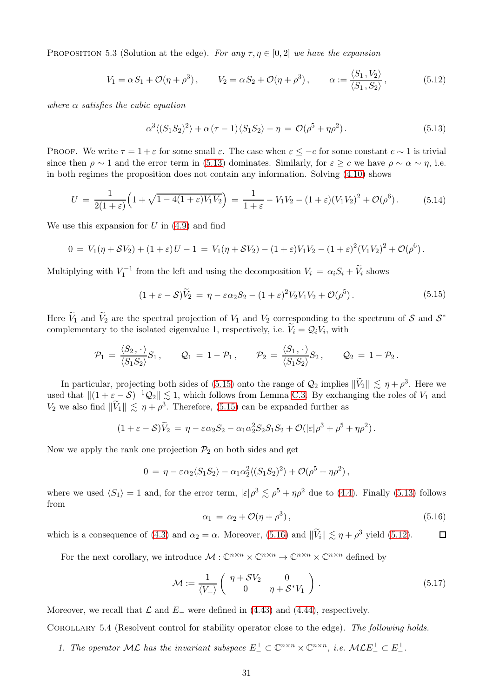<span id="page-30-3"></span>PROPOSITION 5.3 (Solution at the edge). For any  $\tau, \eta \in [0, 2]$  we have the expansion

$$
V_1 = \alpha S_1 + \mathcal{O}(\eta + \rho^3), \qquad V_2 = \alpha S_2 + \mathcal{O}(\eta + \rho^3), \qquad \alpha := \frac{\langle S_1, V_2 \rangle}{\langle S_1, S_2 \rangle}, \tag{5.12}
$$

<span id="page-30-0"></span>where  $\alpha$  satisfies the cubic equation

$$
\alpha^3 \langle (S_1 S_2)^2 \rangle + \alpha (\tau - 1) \langle S_1 S_2 \rangle - \eta = \mathcal{O}(\rho^5 + \eta \rho^2). \tag{5.13}
$$

PROOF. We write  $\tau = 1 + \varepsilon$  for some small  $\varepsilon$ . The case when  $\varepsilon \leq -c$  for some constant  $c \sim 1$  is trivial since then  $\rho \sim 1$  and the error term in [\(5.13\)](#page-30-0) dominates. Similarly, for  $\varepsilon \geq c$  we have  $\rho \sim \alpha \sim \eta$ , i.e. in both regimes the proposition does not contain any information. Solving [\(4.10\)](#page-16-7) shows

<span id="page-30-4"></span>
$$
U = \frac{1}{2(1+\varepsilon)} \Big( 1 + \sqrt{1 - 4(1+\varepsilon)V_1V_2} \Big) = \frac{1}{1+\varepsilon} - V_1V_2 - (1+\varepsilon)(V_1V_2)^2 + \mathcal{O}(\rho^6).
$$
 (5.14)

We use this expansion for  $U$  in  $(4.9)$  and find

$$
0 = V_1(\eta + \mathcal{S}V_2) + (1 + \varepsilon)U - 1 = V_1(\eta + \mathcal{S}V_2) - (1 + \varepsilon)V_1V_2 - (1 + \varepsilon)^2(V_1V_2)^2 + \mathcal{O}(\rho^6).
$$

<span id="page-30-1"></span>Multiplying with  $V_1^{-1}$  from the left and using the decomposition  $V_i = \alpha_i S_i + \tilde{V}_i$  shows

$$
(1 + \varepsilon - S)\tilde{V}_2 = \eta - \varepsilon \alpha_2 S_2 - (1 + \varepsilon)^2 V_2 V_1 V_2 + \mathcal{O}(\rho^5).
$$
 (5.15)

Here  $V_1$  and  $V_2$  are the spectral projection of  $V_1$  and  $V_2$  corresponding to the spectrum of S and  $S^*$ complementary to the isolated eigenvalue 1, respectively, i.e.  $V_i = Q_i V_i$ , with

$$
\mathcal{P}_1 = \frac{\langle S_2, \cdot \rangle}{\langle S_1 S_2 \rangle} S_1, \qquad \mathcal{Q}_1 = 1 - \mathcal{P}_1, \qquad \mathcal{P}_2 = \frac{\langle S_1, \cdot \rangle}{\langle S_1 S_2 \rangle} S_2, \qquad \mathcal{Q}_2 = 1 - \mathcal{P}_2.
$$

In particular, projecting both sides of [\(5.15\)](#page-30-1) onto the range of  $Q_2$  implies  $\|\tilde{V}_2\| \leq \eta + \rho^3$ . Here we used that  $||(1 + \varepsilon - S)^{-1}Q_2|| \leq 1$ , which follows from Lemma [C.3.](#page-46-0) By exchanging the roles of  $V_1$  and  $V_2$  we also find  $\|\tilde{V}_1\| \lesssim \eta + \rho^3$ . Therefore, [\(5.15\)](#page-30-1) can be expanded further as

$$
(1+\varepsilon-\mathcal{S})\widetilde{V}_2 = \eta - \varepsilon\alpha_2S_2 - \alpha_1\alpha_2^2S_2S_1S_2 + \mathcal{O}(|\varepsilon|\rho^3 + \rho^5 + \eta\rho^2).
$$

Now we apply the rank one projection  $\mathcal{P}_2$  on both sides and get

$$
0 = \eta - \varepsilon \alpha_2 \langle S_1 S_2 \rangle - \alpha_1 \alpha_2^2 \langle (S_1 S_2)^2 \rangle + \mathcal{O}(\rho^5 + \eta \rho^2),
$$

where we used  $\langle S_1 \rangle = 1$  and, for the error term,  $|\varepsilon| \rho^3 \lesssim \rho^5 + \eta \rho^2$  due to [\(4.4\)](#page-15-3). Finally [\(5.13\)](#page-30-0) follows from

<span id="page-30-2"></span>
$$
\alpha_1 = \alpha_2 + \mathcal{O}(\eta + \rho^3), \qquad (5.16)
$$

which is a consequence of [\(4.3\)](#page-15-2) and  $\alpha_2 = \alpha$ . Moreover, [\(5.16\)](#page-30-2) and  $\|\tilde{V}_i\| \lesssim \eta + \rho^3$  yield [\(5.12\)](#page-30-3).  $\Box$ 

For the next corollary, we introduce  $\mathcal{M}: \mathbb{C}^{n \times n} \times \mathbb{C}^{n \times n} \to \mathbb{C}^{n \times n} \times \mathbb{C}^{n \times n}$  defined by

$$
\mathcal{M} := \frac{1}{\langle V_+ \rangle} \begin{pmatrix} \eta + \mathcal{S}V_2 & 0 \\ 0 & \eta + \mathcal{S}^* V_1 \end{pmatrix} . \tag{5.17}
$$

<span id="page-30-5"></span>Moreover, we recall that  $\mathcal L$  and  $E_-\$  were defined in [\(4.43\)](#page-22-8) and [\(4.44\)](#page-22-0), respectively.

<span id="page-30-6"></span>Corollary 5.4 (Resolvent control for stability operator close to the edge). The following holds.

1. The operator  $ML$  has the invariant subspace  $E_{-}^{\perp} \subset \mathbb{C}^{n \times n} \times \mathbb{C}^{n \times n}$ , i.e.  $MLE_{-}^{\perp} \subset E_{-}^{\perp}$ .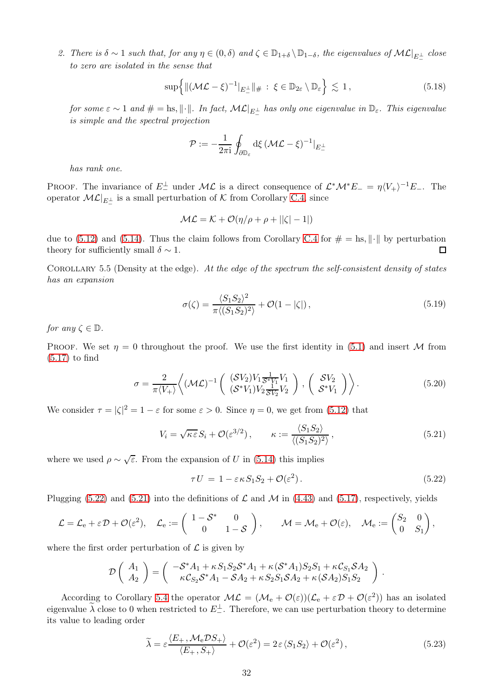2. There is  $\delta \sim 1$  such that, for any  $\eta \in (0, \delta)$  and  $\zeta \in \mathbb{D}_{1+\delta} \setminus \mathbb{D}_{1-\delta}$ , the eigenvalues of  $\mathcal{ML}|_{E_{-}^{\perp}}$  close to zero are isolated in the sense that

$$
\sup\left\{\|(\mathcal{ML}-\xi)^{-1}|_{E_-^{\perp}}\|_{\#}:\ \xi\in\mathbb{D}_{2\varepsilon}\setminus\mathbb{D}_{\varepsilon}\right\}\lesssim 1\,,\tag{5.18}
$$

for some  $\varepsilon \sim 1$  and  $\# = \text{hs}, \|\cdot\|.$  In fact,  $\mathcal{ML}|_{E_{-}^{\perp}}$  has only one eigenvalue in  $\mathbb{D}_{\varepsilon}$ . This eigenvalue is simple and the spectral projection

$$
\mathcal{P} := -\frac{1}{2\pi i} \oint_{\partial \mathbb{D}_{\varepsilon}} \mathrm{d} \xi \, (\mathcal{ML} - \xi)^{-1} |_{E_-^{\perp}}
$$

has rank one.

PROOF. The invariance of  $E_{-}^{\perp}$  under  $\mathcal{ML}$  is a direct consequence of  $\mathcal{L}^*\mathcal{M}^*E_{-} = \eta \langle V_{+} \rangle^{-1}E_{-}$ . The operator  $\mathcal{ML}|_{E^{\perp}_{-}}$  is a small perturbation of K from Corollary [C.4,](#page-47-0) since

$$
\mathcal{ML} = \mathcal{K} + \mathcal{O}(\eta/\rho + \rho + ||\zeta| - 1|)
$$

due to [\(5.12\)](#page-30-3) and [\(5.14\)](#page-30-4). Thus the claim follows from Corollary [C.4](#page-47-0) for  $\# = \text{hs}, \|\cdot\|$  by perturbation theory for sufficiently small  $\delta \sim 1$ . theory for sufficiently small  $\delta \sim 1$ .

<span id="page-31-4"></span>COROLLARY 5.5 (Density at the edge). At the edge of the spectrum the self-consistent density of states has an expansion

$$
\sigma(\zeta) = \frac{\langle S_1 S_2 \rangle^2}{\pi \langle (S_1 S_2)^2 \rangle} + \mathcal{O}(1 - |\zeta|), \qquad (5.19)
$$

<span id="page-31-5"></span>for any  $\zeta \in \mathbb{D}$ .

PROOF. We set  $\eta = 0$  throughout the proof. We use the first identity in [\(5.1\)](#page-27-3) and insert M from  $(5.17)$  to find

$$
\sigma = \frac{2}{\pi \langle V_+ \rangle} \left\langle (\mathcal{M} \mathcal{L})^{-1} \left( \begin{array}{c} (\mathcal{S} V_2) V_1 \frac{1}{\mathcal{S}^* V_1} V_1 \\ (\mathcal{S}^* V_1) V_2 \frac{1}{\mathcal{S} V_2} V_2 \end{array} \right) , \left( \begin{array}{c} \mathcal{S} V_2 \\ \mathcal{S}^* V_1 \end{array} \right) \right\rangle. \tag{5.20}
$$

<span id="page-31-3"></span>We consider  $\tau = |\zeta|^2 = 1 - \varepsilon$  for some  $\varepsilon > 0$ . Since  $\eta = 0$ , we get from [\(5.12\)](#page-30-3) that

$$
V_i = \sqrt{\kappa \varepsilon} S_i + \mathcal{O}(\varepsilon^{3/2}), \qquad \kappa := \frac{\langle S_1 S_2 \rangle}{\langle (S_1 S_2)^2 \rangle}, \tag{5.21}
$$

<span id="page-31-1"></span>where we used  $\rho \sim \sqrt{\varepsilon}$ . From the expansion of U in [\(5.14\)](#page-30-4) this implies

<span id="page-31-0"></span>
$$
\tau U = 1 - \varepsilon \kappa S_1 S_2 + \mathcal{O}(\varepsilon^2). \tag{5.22}
$$

Plugging [\(5.22\)](#page-31-0) and [\(5.21\)](#page-31-1) into the definitions of  $\mathcal L$  and  $\mathcal M$  in [\(4.43\)](#page-22-8) and [\(5.17\)](#page-30-5), respectively, yields

$$
\mathcal{L} = \mathcal{L}_e + \varepsilon \mathcal{D} + \mathcal{O}(\varepsilon^2), \quad \mathcal{L}_e := \left( \begin{array}{cc} 1 - \mathcal{S}^* & 0 \\ 0 & 1 - \mathcal{S} \end{array} \right), \qquad \mathcal{M} = \mathcal{M}_e + \mathcal{O}(\varepsilon), \quad \mathcal{M}_e := \begin{pmatrix} S_2 & 0 \\ 0 & S_1 \end{pmatrix},
$$

where the first order perturbation of  $\mathcal L$  is given by

$$
\mathcal{D}\left(\begin{array}{c} A_1\\ A_2\end{array}\right)=\left(\begin{array}{c} -\mathcal{S}^*A_1+\kappa S_1S_2\mathcal{S}^*A_1+\kappa(\mathcal{S}^*A_1)S_2S_1+\kappa\mathcal{C}_{S_1}\mathcal{S}A_2\\ \kappa\mathcal{C}_{S_2}\mathcal{S}^*A_1-\mathcal{S}A_2+\kappa S_2S_1\mathcal{S}A_2+\kappa(\mathcal{S}A_2)S_1S_2 \end{array}\right)\,.
$$

<span id="page-31-2"></span>According to Corollary [5.4](#page-30-6) the operator  $\mathcal{ML} = (\mathcal{M}_{e} + \mathcal{O}(\varepsilon))(\mathcal{L}_{e} + \varepsilon \mathcal{D} + \mathcal{O}(\varepsilon^{2}))$  has an isolated eigenvalue  $\lambda$  close to 0 when restricted to  $E_{-}^{\perp}$ . Therefore, we can use perturbation theory to determine its value to leading order

$$
\widetilde{\lambda} = \varepsilon \frac{\langle E_+, \mathcal{M}_e \mathcal{D} S_+ \rangle}{\langle E_+, S_+ \rangle} + \mathcal{O}(\varepsilon^2) = 2\varepsilon \langle S_1 S_2 \rangle + \mathcal{O}(\varepsilon^2), \tag{5.23}
$$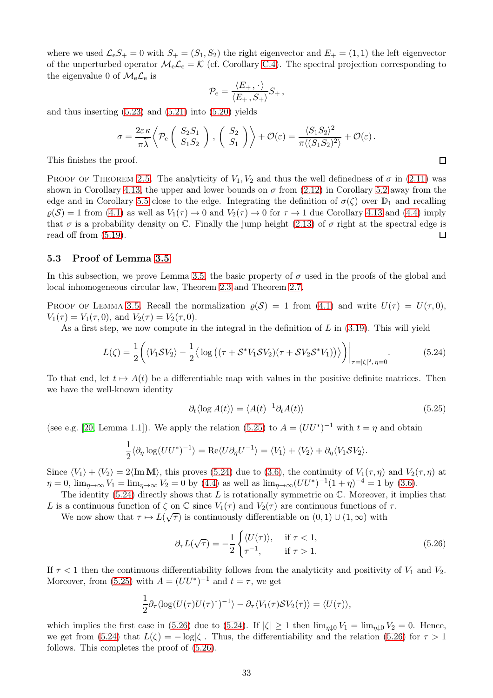where we used  $\mathcal{L}_eS_+ = 0$  with  $S_+ = (S_1, S_2)$  the right eigenvector and  $E_+ = (1, 1)$  the left eigenvector of the unperturbed operator  $\mathcal{M}_e \mathcal{L}_e = \mathcal{K}$  (cf. Corollary [C.4\)](#page-47-0). The spectral projection corresponding to the eigenvalue 0 of  $\mathcal{M}_{e}\mathcal{L}_{e}$  is

$$
\mathcal{P}_{\rm e} = \frac{\langle E_+,\cdot\rangle}{\langle E_+,S_+\rangle} S_+,
$$

and thus inserting  $(5.23)$  and  $(5.21)$  into  $(5.20)$  yields

$$
\sigma = \frac{2\varepsilon\kappa}{\pi\widetilde{\lambda}} \left\langle \mathcal{P}_e \left( \begin{array}{c} S_2 S_1 \\ S_1 S_2 \end{array} \right) , \left( \begin{array}{c} S_2 \\ S_1 \end{array} \right) \right\rangle + \mathcal{O}(\varepsilon) = \frac{\langle S_1 S_2 \rangle^2}{\pi \langle (S_1 S_2)^2 \rangle} + \mathcal{O}(\varepsilon).
$$

 $\Box$ 

This finishes the proof.

PROOF OF THEOREM [2.5.](#page-5-4) The analyticity of  $V_1, V_2$  and thus the well definedness of  $\sigma$  in [\(2.11\)](#page-5-1) was shown in Corollary [4.13,](#page-27-4) the upper and lower bounds on  $\sigma$  from [\(2.12\)](#page-5-7) in Corollary [5.2](#page-29-2) away from the edge and in Corollary [5.5](#page-31-4) close to the edge. Integrating the definition of  $\sigma(\zeta)$  over  $\mathbb{D}_1$  and recalling  $\varrho(\mathcal{S}) = 1$  from [\(4.1\)](#page-15-8) as well as  $V_1(\tau) \to 0$  and  $V_2(\tau) \to 0$  for  $\tau \to 1$  due Corollary [4.13](#page-27-4) and [\(4.4\)](#page-15-3) imply that  $\sigma$  is a probability density on C. Finally the jump height [\(2.13\)](#page-5-8) of  $\sigma$  right at the spectral edge is read off from [\(5.19\)](#page-31-5). □

#### <span id="page-32-0"></span>5.3 Proof of Lemma [3.5](#page-11-1)

In this subsection, we prove Lemma [3.5,](#page-11-1) the basic property of  $\sigma$  used in the proofs of the global and local inhomogeneous circular law, Theorem [2.3](#page-5-0) and Theorem [2.7.](#page-6-1)

PROOF OF LEMMA [3.5.](#page-11-1) Recall the normalization  $\rho(S) = 1$  from [\(4.1\)](#page-15-8) and write  $U(\tau) = U(\tau, 0)$ ,  $V_1(\tau) = V_1(\tau, 0)$ , and  $V_2(\tau) = V_2(\tau, 0)$ .

As a first step, we now compute in the integral in the definition of  $L$  in  $(3.19)$ . This will yield

<span id="page-32-2"></span>
$$
L(\zeta) = \frac{1}{2} \left( \langle V_1 \mathcal{S} V_2 \rangle - \frac{1}{2} \langle \log \left( (\tau + \mathcal{S}^* V_1 \mathcal{S} V_2)(\tau + \mathcal{S} V_2 \mathcal{S}^* V_1) \right) \rangle \right) \Big|_{\tau = |\zeta|^2, \eta = 0} . \tag{5.24}
$$

To that end, let  $t \mapsto A(t)$  be a differentiable map with values in the positive definite matrices. Then we have the well-known identity

<span id="page-32-1"></span>
$$
\partial_t \langle \log A(t) \rangle = \langle A(t)^{-1} \partial_t A(t) \rangle \tag{5.25}
$$

(see e.g. [\[20,](#page-49-8) Lemma 1.1]). We apply the relation [\(5.25\)](#page-32-1) to  $A = (UU^*)^{-1}$  with  $t = \eta$  and obtain

$$
\frac{1}{2}\langle \partial_{\eta} \log(UU^*)^{-1} \rangle = \text{Re}\langle U \partial_{\eta} U^{-1} \rangle = \langle V_1 \rangle + \langle V_2 \rangle + \partial_{\eta} \langle V_1 \mathcal{S} V_2 \rangle.
$$

Since  $\langle V_1 \rangle + \langle V_2 \rangle = 2\langle \text{Im } \mathbf{M} \rangle$ , this proves [\(5.24\)](#page-32-2) due to [\(3.6\)](#page-9-10), the continuity of  $V_1(\tau, \eta)$  and  $V_2(\tau, \eta)$  at  $\eta = 0$ ,  $\lim_{\eta \to \infty} V_1 = \lim_{\eta \to \infty} V_2 = 0$  by [\(4.4\)](#page-15-3) as well as  $\lim_{\eta \to \infty} (UU^*)^{-1}(1+\eta)^{-4} = 1$  by [\(3.6\)](#page-9-10).

The identity  $(5.24)$  directly shows that L is rotationally symmetric on  $\mathbb{C}$ . Moreover, it implies that L is a continuous function of  $\zeta$  on  $\mathbb C$  since  $V_1(\tau)$  and  $V_2(\tau)$  are continuous functions of  $\tau$ .

We now show that  $\tau \mapsto L(\sqrt{\tau})$  is continuously differentiable on  $(0, 1) \cup (1, \infty)$  with

<span id="page-32-3"></span>
$$
\partial_{\tau}L(\sqrt{\tau}) = -\frac{1}{2} \begin{cases} \langle U(\tau) \rangle, & \text{if } \tau < 1, \\ \tau^{-1}, & \text{if } \tau > 1. \end{cases}
$$
\n(5.26)

If  $\tau$  < 1 then the continuous differentiability follows from the analyticity and positivity of  $V_1$  and  $V_2$ . Moreover, from [\(5.25\)](#page-32-1) with  $A = (UU^*)^{-1}$  and  $t = \tau$ , we get

$$
\frac{1}{2}\partial_{\tau}\langle \log(U(\tau)U(\tau)^{*})^{-1}\rangle - \partial_{\tau}\langle V_{1}(\tau)SV_{2}(\tau)\rangle = \langle U(\tau)\rangle,
$$

which implies the first case in [\(5.26\)](#page-32-3) due to [\(5.24\)](#page-32-2). If  $|\zeta| \ge 1$  then  $\lim_{\eta \downarrow 0} V_1 = \lim_{\eta \downarrow 0} V_2 = 0$ . Hence, we get from [\(5.24\)](#page-32-2) that  $L(\zeta) = -\log|\zeta|$ . Thus, the differentiability and the relation [\(5.26\)](#page-32-3) for  $\tau > 1$ follows. This completes the proof of [\(5.26\)](#page-32-3).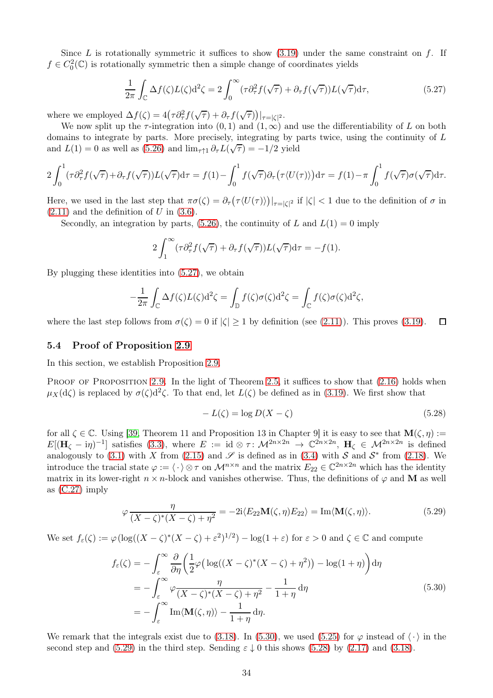Since L is rotationally symmetric it suffices to show  $(3.19)$  under the same constraint on f. If  $f \in C_0^2(\mathbb{C})$  is rotationally symmetric then a simple change of coordinates yields

<span id="page-33-1"></span>
$$
\frac{1}{2\pi} \int_{\mathbb{C}} \Delta f(\zeta) L(\zeta) d^2 \zeta = 2 \int_0^\infty (\tau \partial_\tau^2 f(\sqrt{\tau}) + \partial_\tau f(\sqrt{\tau})) L(\sqrt{\tau}) d\tau,
$$
\n(5.27)

where we employed  $\Delta f(\zeta) = 4(\tau \partial_{\tau}^2 f(\sqrt{\tau}) + \partial_{\tau} f(\sqrt{\tau}))|_{\tau = |\zeta|^2}$ .

We now split up the  $\tau$ -integration into  $(0, 1)$  and  $(1, \infty)$  and use the differentiability of L on both domains to integrate by parts. More precisely, integrating by parts twice, using the continuity of L and  $L(1) = 0$  as well as [\(5.26\)](#page-32-3) and  $\lim_{\tau \uparrow 1} \partial_{\tau} L(\sqrt{\tau}) = -1/2$  yield

$$
2\int_0^1 (\tau \partial_\tau^2 f(\sqrt{\tau}) + \partial_\tau f(\sqrt{\tau})) L(\sqrt{\tau}) d\tau = f(1) - \int_0^1 f(\sqrt{\tau}) \partial_\tau (\tau \langle U(\tau) \rangle) d\tau = f(1) - \pi \int_0^1 f(\sqrt{\tau}) \sigma(\sqrt{\tau}) d\tau.
$$

Here, we used in the last step that  $\pi\sigma(\zeta) = \partial_{\tau}(\tau \langle U(\tau) \rangle)|_{\tau=|\zeta|^2}$  if  $|\zeta| < 1$  due to the definition of  $\sigma$  in  $(2.11)$  and the definition of U in  $(3.6)$ .

Secondly, an integration by parts, [\(5.26\)](#page-32-3), the continuity of L and  $L(1) = 0$  imply

$$
2\int_1^{\infty}(\tau \partial_{\tau}^2 f(\sqrt{\tau}) + \partial_{\tau} f(\sqrt{\tau})) L(\sqrt{\tau}) d\tau = -f(1).
$$

By plugging these identities into [\(5.27\)](#page-33-1), we obtain

$$
-\frac{1}{2\pi} \int_{\mathbb{C}} \Delta f(\zeta) L(\zeta) d^2 \zeta = \int_{\mathbb{D}} f(\zeta) \sigma(\zeta) d^2 \zeta = \int_{\mathbb{C}} f(\zeta) \sigma(\zeta) d^2 \zeta,
$$

where the last step follows from  $\sigma(\zeta) = 0$  if  $|\zeta| \ge 1$  by definition (see [\(2.11\)](#page-5-1)). This proves [\(3.19\)](#page-11-6).  $\Box$ 

#### <span id="page-33-0"></span>5.4 Proof of Proposition [2.9](#page-7-1)

In this section, we establish Proposition [2.9.](#page-7-1)

PROOF OF PROPOSITION [2.9.](#page-7-1) In the light of Theorem [2.5,](#page-5-4) it suffices to show that  $(2.16)$  holds when  $\mu_X(d\zeta)$  is replaced by  $\sigma(\zeta)d^2\zeta$ . To that end, let  $L(\zeta)$  be defined as in [\(3.19\)](#page-11-6). We first show that

<span id="page-33-4"></span>
$$
-L(\zeta) = \log D(X - \zeta) \tag{5.28}
$$

for all  $\zeta \in \mathbb{C}$ . Using [\[39,](#page-49-21) Theorem 11 and Proposition 13 in Chapter 9] it is easy to see that  $\mathbf{M}(\zeta, \eta) :=$  $E[(\mathbf{H}_{\zeta} - i\eta)^{-1}]$  satisfies [\(3.3\)](#page-9-1), where  $E := id \otimes \tau : \mathcal{M}^{2n \times 2n} \to \mathbb{C}^{2n \times 2n}$ ,  $\mathbf{H}_{\zeta} \in \mathcal{M}^{2n \times 2n}$  is defined analogously to [\(3.1\)](#page-8-2) with X from [\(2.15\)](#page-6-5) and  $\mathscr S$  is defined as in [\(3.4\)](#page-9-9) with S and  $\mathcal S^*$  from [\(2.18\)](#page-7-4). We introduce the tracial state  $\varphi := \langle \cdot \rangle \otimes \tau$  on  $\mathcal{M}^{n \times n}$  and the matrix  $E_{22} \in \mathbb{C}^{2n \times 2n}$  which has the identity matrix in its lower-right  $n \times n$ -block and vanishes otherwise. Thus, the definitions of  $\varphi$  and M as well as [\(C.27\)](#page-48-18) imply

<span id="page-33-3"></span>
$$
\varphi \frac{\eta}{(X-\zeta)^*(X-\zeta)+\eta^2} = -2i\langle E_{22} \mathbf{M}(\zeta,\eta) E_{22} \rangle = \text{Im}\langle \mathbf{M}(\zeta,\eta) \rangle. \tag{5.29}
$$

We set  $f_{\varepsilon}(\zeta) := \varphi(\log((X - \zeta)^{*}(X - \zeta) + \varepsilon^{2})^{1/2}) - \log(1 + \varepsilon)$  for  $\varepsilon > 0$  and  $\zeta \in \mathbb{C}$  and compute

<span id="page-33-2"></span>
$$
f_{\varepsilon}(\zeta) = -\int_{\varepsilon}^{\infty} \frac{\partial}{\partial \eta} \left( \frac{1}{2} \varphi \left( \log((X - \zeta)^{*}(X - \zeta) + \eta^{2}) \right) - \log(1 + \eta) \right) d\eta
$$
  
\n
$$
= -\int_{\varepsilon}^{\infty} \varphi \frac{\eta}{(X - \zeta)^{*}(X - \zeta) + \eta^{2}} - \frac{1}{1 + \eta} d\eta
$$
  
\n
$$
= -\int_{\varepsilon}^{\infty} \text{Im}\langle \mathbf{M}(\zeta, \eta) \rangle - \frac{1}{1 + \eta} d\eta.
$$
\n(5.30)

We remark that the integrals exist due to [\(3.18\)](#page-11-5). In [\(5.30\)](#page-33-2), we used [\(5.25\)](#page-32-1) for  $\varphi$  instead of  $\langle \cdot \rangle$  in the second step and [\(5.29\)](#page-33-3) in the third step. Sending  $\varepsilon \downarrow 0$  this shows [\(5.28\)](#page-33-4) by [\(2.17\)](#page-6-7) and [\(3.18\)](#page-11-5).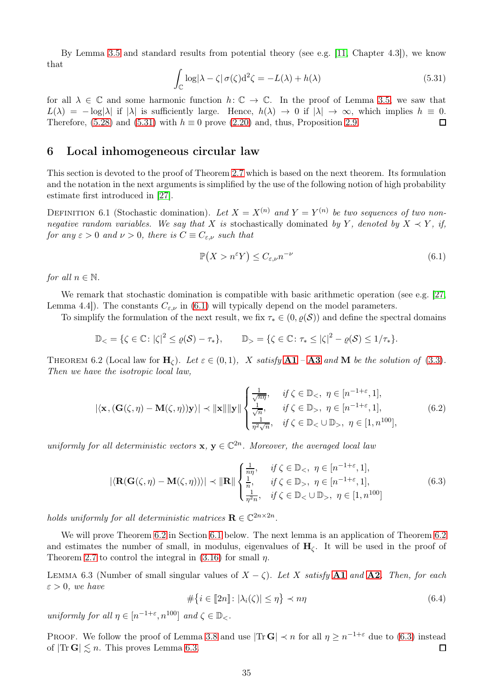By Lemma [3.5](#page-11-1) and standard results from potential theory (see e.g. [\[11,](#page-48-19) Chapter 4.3]), we know that

<span id="page-34-2"></span>
$$
\int_{\mathbb{C}} \log|\lambda - \zeta| \,\sigma(\zeta) d^2 \zeta = -L(\lambda) + h(\lambda) \tag{5.31}
$$

for all  $\lambda \in \mathbb{C}$  and some harmonic function  $h: \mathbb{C} \to \mathbb{C}$ . In the proof of Lemma [3.5,](#page-11-1) we saw that  $L(\lambda) = -\log|\lambda|$  if  $|\lambda|$  is sufficiently large. Hence,  $h(\lambda) \to 0$  if  $|\lambda| \to \infty$ , which implies  $h \equiv 0$ .<br>Therefore, (5.28) and (5.31) with  $h \equiv 0$  prove (2.20) and, thus, Proposition 2.9. Therefore, [\(5.28\)](#page-33-4) and [\(5.31\)](#page-34-2) with  $h \equiv 0$  prove [\(2.20\)](#page-7-5) and, thus, Proposition [2.9.](#page-7-1)

### <span id="page-34-0"></span>6 Local inhomogeneous circular law

This section is devoted to the proof of Theorem [2.7](#page-6-1) which is based on the next theorem. Its formulation and the notation in the next arguments is simplified by the use of the following notion of high probability estimate first introduced in [\[27\]](#page-49-23).

DEFINITION 6.1 (Stochastic domination). Let  $X = X^{(n)}$  and  $Y = Y^{(n)}$  be two sequences of two nonnegative random variables. We say that X is stochastically dominated by Y, denoted by  $X \prec Y$ , if, for any  $\varepsilon > 0$  and  $\nu > 0$ , there is  $C \equiv C_{\varepsilon,\nu}$  such that

<span id="page-34-3"></span>
$$
\mathbb{P}(X > n^{\varepsilon} Y) \le C_{\varepsilon,\nu} n^{-\nu} \tag{6.1}
$$

for all  $n \in \mathbb{N}$ .

We remark that stochastic domination is compatible with basic arithmetic operation (see e.g. [\[27,](#page-49-23)] Lemma 4.4.). The constants  $C_{\epsilon,\nu}$  in [\(6.1\)](#page-34-3) will typically depend on the model parameters.

To simplify the formulation of the next result, we fix  $\tau_* \in (0, \varrho(S))$  and define the spectral domains

$$
\mathbb{D}_{<}=\{\zeta\in\mathbb{C}\colon |\zeta|^2\leq\varrho(\mathcal{S})-\tau_*\},\qquad \mathbb{D}_{>}=\{\zeta\in\mathbb{C}\colon \tau_*\leq |\zeta|^2-\varrho(\mathcal{S})\leq 1/\tau_*\}.
$$

<span id="page-34-1"></span>THEOREM 6.2 (Local law for  $H_c$ ). Let  $\varepsilon \in (0,1)$ , X satisfy  $A1 - A3$  $A1 - A3$  $A1 - A3$  and M be the solution of [\(3.3\)](#page-9-1). Then we have the isotropic local law,

<span id="page-34-7"></span>
$$
|\langle \mathbf{x}, (\mathbf{G}(\zeta, \eta) - \mathbf{M}(\zeta, \eta))\mathbf{y}\rangle| \prec ||\mathbf{x}|| ||\mathbf{y}|| \begin{cases} \frac{1}{\sqrt{n\eta}}, & \text{if } \zeta \in \mathbb{D}_{<}, \ \eta \in [n^{-1+\varepsilon}, 1],\\ \frac{1}{\sqrt{n}}, & \text{if } \zeta \in \mathbb{D}_{>}, \ \eta \in [n^{-1+\varepsilon}, 1],\\ \frac{1}{\eta^2 \sqrt{n}}, & \text{if } \zeta \in \mathbb{D}_{<} \cup \mathbb{D}_{>}, \ \eta \in [1, n^{100}], \end{cases} (6.2)
$$

uniformly for all deterministic vectors  $\mathbf{x}, \mathbf{y} \in \mathbb{C}^{2n}$ . Moreover, the averaged local law

<span id="page-34-4"></span>
$$
|\langle \mathbf{R}(\mathbf{G}(\zeta,\eta)-\mathbf{M}(\zeta,\eta))\rangle| \prec ||\mathbf{R}|| \begin{cases} \frac{1}{n\eta}, & \text{if } \zeta \in \mathbb{D}_{\leq}, \ \eta \in [n^{-1+\varepsilon},1],\\ \frac{1}{n}, & \text{if } \zeta \in \mathbb{D}_{>}, \ \eta \in [n^{-1+\varepsilon},1],\\ \frac{1}{\eta^2 n}, & \text{if } \zeta \in \mathbb{D}_{\leq} \cup \mathbb{D}_{>}, \ \eta \in [1,n^{100}] \end{cases} (6.3)
$$

holds uniformly for all deterministic matrices  $\mathbf{R} \in \mathbb{C}^{2n \times 2n}$ .

We will prove Theorem [6.2](#page-34-1) in Section [6.1](#page-35-0) below. The next lemma is an application of Theorem 6.2 and estimates the number of small, in modulus, eigenvalues of  $H_c$ . It will be used in the proof of Theorem [2.7](#page-6-1) to control the integral in [\(3.16\)](#page-11-3) for small  $\eta$ .

<span id="page-34-5"></span>LEMMA 6.3 (Number of small singular values of  $X - \zeta$ ). Let X satisfy [A1](#page-3-3) and [A2](#page-4-2). Then, for each  $\varepsilon > 0$ , we have

<span id="page-34-6"></span>
$$
\#\{i \in [\hspace{-0.5mm}[ 2n]\hspace{-0.5mm}] : |\lambda_i(\zeta)| \leq \eta\} \prec n\eta \tag{6.4}
$$

uniformly for all  $\eta \in [n^{-1+\varepsilon}, n^{100}]$  and  $\zeta \in \mathbb{D}_{<}$ .

PROOF. We follow the proof of Lemma [3.8](#page-12-3) and use  $|\text{Tr } G| \prec n$  for all  $\eta \geq n^{-1+\varepsilon}$  due to [\(6.3\)](#page-34-4) instead of  $|\text{Tr } \mathbf{G}| \leq n$ . This proves Lemma [6.3.](#page-34-5)  $\Box$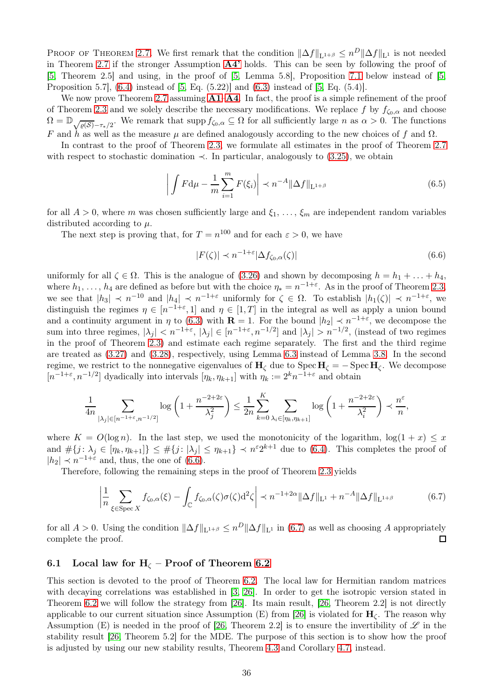PROOF OF THEOREM [2.7.](#page-6-1) We first remark that the condition  $\|\Delta f\|_{\mathbf{L}^{1+\beta}} \leq n^D \|\Delta f\|_{\mathbf{L}^{1}}$  is not needed in Theorem [2.7](#page-6-1) if the stronger Assumption [A4'](#page-4-0) holds. This can be seen by following the proof of [\[5,](#page-48-8) Theorem 2.5] and using, in the proof of [\[5,](#page-48-8) Lemma 5.8], Proposition [7.1](#page-38-2) below instead of [\[5,](#page-48-8) Proposition 5.7], [\(6.4\)](#page-34-6) instead of [\[5,](#page-48-8) Eq. (5.22)] and [\(6.3\)](#page-34-4) instead of [\[5,](#page-48-8) Eq. (5.4)].

We now prove Theorem [2.7](#page-6-1) assuming  $A1-A4$  $A1-A4$  $A1-A4$ . In fact, the proof is a simple refinement of the proof of Theorem [2.3](#page-5-0) and we solely describe the necessary modifications. We replace f by  $f_{\zeta_0,\alpha}$  and choose  $\Omega = \mathbb{D}_{\sqrt{\varrho(S)}-\tau_*/2}$ . We remark that supp  $f_{\zeta_0,\alpha} \subseteq \Omega$  for all sufficiently large n as  $\alpha > 0$ . The functions F and h as well as the measure  $\mu$  are defined analogously according to the new choices of f and  $\Omega$ .

In contrast to the proof of Theorem [2.3,](#page-5-0) we formulate all estimates in the proof of Theorem [2.7](#page-6-1) with respect to stochastic domination  $\prec$ . In particular, analogously to [\(3.25\)](#page-13-3), we obtain

$$
\left| \int F d\mu - \frac{1}{m} \sum_{i=1}^{m} F(\xi_i) \right| \prec n^{-A} \|\Delta f\|_{\mathcal{L}^{1+\beta}} \tag{6.5}
$$

for all  $A > 0$ , where m was chosen sufficiently large and  $\xi_1, \ldots, \xi_m$  are independent random variables distributed according to  $\mu$ .

The next step is proving that, for  $T = n^{100}$  and for each  $\varepsilon > 0$ , we have

<span id="page-35-1"></span>
$$
|F(\zeta)| \prec n^{-1+\varepsilon} |\Delta f_{\zeta_0, \alpha}(\zeta)| \tag{6.6}
$$

uniformly for all  $\zeta \in \Omega$ . This is the analogue of [\(3.26\)](#page-13-2) and shown by decomposing  $h = h_1 + \ldots + h_4$ , where  $h_1, \ldots, h_4$  are defined as before but with the choice  $\eta_* = n^{-1+\varepsilon}$ . As in the proof of Theorem [2.3,](#page-5-0) we see that  $|h_3| \prec n^{-10}$  and  $|h_4| \prec n^{-1+\varepsilon}$  uniformly for  $\zeta \in \Omega$ . To establish  $|h_1(\zeta)| \prec n^{-1+\varepsilon}$ , we distinguish the regimes  $\eta \in [n^{-1+\varepsilon}, 1]$  and  $\eta \in [1, T]$  in the integral as well as apply a union bound and a continuity argument in  $\eta$  to [\(6.3\)](#page-34-4) with  $\mathbf{R} = 1$ . For the bound  $|h_2| \prec n^{-1+\epsilon}$ , we decompose the sum into three regimes,  $|\lambda_j| < n^{-1+\varepsilon}$ ,  $|\lambda_j| \in [n^{-1+\varepsilon}, n^{-1/2}]$  and  $|\lambda_j| > n^{-1/2}$ , (instead of two regimes in the proof of Theorem [2.3\)](#page-5-0) and estimate each regime separately. The first and the third regime are treated as [\(3.27\)](#page-13-4) and [\(3.28\)](#page-14-2), respectively, using Lemma [6.3](#page-34-5) instead of Lemma [3.8.](#page-12-3) In the second regime, we restrict to the nonnegative eigenvalues of  $H_{\zeta}$  due to Spec  $H_{\zeta} = -$  Spec  $H_{\zeta}$ . We decompose  $[n^{-1+\varepsilon}, n^{-1/2}]$  dyadically into intervals  $[\eta_k, \eta_{k+1}]$  with  $\eta_k := 2^k n^{-1+\varepsilon}$  and obtain

$$
\frac{1}{4n} \sum_{|\lambda_j| \in [n^{-1+\varepsilon}, n^{-1/2}]} \log\left(1 + \frac{n^{-2+2\varepsilon}}{\lambda_j^2}\right) \le \frac{1}{2n} \sum_{k=0}^K \sum_{\lambda_i \in [\eta_k, \eta_{k+1}]} \log\left(1 + \frac{n^{-2+2\varepsilon}}{\lambda_i^2}\right) \prec \frac{n^{\varepsilon}}{n},
$$

where  $K = O(\log n)$ . In the last step, we used the monotonicity of the logarithm,  $\log(1 + x) \leq x$ and  $\#\{j : \lambda_j \in [\eta_k, \eta_{k+1}]\} \leq \#\{j : |\lambda_j| \leq \eta_{k+1}\} \prec n^{\varepsilon} 2^{k+1}$  due to [\(6.4\)](#page-34-6). This completes the proof of  $|h_2| \prec n^{-1+\varepsilon}$  and, thus, the one of [\(6.6\)](#page-35-1).

Therefore, following the remaining steps in the proof of Theorem [2.3](#page-5-0) yields

<span id="page-35-2"></span>
$$
\left|\frac{1}{n}\sum_{\xi \in \text{Spec } X} f_{\zeta_0, \alpha}(\xi) - \int_{\mathbb{C}} f_{\zeta_0, \alpha}(\zeta) \sigma(\zeta) d^2 \zeta\right| \prec n^{-1+2\alpha} \|\Delta f\|_{\mathcal{L}^1} + n^{-A} \|\Delta f\|_{\mathcal{L}^{1+\beta}}
$$
(6.7)

for all  $A > 0$ . Using the condition  $\|\Delta f\|_{L^{1+\beta}} \leq n^D \|\Delta f\|_{L^1}$  in [\(6.7\)](#page-35-2) as well as choosing A appropriately complete the proof.

### <span id="page-35-0"></span>6.1 Local law for  $H_{\zeta}$  – Proof of Theorem [6.2](#page-34-1)

This section is devoted to the proof of Theorem [6.2.](#page-34-1) The local law for Hermitian random matrices with decaying correlations was established in [\[3,](#page-48-17) [26\]](#page-49-2). In order to get the isotropic version stated in Theorem [6.2](#page-34-1) we will follow the strategy from [\[26\]](#page-49-2). Its main result, [\[26,](#page-49-2) Theorem 2.2] is not directly applicable to our current situation since Assumption (E) from [\[26\]](#page-49-2) is violated for  $H_{\zeta}$ . The reason why Assumption (E) is needed in the proof of [\[26,](#page-49-2) Theorem 2.2] is to ensure the invertibility of  $\mathscr L$  in the stability result [\[26,](#page-49-2) Theorem 5.2] for the MDE. The purpose of this section is to show how the proof is adjusted by using our new stability results, Theorem [4.3](#page-17-1) and Corollary [4.7,](#page-20-4) instead.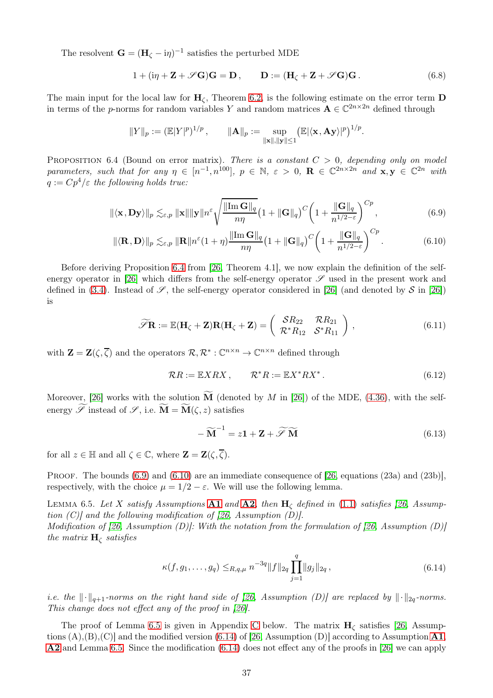The resolvent  $\mathbf{G} = (\mathbf{H}_{\zeta} - \mathrm{i}\eta)^{-1}$  satisfies the perturbed MDE

$$
1 + (\mathrm{i}\eta + \mathbf{Z} + \mathscr{S}\mathbf{G})\mathbf{G} = \mathbf{D}, \qquad \mathbf{D} := (\mathbf{H}_{\zeta} + \mathbf{Z} + \mathscr{S}\mathbf{G})\mathbf{G}. \tag{6.8}
$$

<span id="page-36-5"></span>The main input for the local law for  $H_{\zeta}$ , Theorem [6.2,](#page-34-1) is the following estimate on the error term **D** in terms of the *p*-norms for random variables Y and random matrices  $A \in \mathbb{C}^{2n \times 2n}$  defined through

$$
||Y||_p := (\mathbb{E}|Y|^p)^{1/p}, \qquad ||\mathbf{A}||_p := \sup_{||\mathbf{x}||, ||\mathbf{y}|| \le 1} (\mathbb{E}|\langle \mathbf{x}, \mathbf{A}\mathbf{y} \rangle|^p)^{1/p}.
$$

<span id="page-36-1"></span>PROPOSITION 6.4 (Bound on error matrix). There is a constant  $C > 0$ , depending only on model parameters, such that for any  $\eta \in [n^{-1}, n^{100}]$ ,  $p \in \mathbb{N}$ ,  $\varepsilon > 0$ ,  $\mathbf{R} \in \mathbb{C}^{2n \times 2n}$  and  $\mathbf{x}, \mathbf{y} \in \mathbb{C}^{2n}$  with  $q := Cp^4/\varepsilon$  the following holds true:

$$
\|\langle \mathbf{x}, \mathbf{D}\mathbf{y} \rangle\|_{p} \lesssim_{\varepsilon, p} \|\mathbf{x}\| \|\mathbf{y}\| n^{\varepsilon} \sqrt{\frac{\|\text{Im}\,\mathbf{G}\|_{q}}{n\eta}} \left(1 + \|\mathbf{G}\|_{q}\right)^{C} \left(1 + \frac{\|\mathbf{G}\|_{q}}{n^{1/2 - \varepsilon}}\right)^{Cp},\tag{6.9}
$$

$$
\|\langle \mathbf{R}, \mathbf{D} \rangle\|_{p} \lesssim_{\varepsilon, p} \|\mathbf{R}\| n^{\varepsilon} (1 + \eta) \frac{\|\text{Im}\,\mathbf{G}\|_{q}}{n\eta} \left(1 + \|\mathbf{G}\|_{q}\right)^{C} \left(1 + \frac{\|\mathbf{G}\|_{q}}{n^{1/2 - \varepsilon}}\right)^{Cp}.
$$
 (6.10)

Before deriving Proposition [6.4](#page-36-1) from [\[26,](#page-49-2) Theorem 4.1], we now explain the definition of the self-energy operator in [\[26\]](#page-49-2) which differs from the self-energy operator  $\mathscr S$  used in the present work and defined in [\(3.4\)](#page-9-9). Instead of  $\mathscr{S}$ , the self-energy operator considered in [\[26\]](#page-49-2) (and denoted by  $\mathscr{S}$  in [26]) is

<span id="page-36-2"></span>
$$
\widetilde{\mathscr{S}}\mathbf{R} := \mathbb{E}(\mathbf{H}_{\zeta} + \mathbf{Z})\mathbf{R}(\mathbf{H}_{\zeta} + \mathbf{Z}) = \begin{pmatrix} S R_{22} & \mathcal{R} R_{21} \\ \mathcal{R}^* R_{12} & \mathcal{S}^* R_{11} \end{pmatrix},\tag{6.11}
$$

<span id="page-36-6"></span>with  $\mathbf{Z} = \mathbf{Z}(\zeta, \overline{\zeta})$  and the operators  $\mathcal{R}, \mathcal{R}^* : \mathbb{C}^{n \times n} \to \mathbb{C}^{n \times n}$  defined through

<span id="page-36-3"></span>
$$
\mathcal{R}R := \mathbb{E}XRX, \qquad \mathcal{R}^*R := \mathbb{E}X^*RX^*.
$$
 (6.12)

<span id="page-36-8"></span>Moreover, [\[26\]](#page-49-2) works with the solution  $\tilde{M}$  (denoted by M in [26]) of the MDE, [\(4.36\)](#page-20-2), with the selfenergy  $\widetilde{\mathscr{S}}$  instead of  $\mathscr{S}$ , i.e.  $\widetilde{\mathbf{M}} = \widetilde{\mathbf{M}}(\zeta, z)$  satisfies

<span id="page-36-7"></span>
$$
-\widetilde{\mathbf{M}}^{-1} = z\mathbf{1} + \mathbf{Z} + \widetilde{\mathscr{S}} \widetilde{\mathbf{M}} \tag{6.13}
$$

for all  $z \in \mathbb{H}$  and all  $\zeta \in \mathbb{C}$ , where  $\mathbf{Z} = \mathbf{Z}(\zeta, \overline{\zeta})$ .

PROOF. The bounds [\(6.9\)](#page-36-2) and [\(6.10\)](#page-36-3) are an immediate consequence of [\[26,](#page-49-2) equations (23a) and (23b)], respectively, with the choice  $\mu = 1/2 - \varepsilon$ . We will use the following lemma.

<span id="page-36-0"></span>LEMMA 6.5. Let X satisfy Assumptions [A1](#page-3-3) and [A2](#page-4-2), then  $H_c$  defined in [\(1.1\)](#page-2-1) satisfies [\[26,](#page-49-2) Assumption  $(C)$  and the following modification of [\[26,](#page-49-2) Assumption  $(D)$ ]. Modification of [\[26,](#page-49-2) Assumption (D)]: With the notation from the formulation of [26, Assumption (D)] the matrix  $H_{\zeta}$  satisfies

$$
\kappa(f, g_1, \dots, g_q) \leq_{R, q, \mu} n^{-3q} \|f\|_{2q} \prod_{j=1}^q \|g_j\|_{2q} , \qquad (6.14)
$$

<span id="page-36-4"></span>i.e. the  $\|\cdot\|_{q+1}$ -norms on the right hand side of [\[26,](#page-49-2) Assumption (D)] are replaced by  $\|\cdot\|_{2q}$ -norms. This change does not effect any of the proof in [\[26\]](#page-49-2).

The proof of Lemma [6.5](#page-36-0) is given in Appendix [C](#page-43-0) below. The matrix  $H_{\zeta}$  satisfies [\[26,](#page-49-2) Assumptions  $(A), (B), (C)$  and the modified version  $(6.14)$  of [\[26,](#page-49-2) Assumption  $(D)$ ] according to Assumption  $\mathbf{A1}$  $\mathbf{A1}$  $\mathbf{A1}$ , [A2](#page-4-2) and Lemma [6.5.](#page-36-0) Since the modification [\(6.14\)](#page-36-4) does not effect any of the proofs in [\[26\]](#page-49-2) we can apply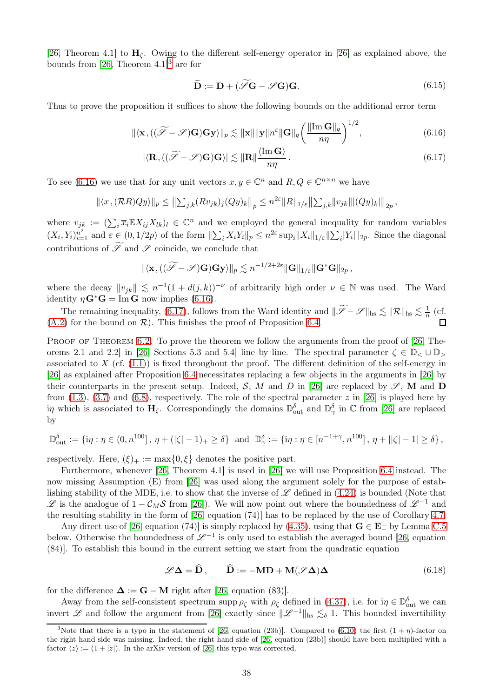[\[26,](#page-49-2) Theorem 4.1] to  $H_c$ . Owing to the different self-energy operator in [\[26\]](#page-49-2) as explained above, the bounds from [\[26,](#page-49-2) Theorem  $4.1$ ]<sup>[3](#page-37-0)</sup> are for

<span id="page-37-2"></span><span id="page-37-1"></span>
$$
\widetilde{\mathbf{D}} := \mathbf{D} + (\widetilde{\mathscr{S}}\mathbf{G} - \mathscr{S}\mathbf{G})\mathbf{G}.\tag{6.15}
$$

Thus to prove the proposition it suffices to show the following bounds on the additional error term

$$
\|\langle \mathbf{x}, ((\widetilde{\mathscr{S}} - \mathscr{S})\mathbf{G})\mathbf{G}\mathbf{y}\rangle\|_{p} \lesssim \|\mathbf{x}\| \|\mathbf{y}\| n^{\varepsilon} \|\mathbf{G}\|_{q} \left(\frac{\|\text{Im}\,\mathbf{G}\|_{q}}{n\eta}\right)^{1/2},
$$
\n(6.16)

$$
|\langle \mathbf{R}, ((\widetilde{\mathscr{S}} - \mathscr{S})\mathbf{G})\mathbf{G}\rangle| \lesssim ||\mathbf{R}|| \frac{\langle \text{Im}\,\mathbf{G} \rangle}{n\eta}.
$$
 (6.17)

To see [\(6.16\)](#page-37-1) we use that for any unit vectors  $x, y \in \mathbb{C}^n$  and  $R, Q \in \mathbb{C}^{n \times n}$  we have

$$
\left\| \langle x, (\mathcal{R}R)Qy \rangle \right\|_p \le \left\| \sum_{j,k} (Rv_{jk})_j (Qy)_k \right\|_p \le n^{2\varepsilon} \|R\|_{1/\varepsilon} \left\| \sum_{j,k} \|v_{jk}\| \left\| (Qy)_k \right\| \right\|_{2p},
$$

where  $v_{j_k} := (\sum_i \overline{x}_i \mathbb{E} X_{ij} X_{lk})_l \in \mathbb{C}^n$  and we employed the general inequality for random variables  $(X_i, Y_i)_{i=1}^{n^2}$  and  $\varepsilon \in (0, 1/2p)$  of the form  $\|\sum_i X_i Y_i\|_p \leq n^{2\varepsilon} \sup_i \|X_i\|_{1/\varepsilon} \|\sum_i |Y_i|\|_{2p}$ . Since the diagonal contributions of  $\widetilde{\mathscr{S}}$  and  $\mathscr{S}$  coincide, we conclude that

$$
\|\langle \mathbf{x}, ((\widetilde{\mathscr{S}} - \mathscr{S})\mathbf{G})\mathbf{G}\mathbf{y}\rangle\|_p \lesssim n^{-1/2+2\varepsilon} \|\mathbf{G}\|_{1/\varepsilon} \|\mathbf{G}^*\mathbf{G}\|_{2p},
$$

where the decay  $||v_{jk}|| \leq n^{-1}(1 + d(j,k))^{-\nu}$  of arbitrarily high order  $\nu \in \mathbb{N}$  was used. The Ward identity  $\eta \mathbf{G}^* \mathbf{G} = \text{Im} \, \mathbf{G}$  now implies [\(6.16\)](#page-37-1).

The remaining inequality, [\(6.17\)](#page-37-2), follows from the Ward identity and  $\|\widetilde{\mathscr{S}} - \mathscr{S}\|_{\text{hs}} \lesssim \|\mathcal{R}\|_{\text{hs}} \lesssim \frac{1}{n}$  $\frac{1}{n}$  (cf.  $(A.2)$  for the bound on  $\mathcal{R}$ ). This finishes the proof of Proposition [6.4.](#page-36-1) П

PROOF OF THEOREM [6.2.](#page-34-1) To prove the theorem we follow the arguments from the proof of [\[26,](#page-49-2) The-orems 2.1 and 2.2] in [\[26,](#page-49-2) Sections 5.3 and 5.4] line by line. The spectral parameter  $\zeta \in \mathbb{D}_{\leq} \cup \mathbb{D}_{>}$ associated to X (cf.  $(1.1)$ ) is fixed throughout the proof. The different definition of the self-energy in [\[26\]](#page-49-2) as explained after Proposition [6.4](#page-36-1) necessitates replacing a few objects in the arguments in [\[26\]](#page-49-2) by their counterparts in the present setup. Indeed, S, M and D in [\[26\]](#page-49-2) are replaced by  $\mathscr{S}$ , M and D from [\(1.3\)](#page-3-2), [\(3.7\)](#page-9-3) and [\(6.8\)](#page-36-5), respectively. The role of the spectral parameter z in [\[26\]](#page-49-2) is played here by in which is associated to  $H_{\zeta}$ . Correspondingly the domains  $\mathbb{D}_{\text{out}}^{\delta}$  and  $\mathbb{D}_{\gamma}^{\delta}$  in C from [\[26\]](#page-49-2) are replaced by

$$
\mathbb{D}_{\text{out}}^{\delta} := \{ \text{in}: \eta \in (0, n^{100}], \ \eta + (|\zeta| - 1)_{+} \ge \delta \} \ \text{and} \ \mathbb{D}_{\gamma}^{\delta} := \{ \text{in}: \eta \in [n^{-1+\gamma}, n^{100}], \ \eta + ||\zeta| - 1| \ge \delta \},
$$

respectively. Here,  $(\xi)_+ := \max\{0, \xi\}$  denotes the positive part.

Furthermore, whenever [\[26,](#page-49-2) Theorem 4.1] is used in [\[26\]](#page-49-2) we will use Proposition [6.4](#page-36-1) instead. The now missing Assumption (E) from [\[26\]](#page-49-2) was used along the argument solely for the purpose of establishing stability of the MDE, i.e. to show that the inverse of  $\mathscr L$  defined in [\(4.24\)](#page-18-5) is bounded (Note that L is the analogue of  $1 - C_M S$  from [\[26\]](#page-49-2)). We will now point out where the boundedness of  $\mathcal{L}^{-1}$  and the resulting stability in the form of [\[26,](#page-49-2) equation (74)] has to be replaced by the use of Corollary [4.7.](#page-20-4)

Any direct use of [\[26,](#page-49-2) equation (74)] is simply replaced by [\(4.35\)](#page-20-3), using that  $\mathbf{G} \in \mathbf{E}_{-}^{\perp}$  by Lemma [C.5](#page-48-20) below. Otherwise the boundedness of  $\mathscr{L}^{-1}$  is only used to establish the averaged bound [\[26,](#page-49-2) equation (84)]. To establish this bound in the current setting we start from the quadratic equation

$$
\mathscr{L}\mathbf{\Delta} = \widehat{\mathbf{D}}, \qquad \widehat{\mathbf{D}} := -\mathbf{M}\mathbf{D} + \mathbf{M}(\mathscr{S}\mathbf{\Delta})\mathbf{\Delta}
$$
(6.18)

<span id="page-37-3"></span>for the difference  $\Delta := G - M$  right after [\[26,](#page-49-2) equation (83)].

Away from the self-consistent spectrum supp  $\rho_{\zeta}$  with  $\rho_{\zeta}$  defined in [\(4.37\)](#page-20-5), i.e. for  $i\eta \in \mathbb{D}_{\text{out}}^{\delta}$  we can invert L and follow the argument from [\[26\]](#page-49-2) exactly since  $\|\mathcal{L}^{-1}\|_{\text{hs}} \lesssim_{\delta} 1$ . This bounded invertibility

<span id="page-37-0"></span><sup>&</sup>lt;sup>3</sup>Note that there is a typo in the statement of [\[26,](#page-49-2) equation (23b)]. Compared to [\(6.10\)](#page-36-3) the first  $(1 + \eta)$ -factor on the right hand side was missing. Indeed, the right hand side of [\[26,](#page-49-2) equation (23b)] should have been multiplied with a factor  $\langle z \rangle := (1 + |z|)$ . In the arXiv version of [\[26\]](#page-49-2) this typo was corrected.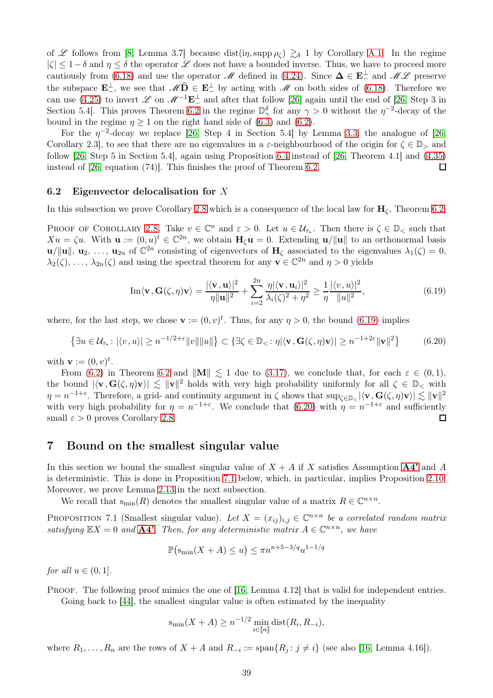of L follows from [\[8,](#page-48-21) Lemma 3.7] because dist(in, supp  $\rho_c$ )  $\gtrsim_\delta$  1 by Corollary [A.1.](#page-40-1) In the regime  $|\zeta| \leq 1-\delta$  and  $\eta \leq \delta$  the operator  $\mathscr L$  does not have a bounded inverse. Thus, we have to proceed more cautiously from [\(6.18\)](#page-37-3) and use the operator  $M$  defined in [\(4.24\)](#page-18-5). Since  $\mathbf{\Delta} \in \mathbf{E}_{-}^{\perp}$  and  $M\mathscr{L}$  preserve the subspace  $\mathbf{E}^{\perp}$ , we see that  $M\mathbf{D} \in \mathbf{E}^{\perp}$  by acting with M on both sides of [\(6.18\)](#page-37-3). Therefore we can use [\(4.25\)](#page-18-6) to invert L on  $\mathscr{M}^{-1}\mathbf{E}_{-}^{\perp}$  and after that follow [\[26\]](#page-49-2) again until the end of [\[26,](#page-49-2) Step 3 in Section 5.4. This proves Theorem [6.2](#page-34-1) in the regime  $\mathbb{D}_{\gamma}^{\delta}$  for any  $\gamma > 0$  without the  $\eta^{-2}$ -decay of the bound in the regime  $\eta \ge 1$  on the right hand side of [\(6.3\)](#page-34-4) and [\(6.2\)](#page-34-7).

For the  $\eta$ <sup>-2</sup>-decay we replace [\[26,](#page-49-2) Step 4 in Section 5.4] by Lemma [3.3,](#page-10-3) the analogue of [26, Corollary 2.3, to see that there are no eigenvalues in a  $\varepsilon$ -neighbourhood of the origin for  $\zeta \in \mathbb{D}_{\ge}$  and follow [\[26,](#page-49-2) Step 5 in Section 5.4], again using Proposition [6.4](#page-36-1) instead of [\[26,](#page-49-2) Theorem 4.1] and [\(4.35\)](#page-20-3) instead of [\[26,](#page-49-2) equation (74)]. This finishes the proof of Theorem [6.2.](#page-34-1)  $\Box$ 

#### <span id="page-38-0"></span>6.2 Eigenvector delocalisation for X

In this subsection we prove Corollary [2.8](#page-6-3) which is a consequence of the local law for  $H_c$ , Theorem [6.2.](#page-34-1)

PROOF OF COROLLARY [2.8.](#page-6-3) Take  $v \in \mathbb{C}^n$  and  $\varepsilon > 0$ . Let  $u \in \mathcal{U}_{\tau_*}$ . Then there is  $\zeta \in \mathbb{D}_{\leq}$  such that  $Xu = \zeta u$ . With  $\mathbf{u} := (0, u)^t \in \mathbb{C}^{2n}$ , we obtain  $\mathbf{H}_{\zeta}\mathbf{u} = 0$ . Extending  $\mathbf{u}/\|\mathbf{u}\|$  to an orthonormal basis  $\mathbf{u}/\|\mathbf{u}\|$ ,  $\mathbf{u}_2, \ldots, \mathbf{u}_{2n}$  of  $\mathbb{C}^{2n}$  consisting of eigenvectors of  $\mathbf{H}_{\zeta}$  associated to the eigenvalues  $\lambda_1(\zeta) = 0$ ,  $\lambda_2(\zeta), \ldots, \lambda_{2n}(\zeta)$  and using the spectral theorem for any  $\mathbf{v} \in \mathbb{C}^{2n}$  and  $\eta > 0$  yields

<span id="page-38-3"></span>Im
$$
\langle \mathbf{v}, \mathbf{G}(\zeta, \eta) \mathbf{v} \rangle = \frac{|\langle \mathbf{v}, \mathbf{u} \rangle|^2}{\eta \|\mathbf{u}\|^2} + \sum_{i=2}^{2n} \frac{\eta |\langle \mathbf{v}, \mathbf{u}_i \rangle|^2}{\lambda_i(\zeta)^2 + \eta^2} \ge \frac{1}{\eta} \frac{|\langle v, u \rangle|^2}{\|u\|^2},
$$
 (6.19)

where, for the last step, we chose  $\mathbf{v} := (0, v)^t$ . Thus, for any  $\eta > 0$ , the bound [\(6.19\)](#page-38-3) implies

<span id="page-38-4"></span>
$$
\left\{ \exists u \in \mathcal{U}_{\tau_*} \colon |\langle v, u \rangle| \ge n^{-1/2 + \varepsilon} ||v|| ||u|| \right\} \subset \left\{ \exists \zeta \in \mathbb{D}_< \colon \eta |\langle \mathbf{v}, \mathbf{G}(\zeta, \eta) \mathbf{v} \rangle| \ge n^{-1 + 2\varepsilon} ||\mathbf{v}||^2 \right\} \tag{6.20}
$$

with  $\mathbf{v} := (0, v)^t$ .

From [\(6.2\)](#page-34-7) in Theorem [6.2](#page-34-1) and  $\|\mathbf{M}\| \leq 1$  due to [\(3.17\)](#page-11-8), we conclude that, for each  $\varepsilon \in (0,1)$ , the bound  $|\langle \mathbf{v}, \mathbf{G}(\zeta, \eta)\mathbf{v}\rangle| \lesssim ||\mathbf{v}||^2$  holds with very high probability uniformly for all  $\zeta \in \mathbb{D}_\le$  with  $\eta = n^{-1+\varepsilon}$ . Therefore, a grid- and continuity argument in  $\zeta$  shows that  $\sup_{\zeta \in \mathbb{D}_{\zeta}} |\langle \mathbf{v}, \mathbf{G}(\zeta, \eta) \mathbf{v} \rangle| \lesssim \|\mathbf{v}\|^2$ with very high probability for  $\eta = n^{-1+\epsilon}$ . We conclude that [\(6.20\)](#page-38-4) with  $\eta = n^{-1+\epsilon}$  and sufficiently small  $\varepsilon > 0$  proves Corollary [2.8.](#page-6-3)  $\Box$ 

### <span id="page-38-1"></span>7 Bound on the smallest singular value

In this section we bound the smallest singular value of  $X + A$  if X satisfies Assumption  $A4'$  and A is deterministic. This is done in Proposition [7.1](#page-38-2) below, which, in particular, implies Proposition [2.10.](#page-7-2) Moreover, we prove Lemma [2.13](#page-8-1) in the next subsection.

We recall that  $s_{\min}(R)$  denotes the smallest singular value of a matrix  $R \in \mathbb{C}^{n \times n}$ .

<span id="page-38-2"></span>PROPOSITION 7.1 (Smallest singular value). Let  $X = (x_{ij})_{i,j} \in \mathbb{C}^{n \times n}$  be a correlated random matrix satisfying  $\mathbb{E}X = 0$  and  $\mathbf{A4}^{\prime}$ . Then, for any deterministic matrix  $A \in \mathbb{C}^{n \times n}$ , we have

$$
\mathbb{P}\left(\operatorname{S_{min}}(X+A) \le u\right) \le \pi n^{\kappa+5-3/q} u^{1-1/q}
$$

for all  $u \in (0,1]$ .

PROOF. The following proof mimics the one of [\[16,](#page-48-11) Lemma 4.12] that is valid for independent entries. Going back to [\[44\]](#page-49-24), the smallest singular value is often estimated by the inequality

$$
s_{\min}(X+A) \ge n^{-1/2} \min_{i \in [\![n]\!]} \text{dist}(R_i, R_{-i}),
$$

where  $R_1, \ldots, R_n$  are the rows of  $X + A$  and  $R_{-i} := \text{span}\{R_j : j \neq i\}$  (see also [\[16,](#page-48-11) Lemma 4.16]).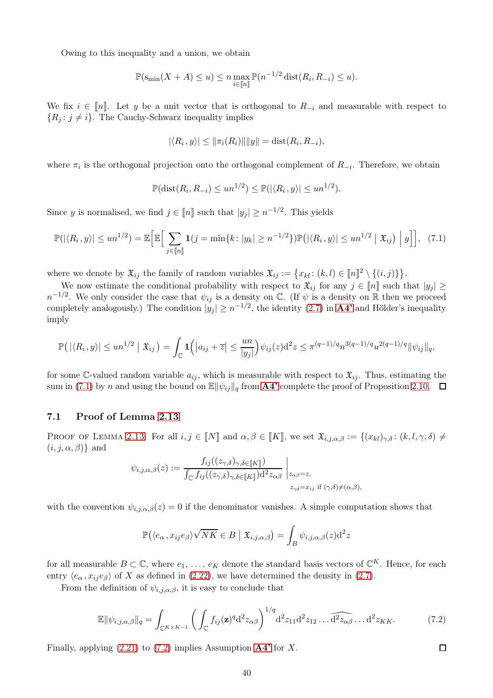Owing to this inequality and a union, we obtain

$$
\mathbb{P}(\operatorname{S_{min}}(X+A) \le u) \le n \max_{i \in [\![n]\!]} \mathbb{P}(n^{-1/2} \operatorname{dist}(R_i, R_{-i}) \le u).
$$

We fix  $i \in \llbracket n \rrbracket$ . Let y be a unit vector that is orthogonal to  $R_{-i}$  and measurable with respect to  ${R<sub>j</sub>: j \neq i}$ . The Cauchy-Schwarz inequality implies

$$
|\langle R_i, y \rangle| \le ||\pi_i(R_i)|| ||y|| = \text{dist}(R_i, R_{-i}),
$$

where  $\pi_i$  is the orthogonal projection onto the orthogonal complement of  $R_{-i}$ . Therefore, we obtain

$$
\mathbb{P}(\text{dist}(R_i, R_{-i}) \leq un^{1/2}) \leq \mathbb{P}(|\langle R_i, y \rangle| \leq un^{1/2}).
$$

Since y is normalised, we find  $j \in [n]$  such that  $|y_j| \geq n^{-1/2}$ . This yields

<span id="page-39-1"></span>
$$
\mathbb{P}(|\langle R_i, y \rangle| \leq un^{1/2}) = \mathbb{E}\Big[\mathbb{E}\Big[\sum_{j \in [n]} \mathbf{1}(j = \min\{k : |y_k| \geq n^{-1/2}\}) \mathbb{P}(|\langle R_i, y \rangle| \leq un^{1/2} | \mathfrak{X}_{ij}) |y]\Big], \tag{7.1}
$$

where we denote by  $\mathfrak{X}_{ij}$  the family of random variables  $\mathfrak{X}_{ij} := \{x_{kl} : (k,l) \in [n]^2 \setminus \{(i,j)\}\}.$ 

We now estimate the conditional probability with respect to  $\mathfrak{X}_{ij}$  for any  $j \in \llbracket n \rrbracket$  such that  $|y_j| \geq$  $n^{-1/2}$ . We only consider the case that  $\psi_{ij}$  is a density on  $\mathbb C$ . (If  $\psi$  is a density on  $\mathbb R$  then we proceed completely analogously.) The condition  $|y_j| \geq n^{-1/2}$ , the identity  $(2.7)$  in  $\mathbf{A4'}$  $\mathbf{A4'}$  $\mathbf{A4'}$  and Hölder's inequality imply

$$
\mathbb{P}\big(\left|\langle R_i, y \rangle\right| \leq u n^{1/2} \left| \mathfrak{X}_{ij} \right| = \int_{\mathbb{C}} \mathbf{1}\Big(\big|a_{ij} + \overline{z}\big| \leq \frac{u n}{|y_j|}\Big) \psi_{ij}(z) d^2 z \leq \pi^{(q-1)/q} n^{3(q-1)/q} u^{2(q-1)/q} \|\psi_{ij}\|_q,
$$

for some C-valued random variable  $a_{ij}$ , which is measurable with respect to  $\mathfrak{X}_{ij}$ . Thus, estimating the sum in [\(7.1\)](#page-39-1) by n and using the bound on  $\mathbb{E}[\psi_{ij}]_q$  from **[A4'](#page-4-0)** complete the proof of Proposition [2.10.](#page-7-2)  $\Box$ 

### <span id="page-39-0"></span>7.1 Proof of Lemma [2.13](#page-8-1)

PROOF OF LEMMA [2.13.](#page-8-1) For all  $i, j \in \llbracket N \rrbracket$  and  $\alpha, \beta \in \llbracket K \rrbracket$ , we set  $\mathfrak{X}_{i,j,\alpha,\beta} := \{(x_{kl})_{\gamma,\delta} : (k, l, \gamma, \delta) \neq 0\}$  $(i, j, \alpha, \beta)$ } and

$$
\psi_{i,j,\alpha,\beta}(z) := \frac{f_{ij}((z_{\gamma,\delta})_{\gamma,\delta \in [\![K]\!]})}{\int_{\mathbb{C}} f_{ij}((z_{\gamma,\delta})_{\gamma,\delta \in [\![K]\!]}) \mathrm{d}^2 z_{\alpha\beta}} \Big|_{z_{\alpha\beta}=z,}
$$
  

$$
z_{\gamma\delta}=x_{ij} \text{ if } (\gamma,\delta) \neq (\alpha,\beta),
$$

with the convention  $\psi_{i,i,\alpha,\beta}(z) = 0$  if the denominator vanishes. A simple computation shows that

$$
\mathbb{P}(\langle e_{\alpha}, x_{ij}e_{\beta}\rangle\sqrt{NK} \in B \mid \mathfrak{X}_{i,j,\alpha,\beta}) = \int_{B} \psi_{i,j,\alpha,\beta}(z) d^2z
$$

for all measurable  $B \subset \mathbb{C}$ , where  $e_1, \ldots, e_K$  denote the standard basis vectors of  $\mathbb{C}^K$ . Hence, for each entry  $\langle e_{\alpha}, x_{ij}e_{\beta} \rangle$  of X as defined in [\(2.22\)](#page-8-3), we have determined the density in [\(2.7\)](#page-4-8).

From the definition of  $\psi_{i,j,\alpha,\beta}$ , it is easy to conclude that

<span id="page-39-2"></span>
$$
\mathbb{E} \|\psi_{i,j,\alpha,\beta}\|_{q} = \int_{\mathbb{C}^{K \times K-1}} \left( \int_{\mathbb{C}} f_{ij}(\mathbf{z})^q \mathrm{d}^2 z_{\alpha\beta} \right)^{1/q} \mathrm{d}^2 z_{11} \mathrm{d}^2 z_{12} \dots \widehat{\mathrm{d}^2 z_{\alpha\beta}} \dots \mathrm{d}^2 z_{KK}.
$$
 (7.2)

Finally, applying  $(2.21)$  to  $(7.2)$  implies Assumption  $\mathbf{A4}^{\prime}$  for X.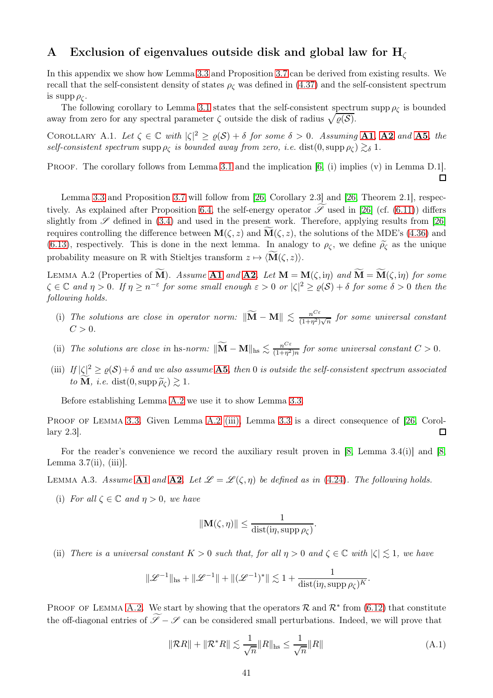# <span id="page-40-0"></span>A Exclusion of eigenvalues outside disk and global law for  $H_{\ell}$

In this appendix we show how Lemma [3.3](#page-10-3) and Proposition [3.7](#page-12-0) can be derived from existing results. We recall that the self-consistent density of states  $\rho_{\zeta}$  was defined in [\(4.37\)](#page-20-5) and the self-consistent spectrum is supp  $\rho_{\mathcal{C}}$ .

The following corollary to Lemma [3.1](#page-9-4) states that the self-consistent spectrum supp  $\rho_c$  is bounded away from zero for any spectral parameter  $\zeta$  outside the disk of radius  $\sqrt{\varrho(\mathcal{S})}$ .

<span id="page-40-1"></span>COROLLARY A.1. Let  $\zeta \in \mathbb{C}$  with  $|\zeta|^2 \ge \varrho(\mathcal{S}) + \delta$  for some  $\delta > 0$ . Assuming [A1](#page-3-3), [A2](#page-4-2) and [A5](#page-4-3), the self-consistent spectrum supp  $\rho_{\zeta}$  is bounded away from zero, i.e. dist $(0, \text{supp }\rho_{\zeta}) \gtrsim_{\delta} 1$ .

PROOF. The corollary follows from Lemma [3.1](#page-9-4) and the implication [\[6,](#page-48-4) (i) implies (v) in Lemma D.1].

 $\Box$ 

Lemma [3.3](#page-10-3) and Proposition [3.7](#page-12-0) will follow from [\[26,](#page-49-2) Corollary 2.3] and [\[26,](#page-49-2) Theorem 2.1], respec-tively. As explained after Proposition [6.4,](#page-36-1) the self-energy operator  $\mathscr S$  used in [\[26\]](#page-49-2) (cf. [\(6.11\)](#page-36-6)) differs slightly from  $\mathscr S$  defined in [\(3.4\)](#page-9-9) and used in the present work. Therefore, applying results from [\[26\]](#page-49-2) requires controlling the difference between  $\mathbf{M}(\zeta, z)$  and  $\mathbf{M}(\zeta, z)$ , the solutions of the MDE's [\(4.36\)](#page-20-2) and [\(6.13\)](#page-36-7), respectively. This is done in the next lemma. In analogy to  $\rho_{\zeta}$ , we define  $\tilde{\rho}_{\zeta}$  as the unique probability measure on R with Stieltjes transform  $z \mapsto \langle \mathbf{M}(\zeta, z) \rangle$ .

<span id="page-40-3"></span>LEMMA A.2 (Properties of  $\widetilde{\mathbf{M}}$ ). Assume [A1](#page-3-3) and [A2](#page-4-2). Let  $\mathbf{M} = \mathbf{M}(\zeta, i\eta)$  and  $\widetilde{\mathbf{M}} = \widetilde{\mathbf{M}}(\zeta, i\eta)$  for some  $\zeta \in \mathbb{C}$  and  $\eta > 0$ . If  $\eta \geq n^{-\varepsilon}$  for some small enough  $\varepsilon > 0$  or  $|\zeta|^2 \geq \varrho(\mathcal{S}) + \delta$  for some  $\delta > 0$  then the following holds.

- <span id="page-40-7"></span>(i) The solutions are close in operator norm:  $\|\widetilde{\mathbf{M}} - \mathbf{M}\| \leq \frac{n^{C\varepsilon}}{(1+n^2)}$  $\frac{n^{\circ\circ}}{(1+n^2)\sqrt{n}}$  for some universal constant  $C > 0$ .
- <span id="page-40-8"></span><span id="page-40-4"></span>(ii) The solutions are close in hs-norm:  $\|\widetilde{M} - M\|_{\text{hs}} \lesssim \frac{n^{C\varepsilon}}{(1 + \eta^2)}$  $\frac{n^{C}}{(1+n^2)n}$  for some universal constant  $C > 0$ .
- (iii) If  $|\zeta|^2 \ge \varrho(\mathcal{S}) + \delta$  and we also assume **[A5](#page-4-3)**, then 0 is outside the self-consistent spectrum associated to **M**, *i.e.* dist $(0, \text{supp }\widetilde{\rho}_c) \geq 1$ .

Before establishing Lemma [A.2](#page-40-3) we use it to show Lemma [3.3.](#page-10-3)

PROOF OF LEMMA [3.3.](#page-10-3) Given Lemma [A.2](#page-40-3) [\(iii\),](#page-40-4) Lemma [3.3](#page-10-3) is a direct consequence of [\[26,](#page-49-2) Corollary 2.3].  $\Box$ 

For the reader's convenience we record the auxiliary result proven in [\[8,](#page-48-21) Lemma 3.4(i)] and [\[8,](#page-48-21) Lemma  $3.7(ii)$ , (iii).

<span id="page-40-2"></span>LEMMA A.3. Assume [A1](#page-3-3) and [A2](#page-4-2). Let  $\mathscr{L} = \mathscr{L}(\zeta, \eta)$  be defined as in [\(4.24\)](#page-18-5). The following holds.

(i) For all  $\zeta \in \mathbb{C}$  and  $\eta > 0$ , we have

$$
\|\mathbf{M}(\zeta,\eta)\| \le \frac{1}{\mathrm{dist}(i\eta,\mathrm{supp}\,\rho_{\zeta})}.
$$

<span id="page-40-6"></span>(ii) There is a universal constant  $K > 0$  such that, for all  $\eta > 0$  and  $\zeta \in \mathbb{C}$  with  $|\zeta| \leq 1$ , we have

$$
\|\mathscr{L}^{-1}\|_{\text{hs}}+\|\mathscr{L}^{-1}\|+\|(\mathscr{L}^{-1})^*\|\lesssim 1+\frac{1}{\text{dist}(i\eta,\text{supp }\rho_{\zeta})^K}.
$$

<span id="page-40-5"></span>PROOF OF LEMMA [A.2.](#page-40-3) We start by showing that the operators  $\mathcal R$  and  $\mathcal R^*$  from [\(6.12\)](#page-36-8) that constitute the off-diagonal entries of  $\mathscr{I} - \mathscr{I}$  can be considered small perturbations. Indeed, we will prove that

$$
\|\mathcal{R}R\| + \|\mathcal{R}^*R\| \lesssim \frac{1}{\sqrt{n}}\|R\|_{\text{hs}} \le \frac{1}{\sqrt{n}}\|R\| \tag{A.1}
$$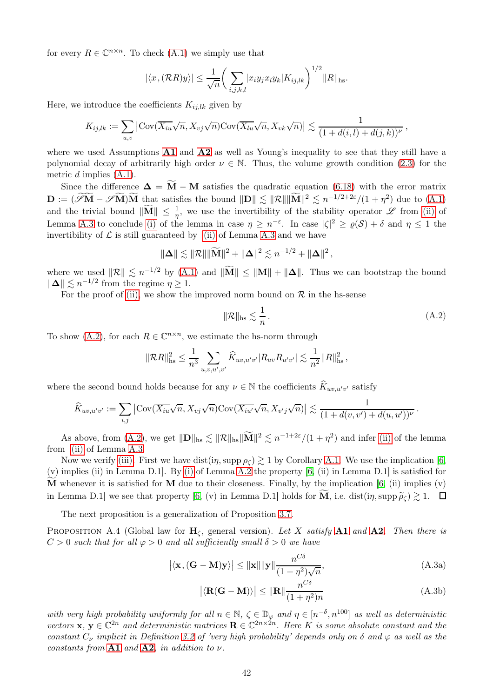for every  $R \in \mathbb{C}^{n \times n}$ . To check  $(A.1)$  we simply use that

$$
|\langle x, (\mathcal{R}R)y \rangle| \le \frac{1}{\sqrt{n}} \bigg( \sum_{i,j,k,l} |x_i y_j x_l y_k| K_{ij,lk} \bigg)^{1/2} ||R||_{\text{hs}}.
$$

Here, we introduce the coefficients  $K_{i,j,lk}$  given by

$$
K_{ij,lk} := \sum_{u,v} \left| \text{Cov}(\overline{X_{iu}}\sqrt{n}, X_{vj}\sqrt{n}) \text{Cov}(\overline{X_{lu}}\sqrt{n}, X_{vk}\sqrt{n}) \right| \lesssim \frac{1}{(1+d(i,l)+d(j,k))^{\nu}},
$$

where we used Assumptions  $\mathbf{A1}$  $\mathbf{A1}$  $\mathbf{A1}$  and  $\mathbf{A2}$  $\mathbf{A2}$  $\mathbf{A2}$  as well as Young's inequality to see that they still have a polynomial decay of arbitrarily high order  $\nu \in \mathbb{N}$ . Thus, the volume growth condition [\(2.3\)](#page-4-7) for the metric  $d$  implies  $(A.1)$ .

Since the difference  $\Delta = \overline{M} - M$  satisfies the quadratic equation [\(6.18\)](#page-37-3) with the error matrix  $\mathbf{D} := (\mathscr{I}\mathbf{M} - \mathscr{I}\mathbf{M})\mathbf{\widetilde{M}}$  that satisfies the bound  $\|\mathbf{D}\| \lesssim \|\mathcal{R}\| \|\mathbf{M}\|^2 \lesssim n^{-1/2+2\varepsilon}/(1+\eta^2)$  due to  $(A.1)$ and the trivial bound  $\|\widetilde{M}\| \leq \frac{1}{\eta}$ , we use the invertibility of the stability operator  $\mathscr L$  from [\(ii\)](#page-40-6) of Lemma [A.3](#page-40-2) to conclude [\(i\)](#page-40-7) of the lemma in case  $\eta \geq n^{-\varepsilon}$ . In case  $|\zeta|^2 \geq \varrho(\mathcal{S}) + \delta$  and  $\eta \leq 1$  the invertibility of  $\mathcal L$  is still guaranteed by [\(ii\)](#page-40-6) of Lemma [A.3](#page-40-2) and we have

$$
\|\mathbf{\Delta}\| \lesssim \|\mathcal{R}\| \|\widetilde{\mathbf{M}}\|^2 + \|\mathbf{\Delta}\|^2 \lesssim n^{-1/2} + \|\mathbf{\Delta}\|^2,
$$

where we used  $\|\mathcal{R}\| \lesssim n^{-1/2}$  by [\(A.1\)](#page-40-5) and  $\|\mathbf{M}\| \leq \|\mathbf{M}\| + \|\mathbf{\Delta}\|$ . Thus we can bootstrap the bound  $\|\Delta\| \lesssim n^{-1/2}$  from the regime  $\eta \geq 1$ .

For the proof of [\(ii\),](#page-40-8) we show the improved norm bound on  $R$  in the hs-sense

$$
\|\mathcal{R}\|_{\text{hs}} \lesssim \frac{1}{n} \,. \tag{A.2}
$$

<span id="page-41-1"></span>To show [\(A.2\)](#page-41-1), for each  $R \in \mathbb{C}^{n \times n}$ , we estimate the hs-norm through

$$
\|\mathcal{R}R\|_{\text{hs}}^2 \le \frac{1}{n^3} \sum_{u,v,u',v'} \widehat{K}_{uv,u'v'} |R_{uv} R_{u'v'}| \lesssim \frac{1}{n^2} \|R\|_{\text{hs}}^2 \,,
$$

where the second bound holds because for any  $\nu \in \mathbb{N}$  the coefficients  $\widehat{K}_{uv,u'v'}$  satisfy

$$
\widehat{K}_{uv,u'v'} := \sum_{i,j} \left| \text{Cov}(\overline{X_{iu}}\sqrt{n}, X_{vj}\sqrt{n}) \text{Cov}(\overline{X_{iu'}}\sqrt{n}, X_{v'j}\sqrt{n}) \right| \lesssim \frac{1}{(1+d(v,v')+d(u,u'))^{\nu}}.
$$

As above, from [\(A.2\)](#page-41-1), we get  $\|\mathbf{D}\|_{\text{hs}} \lesssim \|\mathcal{R}\|_{\text{hs}} \|\widetilde{\mathbf{M}}\|^2 \lesssim n^{-1+2\varepsilon}/(1+\eta^2)$  and infer [\(ii\)](#page-40-8) of the lemma from [\(ii\)](#page-40-6) of Lemma [A.3.](#page-40-2)

Now we verify [\(iii\).](#page-40-4) First we have dist(in, supp  $\rho \gtrsim 1$  by Corollary [A.1.](#page-40-1) We use the implication [\[6,](#page-48-4) (v) implies (ii) in Lemma D.1]. By [\(i\)](#page-40-7) of Lemma [A.2](#page-40-3) the property [\[6,](#page-48-4) (ii) in Lemma D.1] is satisfied for **M** whenever it is satisfied for **M** due to their closeness. Finally, by the implication  $[6, (ii)$  implies  $(v)$ in Lemma D.1] we see that property [\[6,](#page-48-4) (v) in Lemma D.1] holds for M, i.e. dist(in, supp  $\tilde{\rho}_\zeta$ )  $\gtrsim$  1.  $\Box$ 

The next proposition is a generalization of Proposition [3.7.](#page-12-0)

<span id="page-41-0"></span>PROPOSITION A.4 (Global law for  $H_c$ , general version). Let X satisfy [A1](#page-3-3) and [A2](#page-4-2). Then there is  $C > 0$  such that for all  $\varphi > 0$  and all sufficiently small  $\delta > 0$  we have

$$
\left| \langle \mathbf{x}, (\mathbf{G} - \mathbf{M}) \mathbf{y} \rangle \right| \le ||\mathbf{x}|| ||\mathbf{y}|| \frac{n^{C\delta}}{(1 + \eta^2)\sqrt{n}}, \tag{A.3a}
$$

<span id="page-41-3"></span><span id="page-41-2"></span>
$$
\left| \langle \mathbf{R}(\mathbf{G} - \mathbf{M}) \rangle \right| \le ||\mathbf{R}|| \frac{n^{C\delta}}{(1 + \eta^2)n}
$$
 (A.3b)

with very high probability uniformly for all  $n \in \mathbb{N}$ ,  $\zeta \in \mathbb{D}_{\varphi}$  and  $\eta \in [n^{-\delta}, n^{100}]$  as well as deterministic vectors  $\mathbf{x}, \mathbf{y} \in \mathbb{C}^{2n}$  and deterministic matrices  $\mathbf{R} \in \mathbb{C}^{2n \times 2n}$ . Here K is some absolute constant and the constant  $C_{\nu}$  implicit in Definition [3.2](#page-10-4) of 'very high probability' depends only on  $\delta$  and  $\varphi$  as well as the constants from  $A1$  and  $A2$ , in addition to  $\nu$ .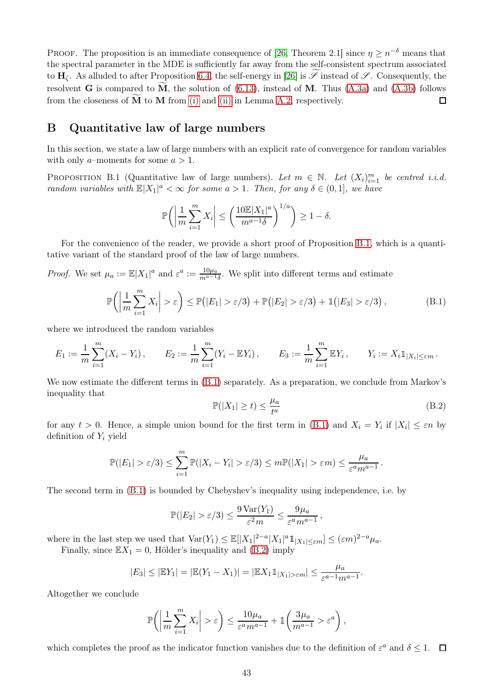PROOF. The proposition is an immediate consequence of [\[26,](#page-49-2) Theorem 2.1] since  $\eta \geq n^{-\delta}$  means that the spectral parameter in the MDE is sufficiently far away from the self-consistent spectrum associated to  $H_{\zeta}$ . As alluded to after Proposition [6.4,](#page-36-1) the self-energy in [\[26\]](#page-49-2) is  $\mathscr S$  instead of  $\mathscr S$ . Consequently, the resolvent **G** is compared to  $\widetilde{M}$ , the solution of [\(6.13\)](#page-36-7), instead of M. Thus [\(A.3a\)](#page-41-2) and [\(A.3b\)](#page-41-3) follows from the closeness of  $M$  to  $M$  from [\(i\)](#page-40-7) and [\(ii\)](#page-40-8) in Lemma [A.2,](#page-40-3) respectively.  $\Box$ 

### <span id="page-42-0"></span>B Quantitative law of large numbers

In this section, we state a law of large numbers with an explicit rate of convergence for random variables with only *a*–moments for some  $a > 1$ .

<span id="page-42-1"></span>PROPOSITION B.1 (Quantitative law of large numbers). Let  $m \in \mathbb{N}$ . Let  $(X_i)_{i=1}^m$  be centred i.i.d. random variables with  $\mathbb{E}|X_1|^a < \infty$  for some  $a > 1$ . Then, for any  $\delta \in (0,1]$ , we have

$$
\mathbb{P}\bigg(\bigg|\frac{1}{m}\sum_{i=1}^m X_i\bigg|\leq \bigg(\frac{10\mathbb{E}|X_1|^a}{m^{a-1}\delta}\bigg)^{1/a}\bigg)\geq 1-\delta.
$$

For the convenience of the reader, we provide a short proof of Proposition [B.1,](#page-42-1) which is a quantitative variant of the standard proof of the law of large numbers.

*Proof.* We set  $\mu_a := \mathbb{E}|X_1|^a$  and  $\varepsilon^a := \frac{10\mu_a}{m^{a-1}\delta}$ . We split into different terms and estimate

<span id="page-42-2"></span>
$$
\mathbb{P}\left(\left|\frac{1}{m}\sum_{i=1}^{m}X_i\right|>\varepsilon\right)\leq \mathbb{P}(|E_1|>\varepsilon/3)+\mathbb{P}(|E_2|>\varepsilon/3)+\mathbb{1}(|E_3|>\varepsilon/3),\tag{B.1}
$$

where we introduced the random variables

$$
E_1 := \frac{1}{m} \sum_{i=1}^m (X_i - Y_i), \qquad E_2 := \frac{1}{m} \sum_{i=1}^m (Y_i - \mathbb{E}Y_i), \qquad E_3 := \frac{1}{m} \sum_{i=1}^m \mathbb{E}Y_i, \qquad Y_i := X_i \mathbb{1}_{|X_i| \le \varepsilon m}.
$$

We now estimate the different terms in  $(B.1)$  separately. As a preparation, we conclude from Markov's inequality that

<span id="page-42-3"></span>
$$
\mathbb{P}(|X_1| \ge t) \le \frac{\mu_a}{t^a} \tag{B.2}
$$

for any  $t > 0$ . Hence, a simple union bound for the first term in [\(B.1\)](#page-42-2) and  $X_i = Y_i$  if  $|X_i| \leq \varepsilon n$  by definition of  $Y_i$  yield

$$
\mathbb{P}(|E_1| > \varepsilon/3) \leq \sum_{i=1}^m \mathbb{P}(|X_i - Y_i| > \varepsilon/3) \leq m \mathbb{P}(|X_1| > \varepsilon m) \leq \frac{\mu_a}{\varepsilon^a m^{a-1}}.
$$

The second term in [\(B.1\)](#page-42-2) is bounded by Chebyshev's inequality using independence, i.e. by

$$
\mathbb{P}(|E_2| > \varepsilon/3) \le \frac{9\operatorname{Var}(Y_1)}{\varepsilon^2 m} \le \frac{9\mu_a}{\varepsilon^a m^{a-1}},
$$

where in the last step we used that  $\text{Var}(Y_1) \leq \mathbb{E}[|X_1|^{2-a}|X_1|^a \mathbb{1}_{|X_1| \leq \varepsilon m}] \leq (\varepsilon m)^{2-a} \mu_a$ .

Finally, since  $\mathbb{E}X_1 = 0$ , Hölder's inequality and [\(B.2\)](#page-42-3) imply

$$
|E_3| \leq |EY_1| = |E(Y_1 - X_1)| = |E X_1 1_{|X_1| > \varepsilon m}| \leq \frac{\mu_a}{\varepsilon^{a-1} m^{a-1}}.
$$

Altogether we conclude

$$
\mathbb{P}\bigg(\bigg|\frac{1}{m}\sum_{i=1}^m X_i\bigg| > \varepsilon\bigg) \le \frac{10\mu_a}{\varepsilon^a m^{a-1}} + \mathbb{1}\bigg(\frac{3\mu_a}{m^{a-1}} > \varepsilon^a\bigg)\,,
$$

which completes the proof as the indicator function vanishes due to the definition of  $\varepsilon^a$  and  $\delta \leq 1$ .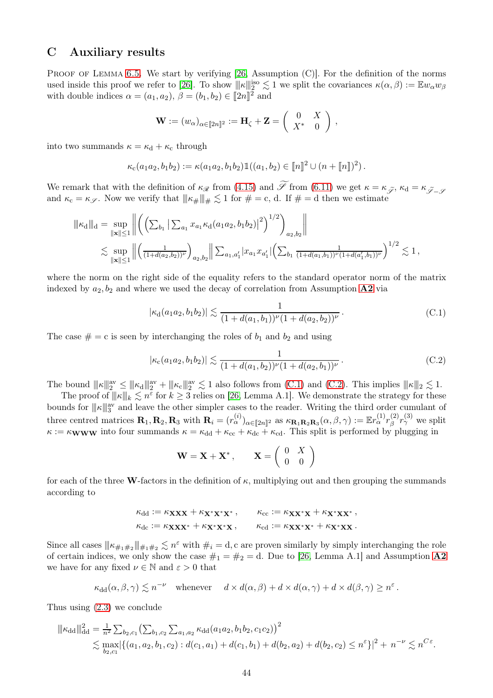# <span id="page-43-0"></span>C Auxiliary results

PROOF OF LEMMA [6.5.](#page-36-0) We start by verifying  $[26,$  Assumption  $(C)$ . For the definition of the norms used inside this proof we refer to [\[26\]](#page-49-2). To show  $\|\kappa\|_2^{\text{iso}} \lesssim 1$  we split the covariances  $\kappa(\alpha, \beta) := \mathbb{E} w_\alpha w_\beta$ with double indices  $\alpha = (a_1, a_2), \beta = (b_1, b_2) \in [2n]^2$  and

$$
\mathbf{W} := (w_{\alpha})_{\alpha \in [\![ 2n ]\!]^2} := \mathbf{H}_{\zeta} + \mathbf{Z} = \left( \begin{array}{cc} 0 & X \\ X^* & 0 \end{array} \right) ,
$$

into two summands  $\kappa = \kappa_d + \kappa_c$  through

$$
\kappa_{\rm c}(a_1a_2,b_1b_2):=\kappa(a_1a_2,b_1b_2)\mathbb{1}((a_1,b_2)\in[\![n]\!]^2\cup(n+[\![n]\!])^2).
$$

We remark that with the definition of  $\kappa_{\mathscr{R}}$  from [\(4.15\)](#page-17-5) and Sf from [\(6.11\)](#page-36-6) we get  $\kappa = \kappa_{\widetilde{\mathscr{S}}}, \kappa_d = \kappa_{\widetilde{\mathscr{S}}-\mathscr{S}}$ and  $\kappa_c = \kappa_{\mathscr{S}}$ . Now we verify that  $||\kappa_{\#}||_{\#} \lesssim 1$  for  $\# = c$ , d. If  $\# = d$  then we estimate

$$
\|\kappa_{\mathbf{d}}\|_{\mathbf{d}} = \sup_{\|\mathbf{x}\| \le 1} \left\| \left( \left( \sum_{b_1} \left| \sum_{a_1} x_{a_1} \kappa_{\mathbf{d}}(a_1 a_2, b_1 b_2) \right|^2 \right)^{1/2} \right)_{a_2, b_2} \right\|
$$
  

$$
\lesssim \sup_{\|\mathbf{x}\| \le 1} \left\| \left( \frac{1}{(1 + d(a_2, b_2))^{\nu}} \right)_{a_2, b_2} \right\| \sum_{a_1, a_1'} |x_{a_1} x_{a_1'}| \left( \sum_{b_1} \frac{1}{(1 + d(a_1, b_1))^{\nu} (1 + d(a_1', b_1))^{\nu}} \right)^{1/2} \lesssim 1,
$$

where the norm on the right side of the equality refers to the standard operator norm of the matrix indexed by  $a_2, b_2$  and where we used the decay of correlation from Assumption  $\bf{A2}$  $\bf{A2}$  $\bf{A2}$  via

$$
|\kappa_d(a_1a_2, b_1b_2)| \lesssim \frac{1}{(1 + d(a_1, b_1))^{\nu}(1 + d(a_2, b_2))^{\nu}}.
$$
 (C.1)

<span id="page-43-2"></span><span id="page-43-1"></span>The case  $\# = c$  is seen by interchanging the roles of  $b_1$  and  $b_2$  and using

$$
|\kappa_c(a_1a_2, b_1b_2)| \lesssim \frac{1}{(1 + d(a_1, b_2))^{\nu}(1 + d(a_2, b_1))^{\nu}}.
$$
 (C.2)

The bound  $\|\kappa\|_2^{\text{av}} \le \|\kappa_d\|_2^{\text{av}} + \|\kappa_c\|_2^{\text{av}} \lesssim 1$  also follows from [\(C.1\)](#page-43-1) and [\(C.2\)](#page-43-2). This implies  $\|\kappa\|_2 \lesssim 1$ .

The proof of  $\|\kappa\|_k \lesssim n^{\varepsilon}$  for  $k \geq 3$  relies on [\[26,](#page-49-2) Lemma A.1]. We demonstrate the strategy for these bounds for  $||\mathbf{k}||_{3}^{\text{av}}$  and leave the other simpler cases to the reader. Writing the third order cumulant of three centred matrices  $\mathbf{R}_1, \mathbf{R}_2, \mathbf{R}_3$  with  $\mathbf{R}_i = (r_\alpha^{(i)})_{\alpha \in [\![2n]\!]^2}$  as  $\kappa_{\mathbf{R}_1 \mathbf{R}_2 \mathbf{R}_3}(\alpha, \beta, \gamma) := \mathbb{E} r_\alpha^{(1)} r_\beta^{(2)}$  $\binom{2}{\beta}r_{\gamma}^{(3)}$  we split  $\kappa := \kappa_{\bf WWW}$  into four summands  $\kappa = \kappa_{\rm dd} + \kappa_{\rm cc} + \kappa_{\rm dc} + \kappa_{\rm cd}$ . This split is performed by plugging in

$$
\mathbf{W} = \mathbf{X} + \mathbf{X}^*, \qquad \mathbf{X} = \left( \begin{array}{cc} 0 & X \\ 0 & 0 \end{array} \right)
$$

for each of the three W-factors in the definition of  $\kappa$ , multiplying out and then grouping the summands according to

$$
\kappa_{dd} := \kappa_{\mathbf{XXX}} + \kappa_{\mathbf{X}^* \mathbf{X}^* \mathbf{X}^*}, \qquad \kappa_{cc} := \kappa_{\mathbf{XX}^* \mathbf{X}} + \kappa_{\mathbf{X}^* \mathbf{X} \mathbf{X}^*},
$$
  

$$
\kappa_{dc} := \kappa_{\mathbf{XXX}^*} + \kappa_{\mathbf{X}^* \mathbf{X}^* \mathbf{X}}, \qquad \kappa_{cd} := \kappa_{\mathbf{XX}^* \mathbf{X}^*} + \kappa_{\mathbf{X}^* \mathbf{XX}^*}.
$$

Since all cases  $\|\kappa_{\#_1\#_2}\|_{\#_1\#_2} \lesssim n^{\varepsilon}$  with  $\#_i = d$ , c are proven similarly by simply interchanging the role of certain indices, we only show the case  $\#_1 = \#_2 = d$ . Due to [\[26,](#page-49-2) Lemma A.1] and Assumption [A2](#page-4-2) we have for any fixed  $\nu \in \mathbb{N}$  and  $\varepsilon > 0$  that

$$
\kappa_{\mathrm{dd}}(\alpha,\beta,\gamma) \lesssim n^{-\nu} \quad \text{whenever} \quad d \times d(\alpha,\beta) + d \times d(\alpha,\gamma) + d \times d(\beta,\gamma) \ge n^{\varepsilon}.
$$

Thus using [\(2.3\)](#page-4-7) we conclude

$$
\|\kappa_{\rm dd}\|_{\rm dd}^2 = \frac{1}{n^2} \sum_{b_2,c_1} \left( \sum_{b_1,c_2} \sum_{a_1,a_2} \kappa_{\rm dd}(a_1a_2, b_1b_2, c_1c_2) \right)^2
$$
  
\$\leq\$ max $|\{(a_1,a_2,b_1,c_2): d(c_1,a_1) + d(c_1,b_1) + d(b_2,a_2) + d(b_2,c_2) \leq n^{\epsilon}\}|^2 + n^{-\nu} \leq n^{C\epsilon}.$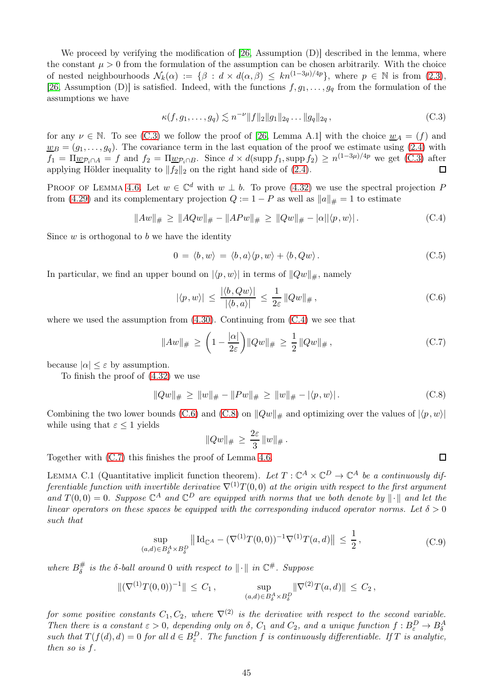We proceed by verifying the modification of [\[26,](#page-49-2) Assumption (D)] described in the lemma, where the constant  $\mu > 0$  from the formulation of the assumption can be chosen arbitrarily. With the choice of nested neighbourhoods  $\mathcal{N}_k(\alpha) := \{ \beta : d \times d(\alpha, \beta) \leq kn^{(1-3\mu)/4p} \},\$  where  $p \in \mathbb{N}$  is from  $(2.3),$ [\[26,](#page-49-2) Assumption (D)] is satisfied. Indeed, with the functions  $f, g_1, \ldots, g_q$  from the formulation of the assumptions we have

$$
\kappa(f, g_1, \dots, g_q) \lesssim n^{-\nu} \|f\|_2 \|g_1\|_{2q} \dots \|g_q\|_{2q} \,, \tag{C.3}
$$

<span id="page-44-1"></span>for any  $\nu \in \mathbb{N}$ . To see [\(C.3\)](#page-44-1) we follow the proof of [\[26,](#page-49-2) Lemma A.1] with the choice  $w_A = (f)$  and  $\underline{w}_B = (g_1, \ldots, g_q)$ . The covariance term in the last equation of the proof we estimate using [\(2.4\)](#page-4-6) with  $f_1 = \Pi_{\underline{w} \mathcal{P}_i \cap A} = f$  and  $f_2 = \Pi_{\underline{w} \mathcal{P}_i \cap B}$ . Since  $d \times d(\text{supp } f_1, \text{supp } f_2) \ge n^{(1-3\mu)/4p}$  we get [\(C.3\)](#page-44-1) after applying Hölder inequality to  $||f_2||_2$  on the right hand side of [\(2.4\)](#page-4-6).  $\Box$ 

PROOF OF LEMMA [4.6.](#page-19-2) Let  $w \in \mathbb{C}^d$  with  $w \perp b$ . To prove [\(4.32\)](#page-19-8) we use the spectral projection P from [\(4.29\)](#page-19-9) and its complementary projection  $Q := 1 - P$  as well as  $||a||_{\#} = 1$  to estimate

$$
||Aw||_{\#} \ge ||AQw||_{\#} - ||APw||_{\#} \ge ||Qw||_{\#} - |\alpha||\langle p, w \rangle|.
$$
 (C.4)

<span id="page-44-2"></span>Since  $w$  is orthogonal to  $b$  we have the identity

$$
0 = \langle b, w \rangle = \langle b, a \rangle \langle p, w \rangle + \langle b, Qw \rangle. \tag{C.5}
$$

<span id="page-44-3"></span>In particular, we find an upper bound on  $|\langle p, w \rangle|$  in terms of  $||Qw||_{\#}$ , namely

$$
|\langle p, w \rangle| \le \frac{|\langle b, Qw \rangle|}{|\langle b, a \rangle|} \le \frac{1}{2\varepsilon} \|Qw\|_{\#}, \tag{C.6}
$$

<span id="page-44-5"></span>where we used the assumption from  $(4.30)$ . Continuing from  $(C.4)$  we see that

$$
||Aw||_{\#} \ge \left(1 - \frac{|\alpha|}{2\varepsilon}\right) ||Qw||_{\#} \ge \frac{1}{2} ||Qw||_{\#},
$$
\n(C.7)

because  $|\alpha| \leq \varepsilon$  by assumption.

To finish the proof of [\(4.32\)](#page-19-8) we use

$$
||Qw||_{\#} \ge ||w||_{\#} - ||Pw||_{\#} \ge ||w||_{\#} - |\langle p, w \rangle|.
$$
 (C.8)

<span id="page-44-4"></span>Combining the two lower bounds [\(C.6\)](#page-44-3) and [\(C.8\)](#page-44-4) on  $||Qw||_{\#}$  and optimizing over the values of  $|\langle p, w \rangle|$ while using that  $\varepsilon \leq 1$  yields

$$
||Qw||_{\#} \, \geq \, \frac{2\varepsilon}{3} \, ||w||_{\#} \, .
$$

Together with [\(C.7\)](#page-44-5) this finishes the proof of Lemma [4.6.](#page-19-2)

<span id="page-44-0"></span>LEMMA C.1 (Quantitative implicit function theorem). Let  $T: \mathbb{C}^A \times \mathbb{C}^D \to \mathbb{C}^A$  be a continuously differentiable function with invertible derivative  $\nabla^{(1)}T(0,0)$  at the origin with respect to the first argument and  $T(0,0) = 0$ . Suppose  $\mathbb{C}^A$  and  $\mathbb{C}^D$  are equipped with norms that we both denote by  $\|\cdot\|$  and let the linear operators on these spaces be equipped with the corresponding induced operator norms. Let  $\delta > 0$ such that

$$
\sup_{(a,d)\in B^A_{\delta}\times B^D_{\delta}} \| \mathrm{Id}_{\mathbb{C}^A} - (\nabla^{(1)}T(0,0))^{-1} \nabla^{(1)}T(a,d) \| \le \frac{1}{2}, \tag{C.9}
$$

where  $B^{\#}_{\delta}$  $\frac{\#}{\delta}$  is the  $\delta$ -ball around 0 with respect to  $\|\cdot\|$  in  $\mathbb{C}^{\#}$ . Suppose

$$
\|(\nabla^{(1)}T(0,0))^{-1}\| \leq C_1, \qquad \sup_{(a,d)\in B_\delta^A\times B_\delta^D} \|\nabla^{(2)}T(a,d)\| \leq C_2,
$$

for some positive constants  $C_1, C_2$ , where  $\nabla^{(2)}$  is the derivative with respect to the second variable. Then there is a constant  $\varepsilon > 0$ , depending only on  $\delta$ ,  $C_1$  and  $C_2$ , and a unique function  $f : B_{\varepsilon}^D \to B_{\delta}^A$ such that  $T(f(d), d) = 0$  for all  $d \in B_{\varepsilon}^D$ . The function f is continuously differentiable. If T is analytic, then so is f.

 $\Box$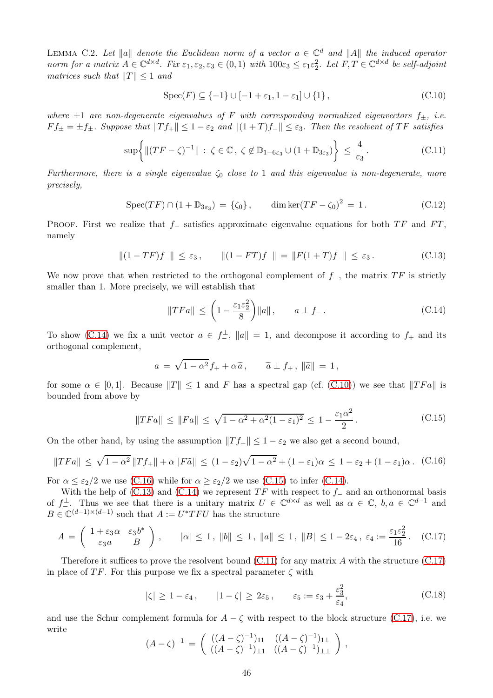<span id="page-45-0"></span>LEMMA C.2. Let  $\|a\|$  denote the Euclidean norm of a vector  $a \in \mathbb{C}^d$  and  $\|A\|$  the induced operator norm for a matrix  $A \in \mathbb{C}^{d \times d}$ . Fix  $\varepsilon_1, \varepsilon_2, \varepsilon_3 \in (0, 1)$  with  $100\varepsilon_3 \leq \varepsilon_1 \varepsilon_2^2$ . Let  $F, T \in \mathbb{C}^{d \times d}$  be self-adjoint matrices such that  $||T|| \leq 1$  and

$$
\operatorname{Spec}(F) \subseteq \{-1\} \cup [-1 + \varepsilon_1, 1 - \varepsilon_1] \cup \{1\},\tag{C.10}
$$

<span id="page-45-1"></span>where  $\pm 1$  are non-degenerate eigenvalues of F with corresponding normalized eigenvectors  $f_{\pm}$ , i.e.  $F f_{\pm} = \pm f_{\pm}$ . Suppose that  $||T f_{+}|| \leq 1 - \varepsilon_2$  and  $||(1+T) f_{-}|| \leq \varepsilon_3$ . Then the resolvent of TF satisfies

$$
\sup\left\{\|(TF-\zeta)^{-1}\| \,:\, \zeta \in \mathbb{C}, \,\zeta \notin \mathbb{D}_{1-6\varepsilon_3} \cup (1+\mathbb{D}_{3\varepsilon_3})\right\} \leq \frac{4}{\varepsilon_3} \,. \tag{C.11}
$$

<span id="page-45-7"></span>Furthermore, there is a single eigenvalue  $\zeta_0$  close to 1 and this eigenvalue is non-degenerate, more precisely,

$$
Spec(TF) \cap (1 + \mathbb{D}_{3\varepsilon_3}) = {\zeta_0}, \qquad \dim \ker(TF - \zeta_0)^2 = 1. \tag{C.12}
$$

<span id="page-45-2"></span>PROOF. First we realize that  $f_$  satisfies approximate eigenvalue equations for both  $TF$  and  $FT$ , namely

$$
||(1 - TF)f-|| \le \varepsilon_3, \qquad ||(1 - FT)f-|| = ||F(1 + T)f-|| \le \varepsilon_3.
$$
 (C.13)

<span id="page-45-6"></span>We now prove that when restricted to the orthogonal complement of  $f_-,$  the matrix  $TF$  is strictly smaller than 1. More precisely, we will establish that

$$
||TFa|| \le \left(1 - \frac{\varepsilon_1 \varepsilon_2^2}{8}\right) ||a||, \qquad a \perp f_-.
$$
 (C.14)

<span id="page-45-3"></span>To show [\(C.14\)](#page-45-3) we fix a unit vector  $a \in f_{-}^{\perp}$ ,  $||a|| = 1$ , and decompose it according to  $f_{+}$  and its orthogonal complement,

$$
a = \sqrt{1 - \alpha^2} f_+ + \alpha \widetilde{a}, \qquad \widetilde{a} \perp f_+, \|\widetilde{a}\| = 1,
$$

for some  $\alpha \in [0,1]$ . Because  $||T|| \le 1$  and F has a spectral gap (cf. [\(C.10\)](#page-45-1)) we see that  $||TFa||$  is bounded from above by

$$
||TFa|| \le ||Fa|| \le \sqrt{1 - \alpha^2 + \alpha^2 (1 - \varepsilon_1)^2} \le 1 - \frac{\varepsilon_1 \alpha^2}{2}.
$$
 (C.15)

<span id="page-45-5"></span>On the other hand, by using the assumption  $||T f_{+}|| \leq 1 - \varepsilon_2$  we also get a second bound,

<span id="page-45-4"></span>
$$
||TFa|| \leq \sqrt{1-\alpha^2} ||Tf_+|| + \alpha ||F\tilde{a}|| \leq (1-\varepsilon_2)\sqrt{1-\alpha^2} + (1-\varepsilon_1)\alpha \leq 1-\varepsilon_2 + (1-\varepsilon_1)\alpha. \tag{C.16}
$$

For  $\alpha \leq \epsilon_2/2$  we use [\(C.16\)](#page-45-4) while for  $\alpha \geq \epsilon_2/2$  we use [\(C.15\)](#page-45-5) to infer [\(C.14\)](#page-45-3).

With the help of [\(C.13\)](#page-45-6) and [\(C.14\)](#page-45-3) we represent  $TF$  with respect to  $f_$  and an orthonormal basis of  $f_{-}^{\perp}$ . Thus we see that there is a unitary matrix  $U \in \mathbb{C}^{d \times d}$  as well as  $\alpha \in \mathbb{C}$ ,  $b, a \in \mathbb{C}^{d-1}$  and  $B \in \mathbb{C}^{(d-1)\times(d-1)}$  such that  $A := U^*TFU$  has the structure

<span id="page-45-8"></span>
$$
A = \begin{pmatrix} 1 + \varepsilon_3 \alpha & \varepsilon_3 b^* \\ \varepsilon_3 a & B \end{pmatrix}, \qquad |\alpha| \le 1, \ \|b\| \le 1, \ \|a\| \le 1, \ \|B\| \le 1 - 2\varepsilon_4, \ \varepsilon_4 := \frac{\varepsilon_1 \varepsilon_2^2}{16}. \tag{C.17}
$$

Therefore it suffices to prove the resolvent bound  $(C.11)$  for any matrix A with the structure  $(C.17)$ in place of TF. For this purpose we fix a spectral parameter  $\zeta$  with

$$
|\zeta| \ge 1 - \varepsilon_4, \qquad |1 - \zeta| \ge 2\varepsilon_5, \qquad \varepsilon_5 := \varepsilon_3 + \frac{\varepsilon_3^2}{\varepsilon_4}, \tag{C.18}
$$

<span id="page-45-9"></span>and use the Schur complement formula for  $A - \zeta$  with respect to the block structure [\(C.17\)](#page-45-8), i.e. we write

$$
(A - \zeta)^{-1} = \begin{pmatrix} ((A - \zeta)^{-1})_{11} & ((A - \zeta)^{-1})_{1\perp} \\ ((A - \zeta)^{-1})_{\perp 1} & ((A - \zeta)^{-1})_{\perp \perp} \end{pmatrix},
$$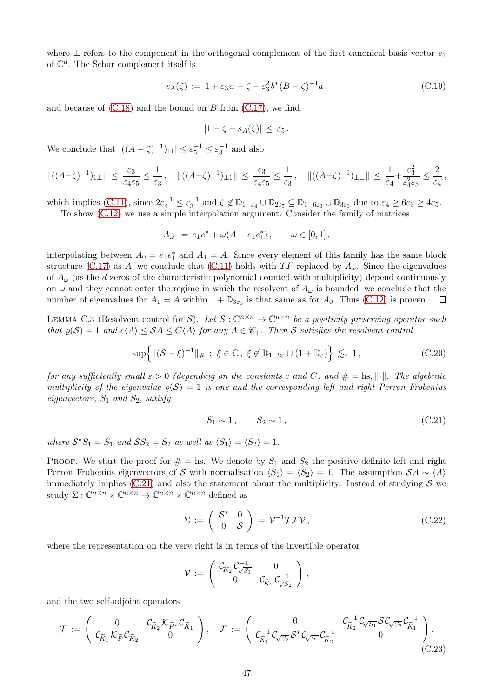where  $\perp$  refers to the component in the orthogonal complement of the first canonical basis vector  $e_1$ of  $\mathbb{C}^d$ . The Schur complement itself is

$$
s_A(\zeta) := 1 + \varepsilon_3 \alpha - \zeta - \varepsilon_3^2 b^* (B - \zeta)^{-1} a, \tag{C.19}
$$

and because of  $(C.18)$  and the bound on B from  $(C.17)$ , we find

$$
|1-\zeta-s_A(\zeta)|\,\leq\,\varepsilon_5\,.
$$

We conclude that  $|((A - \zeta)^{-1})_{11}| \leq \varepsilon_5^{-1} \leq \varepsilon_3^{-1}$  and also

$$
\|((A-\zeta)^{-1})_{1\perp}\| \leq \frac{\varepsilon_3}{\varepsilon_4\varepsilon_5} \leq \frac{1}{\varepsilon_3}, \quad \|((A-\zeta)^{-1})_{\perp 1}\| \leq \frac{\varepsilon_3}{\varepsilon_4\varepsilon_5} \leq \frac{1}{\varepsilon_3}, \quad \|((A-\zeta)^{-1})_{\perp 1}\| \leq \frac{1}{\varepsilon_4} + \frac{\varepsilon_3^2}{\varepsilon_4^2\varepsilon_5} \leq \frac{2}{\varepsilon_4},
$$

which implies [\(C.11\)](#page-45-7), since  $2\varepsilon_4^{-1} \leq \varepsilon_3^{-1}$  and  $\zeta \notin \mathbb{D}_{1-\varepsilon_4} \cup \mathbb{D}_{2\varepsilon_5} \subseteq \mathbb{D}_{1-6\varepsilon_3} \cup \mathbb{D}_{3\varepsilon_3}$  due to  $\varepsilon_4 \geq 6\varepsilon_3 \geq 4\varepsilon_5$ . To show [\(C.12\)](#page-45-2) we use a simple interpolation argument. Consider the family of matrices

$$
A_{\omega} := e_1 e_1^* + \omega (A - e_1 e_1^*), \qquad \omega \in [0, 1],
$$

interpolating between  $A_0 = e_1 e_1^*$  and  $A_1 = A$ . Since every element of this family has the same block structure [\(C.17\)](#page-45-8) as A, we conclude that [\(C.11\)](#page-45-7) holds with TF replaced by  $A_{\omega}$ . Since the eigenvalues of  $A_{\omega}$  (as the d zeros of the characteristic polynomial counted with multiplicity) depend continuously on  $\omega$  and they cannot enter the regime in which the resolvent of  $A_{\omega}$  is bounded, we conclude that the number of eigenvalues for  $A_1 = A$  within  $1 + \mathbb{D}_{3\varepsilon_3}$  is that same as for  $A_0$ . Thus [\(C.12\)](#page-45-2) is proven.  $\Box$ 

<span id="page-46-0"></span>LEMMA C.3 (Resolvent control for S). Let  $S: \mathbb{C}^{n \times n} \to \mathbb{C}^{n \times n}$  be a positivity preserving operator such that  $\varrho(S) = 1$  and  $c\langle A \rangle \leq SA \leq C\langle A \rangle$  for any  $A \in \mathscr{C}_+$ . Then S satisfies the resolvent control

$$
\sup\left\{\|(\mathcal{S}-\xi)^{-1}\|_{\#} \,:\, \xi\in\mathbb{C} \,,\, \xi\not\in\mathbb{D}_{1-2\varepsilon}\cup(1+\mathbb{D}_{\varepsilon})\right\}\lesssim_{\varepsilon} 1 \,,\tag{C.20}
$$

<span id="page-46-3"></span>for any sufficiently small  $\varepsilon > 0$  (depending on the constants c and C) and  $\# = \text{hs}, \|\cdot\|$ . The algebraic multiplicity of the eigenvalue  $\rho(\mathcal{S}) = 1$  is one and the corresponding left and right Perron Frobenius eigenvectors,  $S_1$  and  $S_2$ , satisfy

$$
S_1 \sim 1, \qquad S_2 \sim 1, \tag{C.21}
$$

<span id="page-46-1"></span>where  $S^*S_1 = S_1$  and  $SS_2 = S_2$  as well as  $\langle S_1 \rangle = \langle S_2 \rangle = 1$ .

PROOF. We start the proof for  $# =$  hs. We denote by  $S_1$  and  $S_2$  the positive definite left and right Perron Frobenius eigenvectors of S with normalisation  $\langle S_1 \rangle = \langle S_2 \rangle = 1$ . The assumption  $\mathcal{S}A \sim \langle A \rangle$ immediately implies  $(C.21)$  and also the statement about the multiplicity. Instead of studying S we study  $\Sigma: \mathbb{C}^{n \times n} \times \mathbb{C}^{n \times n} \to \mathbb{C}^{n \times n} \times \mathbb{C}^{n \times n}$  defined as

$$
\Sigma := \left( \begin{array}{cc} \mathcal{S}^* & 0 \\ 0 & \mathcal{S} \end{array} \right) = \mathcal{V}^{-1} \mathcal{T} \mathcal{F} \mathcal{V}, \tag{C.22}
$$

<span id="page-46-2"></span>where the representation on the very right is in terms of the invertible operator

$$
\mathcal{V} := \left( \begin{array}{cc} \mathcal{C}_{\widetilde{K}_2} \mathcal{C}_{\sqrt{S_1}}^{-1} & 0 \\ 0 & \mathcal{C}_{\widetilde{K}_1} \mathcal{C}_{\sqrt{S_2}}^{-1} \end{array} \right) ,
$$

and the two self-adjoint operators

$$
\mathcal{T} := \begin{pmatrix} 0 & \mathcal{C}_{\widetilde{K}_2} \mathcal{K}_{\widetilde{P}^*} \mathcal{C}_{\widetilde{K}_1} \\ \mathcal{C}_{\widetilde{K}_1} \mathcal{K}_{\widetilde{P}} \mathcal{C}_{\widetilde{K}_2} & 0 \end{pmatrix}, \quad \mathcal{F} := \begin{pmatrix} 0 & \mathcal{C}_{\widetilde{K}_2}^{-1} \mathcal{C}_{\sqrt{S_1}} \mathcal{S} \mathcal{C}_{\sqrt{S_2}} \mathcal{C}_{\widetilde{K}_1}^{-1} \\ \mathcal{C}_{\widetilde{K}_1}^{-1} \mathcal{C}_{\sqrt{S_2}} \mathcal{S}^* \mathcal{C}_{\sqrt{S_1}} \mathcal{C}_{\widetilde{K}_2}^{-1} & 0 \end{pmatrix}.
$$
\n(C.23)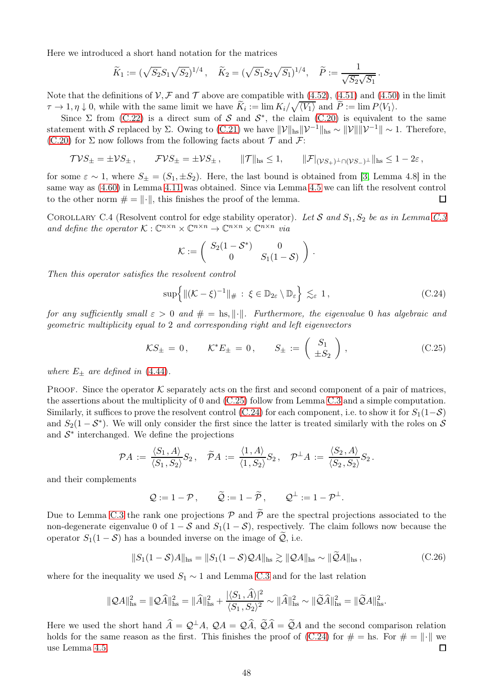Here we introduced a short hand notation for the matrices

$$
\widetilde{K}_1 := (\sqrt{S_2} S_1 \sqrt{S_2})^{1/4}, \quad \widetilde{K}_2 = (\sqrt{S_1} S_2 \sqrt{S_1})^{1/4}, \quad \widetilde{P} := \frac{1}{\sqrt{S_2} \sqrt{S_1}}
$$

Note that the definitions of  $V, \mathcal{F}$  and  $\mathcal{T}$  above are compatible with [\(4.52\)](#page-23-2), [\(4.51\)](#page-23-7) and [\(4.50\)](#page-23-8) in the limit  $\tau \to 1, \eta \downarrow 0$ , while with the same limit we have  $\widetilde{K}_i := \lim K_i/\sqrt{\langle V_1 \rangle}$  and  $\widetilde{P} := \lim P \langle V_1 \rangle$ .

Since  $\Sigma$  from [\(C.22\)](#page-46-2) is a direct sum of S and  $S^*$ , the claim [\(C.20\)](#page-46-3) is equivalent to the same statement with S replaced by Σ. Owing to [\(C.21\)](#page-46-1) we have  $\|\mathcal{V}\|_{\text{hs}}\|\mathcal{V}^{-1}\|_{\text{hs}} \sim \|\mathcal{V}\| \|\mathcal{V}^{-1}\| \sim 1$ . Therefore, [\(C.20\)](#page-46-3) for  $\Sigma$  now follows from the following facts about  $\mathcal T$  and  $\mathcal F$ :

$$
\mathcal{TVS}_{\pm} = \pm \mathcal{VS}_{\pm} \,, \qquad \mathcal{FVS}_{\pm} = \pm \mathcal{VS}_{\pm} \,, \qquad \|\mathcal{T}\|_{\text{hs}} \leq 1, \qquad \|\mathcal{F}|_{(\mathcal{VS}_{+})^{\perp} \cap (\mathcal{VS}_{-})^{\perp}}\|_{\text{hs}} \leq 1 - 2\varepsilon \,,
$$

for some  $\varepsilon \sim 1$ , where  $S_{\pm} = (S_1, \pm S_2)$ . Here, the last bound is obtained from [\[3,](#page-48-17) Lemma 4.8] in the same way as [\(4.60\)](#page-24-9) in Lemma [4.11](#page-24-10) was obtained. Since via Lemma [4.5](#page-19-1) we can lift the resolvent control to the other norm  $\# = \|\cdot\|$ , this finishes the proof of the lemma. □

<span id="page-47-0"></span>COROLLARY C.4 (Resolvent control for edge stability operator). Let S and  $S_1, S_2$  be as in Lemma [C.3](#page-46-0) and define the operator  $K: \mathbb{C}^{n \times n} \times \mathbb{C}^{n \times n} \to \mathbb{C}^{n \times n} \times \mathbb{C}^{n \times n}$  via

$$
\mathcal{K}:=\left(\begin{array}{cc}S_2(1-\mathcal{S}^*) & 0 \\ 0 & S_1(1-\mathcal{S})\end{array}\right)\,.
$$

<span id="page-47-2"></span>Then this operator satisfies the resolvent control

$$
\sup\left\{\|\left(\mathcal{K}-\xi\right)^{-1}\|_{\#}:\ \xi\in\mathbb{D}_{2\varepsilon}\setminus\mathbb{D}_{\varepsilon}\right\}\lesssim_{\varepsilon}1\,,\tag{C.24}
$$

.

for any sufficiently small  $\varepsilon > 0$  and  $\# = \text{hs}, \|\cdot\|$ . Furthermore, the eigenvalue 0 has algebraic and geometric multiplicity equal to 2 and corresponding right and left eigenvectors

$$
\mathcal{K}S_{\pm} = 0, \qquad \mathcal{K}^*E_{\pm} = 0, \qquad S_{\pm} := \left(\begin{array}{c} S_1 \\ \pm S_2 \end{array}\right), \tag{C.25}
$$

<span id="page-47-1"></span>where  $E_{\pm}$  are defined in [\(4.44\)](#page-22-0).

PROOF. Since the operator  $K$  separately acts on the first and second component of a pair of matrices, the assertions about the multiplicity of 0 and [\(C.25\)](#page-47-1) follow from Lemma [C.3](#page-46-0) and a simple computation. Similarly, it suffices to prove the resolvent control [\(C.24\)](#page-47-2) for each component, i.e. to show it for  $S_1(1-\mathcal{S})$ and  $S_2(1-\mathcal{S}^*)$ . We will only consider the first since the latter is treated similarly with the roles on  $\mathcal{S}$ and  $S^*$  interchanged. We define the projections

$$
\mathcal{P}A \,:=\, \frac{\langle S_1, A\rangle}{\langle S_1, S_2\rangle} S_2\,,\quad \widetilde{\mathcal{P}}A \,:=\, \frac{\langle 1, A\rangle}{\langle 1, S_2\rangle} S_2\,,\quad \mathcal{P}^\perp A \,:=\, \frac{\langle S_2, A\rangle}{\langle S_2, S_2\rangle} S_2\,.
$$

and their complements

$$
Q := 1 - P
$$
,  $\widetilde{Q} := 1 - \widetilde{P}$ ,  $Q^{\perp} := 1 - P^{\perp}$ .

Due to Lemma [C.3](#page-46-0) the rank one projections  $P$  and  $\tilde{P}$  are the spectral projections associated to the non-degenerate eigenvalue 0 of  $1 - S$  and  $S_1(1 - S)$ , respectively. The claim follows now because the operator  $S_1(1-\mathcal{S})$  has a bounded inverse on the image of  $\mathcal{Q}$ , i.e.

$$
||S_1(1-\mathcal{S})A||_{\text{hs}} = ||S_1(1-\mathcal{S})\mathcal{Q}A||_{\text{hs}} \gtrsim ||\mathcal{Q}A||_{\text{hs}} \sim ||\widetilde{\mathcal{Q}}A||_{\text{hs}},\tag{C.26}
$$

where for the inequality we used  $S_1 \sim 1$  and Lemma [C.3](#page-46-0) and for the last relation

$$
\|\mathcal{Q}A\|_{\text{hs}}^2 = \|\mathcal{Q}\widehat{A}\|_{\text{hs}}^2 = \|\widehat{A}\|_{\text{hs}}^2 + \frac{|\langle S_1, \widehat{A}\rangle|^2}{\langle S_1, S_2\rangle^2} \sim \|\widehat{A}\|_{\text{hs}}^2 \sim \|\widetilde{\mathcal{Q}}\widehat{A}\|_{\text{hs}}^2 = \|\widetilde{\mathcal{Q}}A\|_{\text{hs}}^2.
$$

Here we used the short hand  $\hat{A} = \mathcal{Q}^\perp A$ ,  $\mathcal{Q}A = \mathcal{Q}\hat{A}$ ,  $\tilde{\mathcal{Q}}\hat{A} = \tilde{\mathcal{Q}}A$  and the second comparison relation holds for the same reason as the first. This finishes the proof of [\(C.24\)](#page-47-2) for  $\# = \text{hs.}$  For  $\# = \|\cdot\|$  we use Lemma 4.5. use Lemma [4.5.](#page-19-1)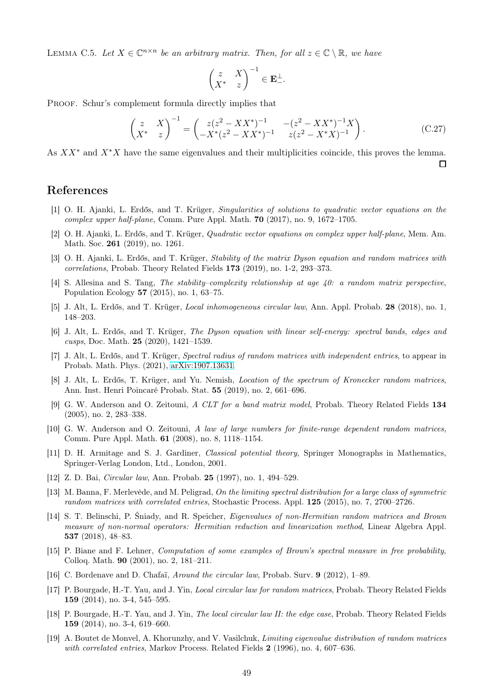<span id="page-48-20"></span>LEMMA C.5. Let  $X \in \mathbb{C}^{n \times n}$  be an arbitrary matrix. Then, for all  $z \in \mathbb{C} \setminus \mathbb{R}$ , we have

$$
\begin{pmatrix} z & X \ X^* & z \end{pmatrix}^{-1} \in \mathbf{E}^{\perp}_{-}.
$$

PROOF. Schur's complement formula directly implies that

<span id="page-48-18"></span>
$$
\begin{pmatrix} z & X \ X^* & z \end{pmatrix}^{-1} = \begin{pmatrix} z(z^2 - XX^*)^{-1} & -(z^2 - XX^*)^{-1}X \\ -X^*(z^2 - XX^*)^{-1} & z(z^2 - X^*X)^{-1} \end{pmatrix}.
$$
 (C.27)

 $\Box$ 

As  $XX^*$  and  $X^*X$  have the same eigenvalues and their multiplicities coincide, this proves the lemma.

# <span id="page-48-3"></span><span id="page-48-0"></span>References

- [1] O. H. Ajanki, L. Erdős, and T. Krüger, Singularities of solutions to quadratic vector equations on the complex upper half-plane, Comm. Pure Appl. Math. 70 (2017), no. 9, 1672–1705.
- <span id="page-48-17"></span><span id="page-48-10"></span>[2] O. H. Ajanki, L. Erdős, and T. Krüger, Quadratic vector equations on complex upper half-plane, Mem. Am. Math. Soc. 261 (2019), no. 1261.
- [3] O. H. Ajanki, L. Erdős, and T. Krüger, Stability of the matrix Dyson equation and random matrices with correlations, Probab. Theory Related Fields 173 (2019), no. 1-2, 293–373.
- <span id="page-48-16"></span>[4] S. Allesina and S. Tang, The stability–complexity relationship at age 40: a random matrix perspective, Population Ecology 57 (2015), no. 1, 63–75.
- <span id="page-48-8"></span><span id="page-48-4"></span>[5] J. Alt, L. Erdős, and T. Krüger, Local inhomogeneous circular law, Ann. Appl. Probab. 28 (2018), no. 1, 148–203.
- [6] J. Alt, L. Erdős, and T. Krüger, The Dyson equation with linear self-energy: spectral bands, edges and cusps, Doc. Math. 25 (2020), 1421–1539.
- <span id="page-48-9"></span>[7] J. Alt, L. Erdős, and T. Krüger, Spectral radius of random matrices with independent entries, to appear in Probab. Math. Phys. (2021), [arXiv:1907.13631.](http://arxiv.org/abs/1907.13631)
- <span id="page-48-21"></span>[8] J. Alt, L. Erdős, T. Krüger, and Yu. Nemish, Location of the spectrum of Kronecker random matrices, Ann. Inst. Henri Poincaré Probab. Stat. 55 (2019), no. 2, 661–696.
- <span id="page-48-2"></span>[9] G. W. Anderson and O. Zeitouni, A CLT for a band matrix model, Probab. Theory Related Fields 134 (2005), no. 2, 283–338.
- <span id="page-48-5"></span>[10] G. W. Anderson and O. Zeitouni, A law of large numbers for finite-range dependent random matrices, Comm. Pure Appl. Math. 61 (2008), no. 8, 1118–1154.
- <span id="page-48-19"></span>[11] D. H. Armitage and S. J. Gardiner, *Classical potential theory*, Springer Monographs in Mathematics, Springer-Verlag London, Ltd., London, 2001.
- <span id="page-48-6"></span><span id="page-48-1"></span>[12] Z. D. Bai, Circular law, Ann. Probab. 25 (1997), no. 1, 494–529.
- [13] M. Banna, F. Merlevède, and M. Peligrad, On the limiting spectral distribution for a large class of symmetric random matrices with correlated entries, Stochastic Process. Appl. 125 (2015), no. 7, 2700–2726.
- <span id="page-48-12"></span>[14] S. T. Belinschi, P. Śniady, and R. Speicher, Eigenvalues of non-Hermitian random matrices and Brown measure of non-normal operators: Hermitian reduction and linearization method, Linear Algebra Appl. 537 (2018), 48–83.
- <span id="page-48-13"></span>[15] P. Biane and F. Lehner, Computation of some examples of Brown's spectral measure in free probability, Colloq. Math. 90 (2001), no. 2, 181–211.
- <span id="page-48-14"></span><span id="page-48-11"></span>[16] C. Bordenave and D. Chafaï, Around the circular law, Probab. Surv. 9 (2012), 1–89.
- [17] P. Bourgade, H.-T. Yau, and J. Yin, Local circular law for random matrices, Probab. Theory Related Fields 159 (2014), no. 3-4, 545–595.
- <span id="page-48-15"></span>[18] P. Bourgade, H.-T. Yau, and J. Yin, *The local circular law II: the edge case*, Probab. Theory Related Fields 159 (2014), no. 3-4, 619–660.
- <span id="page-48-7"></span>[19] A. Boutet de Monvel, A. Khorunzhy, and V. Vasilchuk, *Limiting eigenvalue distribution of random matrices* with correlated entries, Markov Process. Related Fields 2 (1996), no. 4, 607–636.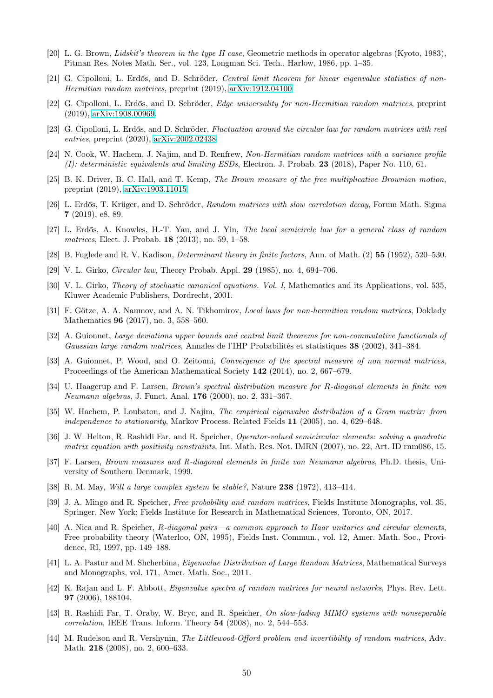- <span id="page-49-16"></span><span id="page-49-8"></span>[20] L. G. Brown, *Lidskiï's theorem in the type II case*, Geometric methods in operator algebras (Kyoto, 1983), Pitman Res. Notes Math. Ser., vol. 123, Longman Sci. Tech., Harlow, 1986, pp. 1–35.
- [21] G. Cipolloni, L. Erdős, and D. Schröder, Central limit theorem for linear eigenvalue statistics of non-Hermitian random matrices, preprint (2019), [arXiv:1912.04100.](http://arxiv.org/abs/1912.04100)
- <span id="page-49-15"></span>[22] G. Cipolloni, L. Erdős, and D. Schröder, Edge universality for non-Hermitian random matrices, preprint (2019), [arXiv:1908.00969.](http://arxiv.org/abs/1908.00969)
- <span id="page-49-17"></span><span id="page-49-7"></span>[23] G. Cipolloni, L. Erdős, and D. Schröder, Fluctuation around the circular law for random matrices with real entries, preprint (2020), [arXiv:2002.02438.](http://arxiv.org/abs/2002.02438)
- <span id="page-49-10"></span>[24] N. Cook, W. Hachem, J. Najim, and D. Renfrew, Non-Hermitian random matrices with a variance profile (I): deterministic equivalents and limiting ESDs, Electron. J. Probab. 23 (2018), Paper No. 110, 61.
- [25] B. K. Driver, B. C. Hall, and T. Kemp, The Brown measure of the free multiplicative Brownian motion, preprint (2019), [arXiv:1903.11015.](http://arxiv.org/abs/1903.11015)
- <span id="page-49-2"></span>[26] L. Erdős, T. Krüger, and D. Schröder, Random matrices with slow correlation decay, Forum Math. Sigma 7 (2019), e8, 89.
- <span id="page-49-23"></span>[27] L. Erdős, A. Knowles, H.-T. Yau, and J. Yin, The local semicircle law for a general class of random matrices, Elect. J. Probab. 18 (2013), no. 59, 1–58.
- <span id="page-49-22"></span><span id="page-49-0"></span>[28] B. Fuglede and R. V. Kadison, Determinant theory in finite factors, Ann. of Math. (2) 55 (1952), 520–530.
- <span id="page-49-3"></span>[29] V. L. Girko, Circular law, Theory Probab. Appl. 29 (1985), no. 4, 694–706.
- <span id="page-49-14"></span>[30] V. L. Girko, Theory of stochastic canonical equations. Vol. I, Mathematics and its Applications, vol. 535, Kluwer Academic Publishers, Dordrecht, 2001.
- [31] F. Götze, A. A. Naumov, and A. N. Tikhomirov, Local laws for non-hermitian random matrices, Doklady Mathematics 96 (2017), no. 3, 558–560.
- <span id="page-49-1"></span>[32] A. Guionnet, Large deviations upper bounds and central limit theorems for non-commutative functionals of Gaussian large random matrices, Annales de l'IHP Probabilités et statistiques 38 (2002), 341–384.
- <span id="page-49-11"></span>[33] A. Guionnet, P. Wood, and O. Zeitouni, Convergence of the spectral measure of non normal matrices, Proceedings of the American Mathematical Society 142 (2014), no. 2, 667–679.
- <span id="page-49-9"></span>[34] U. Haagerup and F. Larsen, Brown's spectral distribution measure for R-diagonal elements in finite von Neumann algebras, J. Funct. Anal. 176 (2000), no. 2, 331–367.
- <span id="page-49-4"></span>[35] W. Hachem, P. Loubaton, and J. Najim, The empirical eigenvalue distribution of a Gram matrix: from independence to stationarity, Markov Process. Related Fields 11 (2005), no. 4, 629–648.
- <span id="page-49-20"></span>[36] J. W. Helton, R. Rashidi Far, and R. Speicher, Operator-valued semicircular elements: solving a quadratic matrix equation with positivity constraints, Int. Math. Res. Not. IMRN (2007), no. 22, Art. ID rnm086, 15.
- <span id="page-49-12"></span>[37] F. Larsen, Brown measures and R-diagonal elements in finite von Neumann algebras, Ph.D. thesis, University of Southern Denmark, 1999.
- <span id="page-49-21"></span><span id="page-49-18"></span>[38] R. M. May, Will a large complex system be stable?, Nature 238 (1972), 413–414.
- [39] J. A. Mingo and R. Speicher, Free probability and random matrices, Fields Institute Monographs, vol. 35, Springer, New York; Fields Institute for Research in Mathematical Sciences, Toronto, ON, 2017.
- <span id="page-49-13"></span>[40] A. Nica and R. Speicher, R-diagonal pairs—a common approach to Haar unitaries and circular elements, Free probability theory (Waterloo, ON, 1995), Fields Inst. Commun., vol. 12, Amer. Math. Soc., Providence, RI, 1997, pp. 149–188.
- <span id="page-49-5"></span>[41] L. A. Pastur and M. Shcherbina, Eigenvalue Distribution of Large Random Matrices, Mathematical Surveys and Monographs, vol. 171, Amer. Math. Soc., 2011.
- <span id="page-49-19"></span>[42] K. Rajan and L. F. Abbott, Eigenvalue spectra of random matrices for neural networks, Phys. Rev. Lett. 97 (2006), 188104.
- <span id="page-49-6"></span>[43] R. Rashidi Far, T. Oraby, W. Bryc, and R. Speicher, On slow-fading MIMO systems with nonseparable correlation, IEEE Trans. Inform. Theory 54 (2008), no. 2, 544–553.
- <span id="page-49-24"></span>[44] M. Rudelson and R. Vershynin, The Littlewood-Offord problem and invertibility of random matrices, Adv. Math. 218 (2008), no. 2, 600–633.